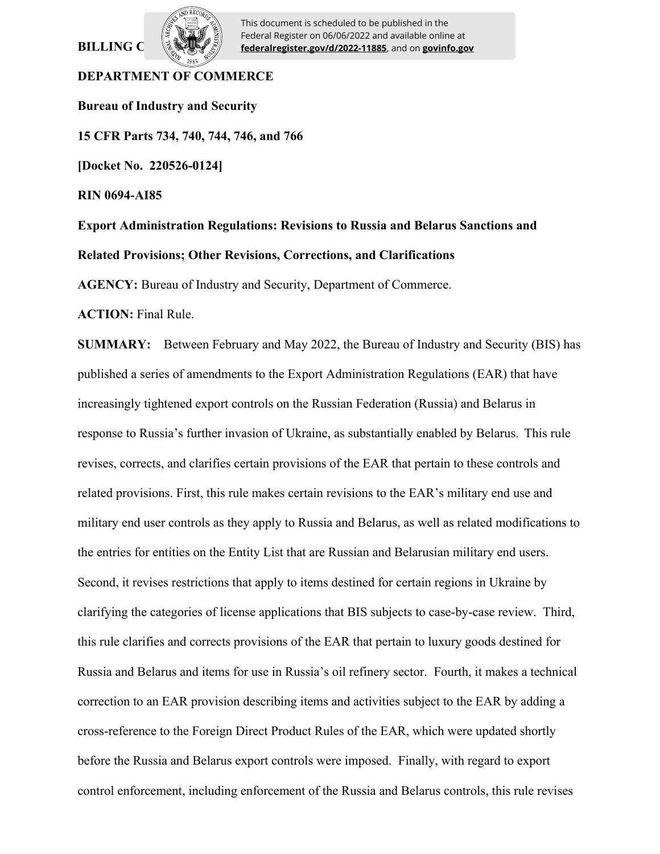# **BILLING C**



This document is scheduled to be published in the Federal Register on 06/06/2022 and available online at **federalregister.gov/d/2022-11885**, and on **govinfo.gov**

# **DEPARTMENT OF COMMERCE**

**Bureau of Industry and Security 15 CFR Parts 734, 740, 744, 746, and 766 [Docket No. 220526-0124] RIN 0694-AI85 Export Administration Regulations: Revisions to Russia and Belarus Sanctions and Related Provisions; Other Revisions, Corrections, and Clarifications AGENCY:** Bureau of Industry and Security, Department of Commerce.

**ACTION:** Final Rule.

**SUMMARY:** Between February and May 2022, the Bureau of Industry and Security (BIS) has published a series of amendments to the Export Administration Regulations (EAR) that have increasingly tightened export controls on the Russian Federation (Russia) and Belarus in response to Russia's further invasion of Ukraine, as substantially enabled by Belarus. This rule revises, corrects, and clarifies certain provisions of the EAR that pertain to these controls and related provisions. First, this rule makes certain revisions to the EAR's military end use and military end user controls as they apply to Russia and Belarus, as well as related modifications to the entries for entities on the Entity List that are Russian and Belarusian military end users. Second, it revises restrictions that apply to items destined for certain regions in Ukraine by clarifying the categories of license applications that BIS subjects to case-by-case review. Third, this rule clarifies and corrects provisions of the EAR that pertain to luxury goods destined for Russia and Belarus and items for use in Russia's oil refinery sector. Fourth, it makes a technical correction to an EAR provision describing items and activities subject to the EAR by adding a cross-reference to the Foreign Direct Product Rules of the EAR, which were updated shortly before the Russia and Belarus export controls were imposed. Finally, with regard to export control enforcement, including enforcement of the Russia and Belarus controls, this rule revises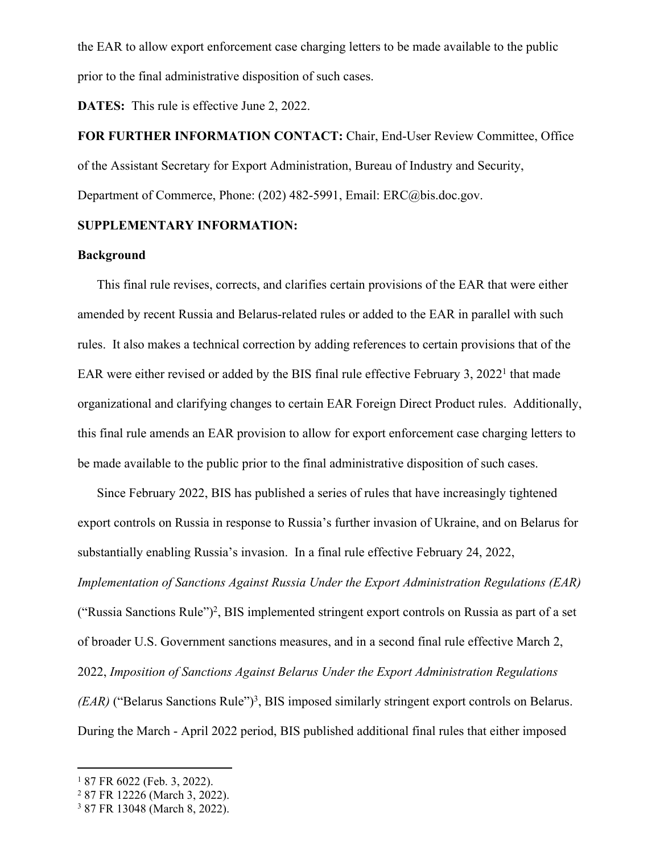the EAR to allow export enforcement case charging letters to be made available to the public prior to the final administrative disposition of such cases.

**DATES:** This rule is effective June 2, 2022.

**FOR FURTHER INFORMATION CONTACT:** Chair, End-User Review Committee, Office of the Assistant Secretary for Export Administration, Bureau of Industry and Security, Department of Commerce, Phone: (202) 482-5991, Email: ERC@bis.doc.gov.

## **SUPPLEMENTARY INFORMATION:**

#### **Background**

This final rule revises, corrects, and clarifies certain provisions of the EAR that were either amended by recent Russia and Belarus-related rules or added to the EAR in parallel with such rules. It also makes a technical correction by adding references to certain provisions that of the EAR were either revised or added by the BIS final rule effective February 3, 2022<sup>1</sup> that made organizational and clarifying changes to certain EAR Foreign Direct Product rules. Additionally, this final rule amends an EAR provision to allow for export enforcement case charging letters to be made available to the public prior to the final administrative disposition of such cases.

Since February 2022, BIS has published a series of rules that have increasingly tightened export controls on Russia in response to Russia's further invasion of Ukraine, and on Belarus for substantially enabling Russia's invasion. In a final rule effective February 24, 2022, *Implementation of Sanctions Against Russia Under the Export Administration Regulations (EAR)*  ("Russia Sanctions Rule")<sup>2</sup>, BIS implemented stringent export controls on Russia as part of a set of broader U.S. Government sanctions measures, and in a second final rule effective March 2, 2022, *Imposition of Sanctions Against Belarus Under the Export Administration Regulations (EAR)* ("Belarus Sanctions Rule")<sup>3</sup>, BIS imposed similarly stringent export controls on Belarus. During the March - April 2022 period, BIS published additional final rules that either imposed

<sup>1</sup> 87 FR 6022 (Feb. 3, 2022).

<sup>2</sup> 87 FR 12226 (March 3, 2022).

<sup>3</sup> 87 FR 13048 (March 8, 2022).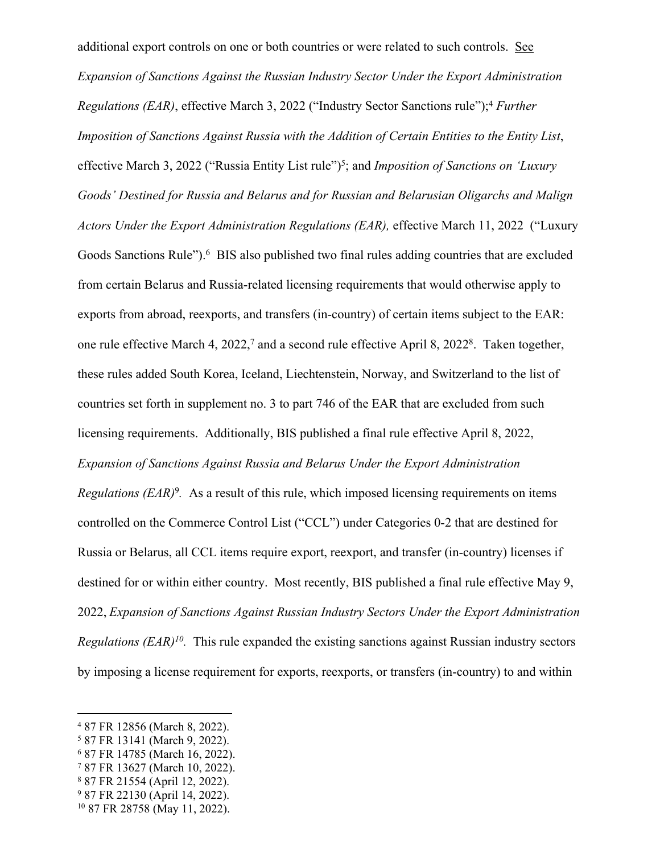additional export controls on one or both countries or were related to such controls. See *Expansion of Sanctions Against the Russian Industry Sector Under the Export Administration Regulations (EAR)*, effective March 3, 2022 ("Industry Sector Sanctions rule");<sup>4</sup> *Further Imposition of Sanctions Against Russia with the Addition of Certain Entities to the Entity List*, effective March 3, 2022 ("Russia Entity List rule")<sup>5</sup>; and *Imposition of Sanctions on 'Luxury Goods' Destined for Russia and Belarus and for Russian and Belarusian Oligarchs and Malign Actors Under the Export Administration Regulations (EAR),* effective March 11, 2022 ("Luxury Goods Sanctions Rule").<sup>6</sup> BIS also published two final rules adding countries that are excluded from certain Belarus and Russia-related licensing requirements that would otherwise apply to exports from abroad, reexports, and transfers (in-country) of certain items subject to the EAR: one rule effective March 4, 2022,<sup>7</sup> and a second rule effective April 8, 2022<sup>8</sup>. Taken together, these rules added South Korea, Iceland, Liechtenstein, Norway, and Switzerland to the list of countries set forth in supplement no. 3 to part 746 of the EAR that are excluded from such licensing requirements. Additionally, BIS published a final rule effective April 8, 2022, *Expansion of Sanctions Against Russia and Belarus Under the Export Administration Regulations (EAR)<sup>9</sup>*. As a result of this rule, which imposed licensing requirements on items controlled on the Commerce Control List ("CCL") under Categories 0-2 that are destined for Russia or Belarus, all CCL items require export, reexport, and transfer (in-country) licenses if destined for or within either country. Most recently, BIS published a final rule effective May 9, 2022, *Expansion of Sanctions Against Russian Industry Sectors Under the Export Administration Regulations (EAR)<sup>10</sup> .* This rule expanded the existing sanctions against Russian industry sectors by imposing a license requirement for exports, reexports, or transfers (in-country) to and within

<sup>4</sup> 87 FR 12856 (March 8, 2022).

<sup>5</sup> 87 FR 13141 (March 9, 2022).

<sup>6</sup> 87 FR 14785 (March 16, 2022).

<sup>7</sup> 87 FR 13627 (March 10, 2022).

<sup>8</sup> 87 FR 21554 (April 12, 2022).

<sup>9</sup> 87 FR 22130 (April 14, 2022).

<sup>10</sup> 87 FR 28758 (May 11, 2022).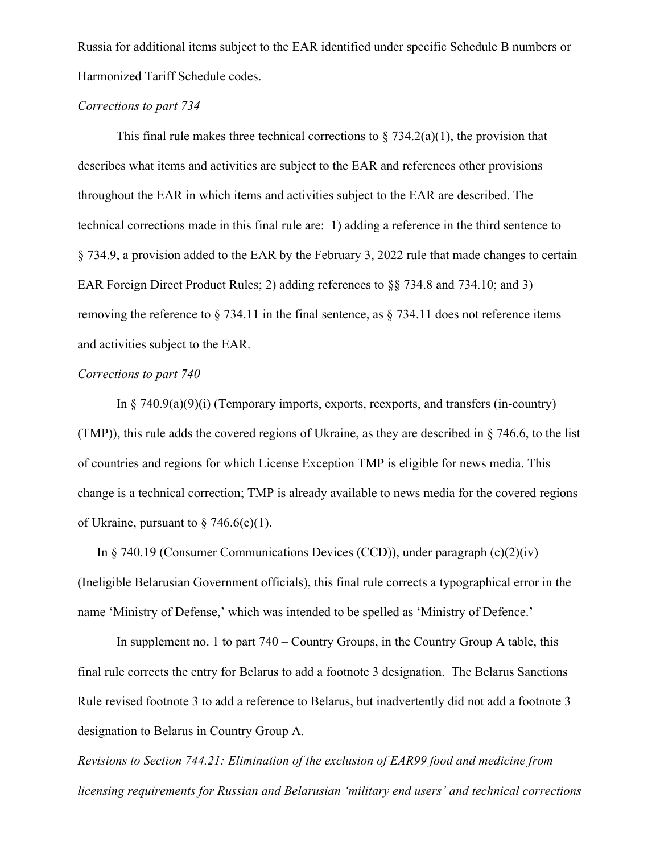Russia for additional items subject to the EAR identified under specific Schedule B numbers or Harmonized Tariff Schedule codes.

# *Corrections to part 734*

This final rule makes three technical corrections to  $\S 734.2(a)(1)$ , the provision that describes what items and activities are subject to the EAR and references other provisions throughout the EAR in which items and activities subject to the EAR are described. The technical corrections made in this final rule are: 1) adding a reference in the third sentence to § 734.9, a provision added to the EAR by the February 3, 2022 rule that made changes to certain EAR Foreign Direct Product Rules; 2) adding references to §§ 734.8 and 734.10; and 3) removing the reference to § 734.11 in the final sentence, as § 734.11 does not reference items and activities subject to the EAR.

# *Corrections to part 740*

In  $\S$  740.9(a)(9)(i) (Temporary imports, exports, reexports, and transfers (in-country) (TMP)), this rule adds the covered regions of Ukraine, as they are described in § 746.6, to the list of countries and regions for which License Exception TMP is eligible for news media. This change is a technical correction; TMP is already available to news media for the covered regions of Ukraine, pursuant to  $\frac{2}{3}$  746.6(c)(1).

In  $\S$  740.19 (Consumer Communications Devices (CCD)), under paragraph  $(c)(2)(iv)$ (Ineligible Belarusian Government officials), this final rule corrects a typographical error in the name 'Ministry of Defense,' which was intended to be spelled as 'Ministry of Defence.'

In supplement no. 1 to part 740 – Country Groups, in the Country Group A table, this final rule corrects the entry for Belarus to add a footnote 3 designation. The Belarus Sanctions Rule revised footnote 3 to add a reference to Belarus, but inadvertently did not add a footnote 3 designation to Belarus in Country Group A.

*Revisions to Section 744.21: Elimination of the exclusion of EAR99 food and medicine from licensing requirements for Russian and Belarusian 'military end users' and technical corrections*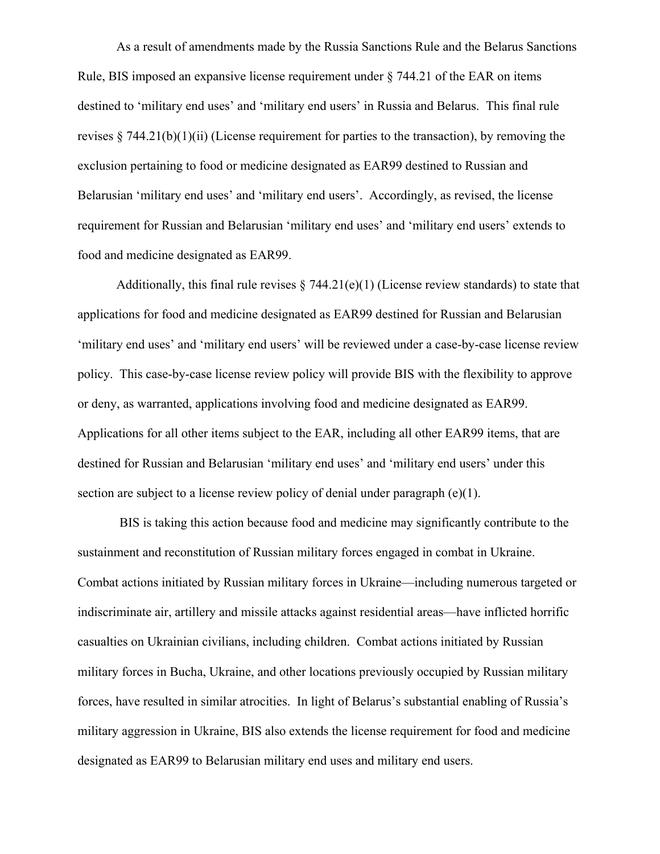As a result of amendments made by the Russia Sanctions Rule and the Belarus Sanctions Rule, BIS imposed an expansive license requirement under § 744.21 of the EAR on items destined to 'military end uses' and 'military end users' in Russia and Belarus. This final rule revises  $\S 744.21(b)(1)(ii)$  (License requirement for parties to the transaction), by removing the exclusion pertaining to food or medicine designated as EAR99 destined to Russian and Belarusian 'military end uses' and 'military end users'. Accordingly, as revised, the license requirement for Russian and Belarusian 'military end uses' and 'military end users' extends to food and medicine designated as EAR99.

Additionally, this final rule revises  $\S 744.21(e)(1)$  (License review standards) to state that applications for food and medicine designated as EAR99 destined for Russian and Belarusian 'military end uses' and 'military end users' will be reviewed under a case-by-case license review policy. This case-by-case license review policy will provide BIS with the flexibility to approve or deny, as warranted, applications involving food and medicine designated as EAR99. Applications for all other items subject to the EAR, including all other EAR99 items, that are destined for Russian and Belarusian 'military end uses' and 'military end users' under this section are subject to a license review policy of denial under paragraph (e)(1).

 BIS is taking this action because food and medicine may significantly contribute to the sustainment and reconstitution of Russian military forces engaged in combat in Ukraine. Combat actions initiated by Russian military forces in Ukraine—including numerous targeted or indiscriminate air, artillery and missile attacks against residential areas—have inflicted horrific casualties on Ukrainian civilians, including children. Combat actions initiated by Russian military forces in Bucha, Ukraine, and other locations previously occupied by Russian military forces, have resulted in similar atrocities. In light of Belarus's substantial enabling of Russia's military aggression in Ukraine, BIS also extends the license requirement for food and medicine designated as EAR99 to Belarusian military end uses and military end users.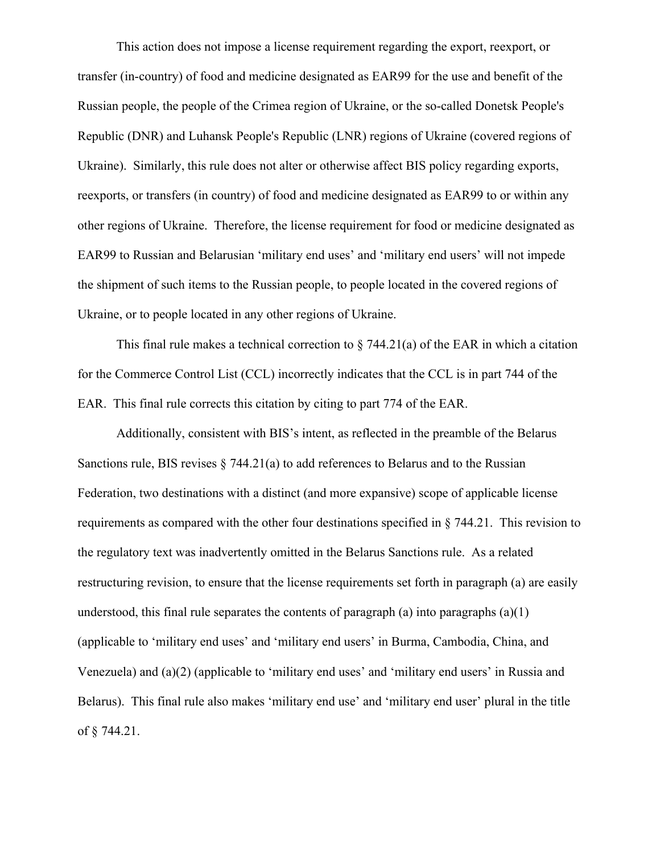This action does not impose a license requirement regarding the export, reexport, or transfer (in-country) of food and medicine designated as EAR99 for the use and benefit of the Russian people, the people of the Crimea region of Ukraine, or the so-called Donetsk People's Republic (DNR) and Luhansk People's Republic (LNR) regions of Ukraine (covered regions of Ukraine). Similarly, this rule does not alter or otherwise affect BIS policy regarding exports, reexports, or transfers (in country) of food and medicine designated as EAR99 to or within any other regions of Ukraine. Therefore, the license requirement for food or medicine designated as EAR99 to Russian and Belarusian 'military end uses' and 'military end users' will not impede the shipment of such items to the Russian people, to people located in the covered regions of Ukraine, or to people located in any other regions of Ukraine.

This final rule makes a technical correction to  $\S$  744.21(a) of the EAR in which a citation for the Commerce Control List (CCL) incorrectly indicates that the CCL is in part 744 of the EAR. This final rule corrects this citation by citing to part 774 of the EAR.

Additionally, consistent with BIS's intent, as reflected in the preamble of the Belarus Sanctions rule, BIS revises  $\S$  744.21(a) to add references to Belarus and to the Russian Federation, two destinations with a distinct (and more expansive) scope of applicable license requirements as compared with the other four destinations specified in § 744.21. This revision to the regulatory text was inadvertently omitted in the Belarus Sanctions rule. As a related restructuring revision, to ensure that the license requirements set forth in paragraph (a) are easily understood, this final rule separates the contents of paragraph (a) into paragraphs  $(a)(1)$ (applicable to 'military end uses' and 'military end users' in Burma, Cambodia, China, and Venezuela) and (a)(2) (applicable to 'military end uses' and 'military end users' in Russia and Belarus). This final rule also makes 'military end use' and 'military end user' plural in the title of § 744.21.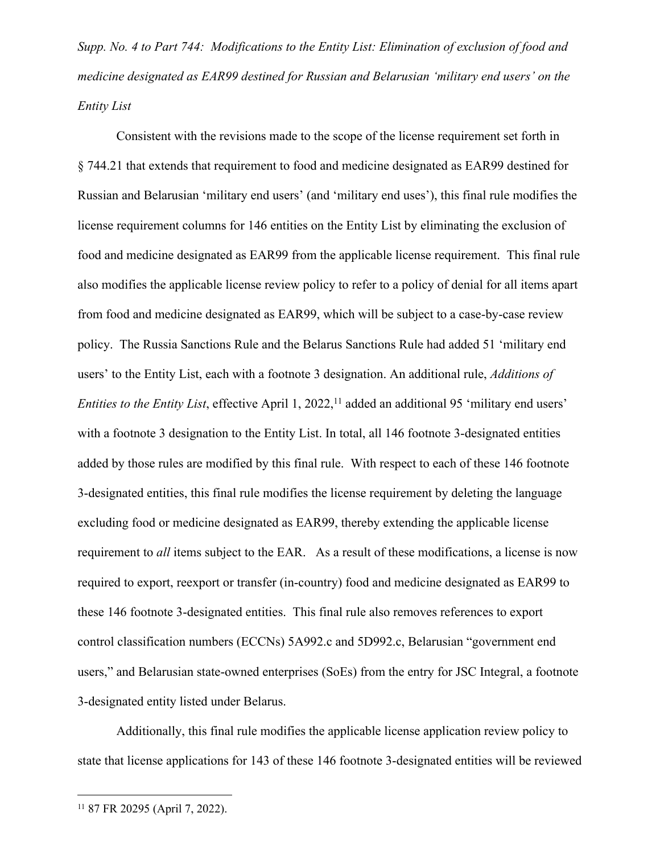*Supp. No. 4 to Part 744: Modifications to the Entity List: Elimination of exclusion of food and medicine designated as EAR99 destined for Russian and Belarusian 'military end users' on the Entity List*

Consistent with the revisions made to the scope of the license requirement set forth in § 744.21 that extends that requirement to food and medicine designated as EAR99 destined for Russian and Belarusian 'military end users' (and 'military end uses'), this final rule modifies the license requirement columns for 146 entities on the Entity List by eliminating the exclusion of food and medicine designated as EAR99 from the applicable license requirement. This final rule also modifies the applicable license review policy to refer to a policy of denial for all items apart from food and medicine designated as EAR99, which will be subject to a case-by-case review policy. The Russia Sanctions Rule and the Belarus Sanctions Rule had added 51 'military end users' to the Entity List, each with a footnote 3 designation. An additional rule, *Additions of Entities to the Entity List*, effective April 1, 2022,<sup>11</sup> added an additional 95 'military end users' with a footnote 3 designation to the Entity List. In total, all 146 footnote 3-designated entities added by those rules are modified by this final rule. With respect to each of these 146 footnote 3-designated entities, this final rule modifies the license requirement by deleting the language excluding food or medicine designated as EAR99, thereby extending the applicable license requirement to *all* items subject to the EAR. As a result of these modifications, a license is now required to export, reexport or transfer (in-country) food and medicine designated as EAR99 to these 146 footnote 3-designated entities. This final rule also removes references to export control classification numbers (ECCNs) 5A992.c and 5D992.c, Belarusian "government end users," and Belarusian state-owned enterprises (SoEs) from the entry for JSC Integral, a footnote 3-designated entity listed under Belarus.

Additionally, this final rule modifies the applicable license application review policy to state that license applications for 143 of these 146 footnote 3-designated entities will be reviewed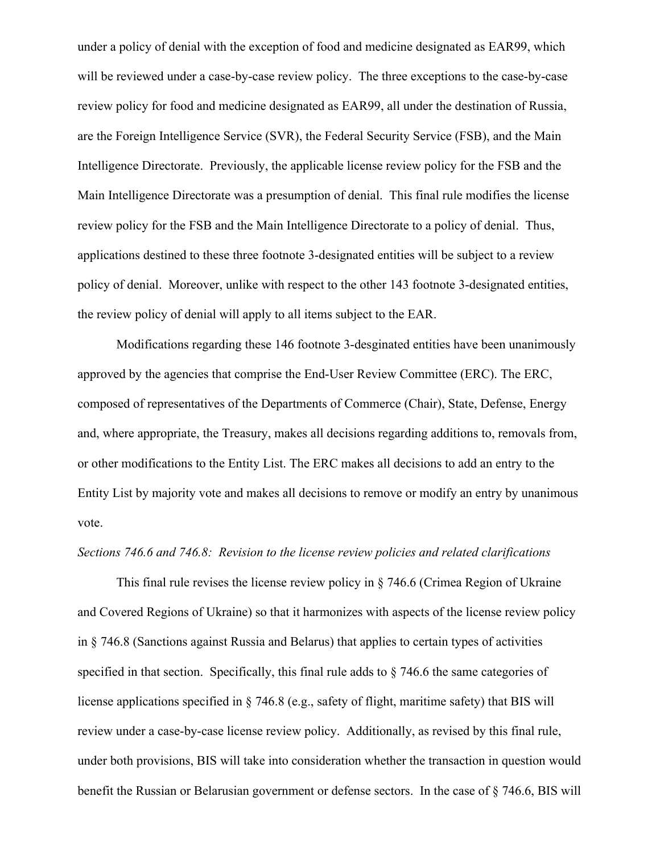under a policy of denial with the exception of food and medicine designated as EAR99, which will be reviewed under a case-by-case review policy. The three exceptions to the case-by-case review policy for food and medicine designated as EAR99, all under the destination of Russia, are the Foreign Intelligence Service (SVR), the Federal Security Service (FSB), and the Main Intelligence Directorate. Previously, the applicable license review policy for the FSB and the Main Intelligence Directorate was a presumption of denial. This final rule modifies the license review policy for the FSB and the Main Intelligence Directorate to a policy of denial. Thus, applications destined to these three footnote 3-designated entities will be subject to a review policy of denial. Moreover, unlike with respect to the other 143 footnote 3-designated entities, the review policy of denial will apply to all items subject to the EAR.

Modifications regarding these 146 footnote 3-desginated entities have been unanimously approved by the agencies that comprise the End-User Review Committee (ERC). The ERC, composed of representatives of the Departments of Commerce (Chair), State, Defense, Energy and, where appropriate, the Treasury, makes all decisions regarding additions to, removals from, or other modifications to the Entity List. The ERC makes all decisions to add an entry to the Entity List by majority vote and makes all decisions to remove or modify an entry by unanimous vote.

## *Sections 746.6 and 746.8: Revision to the license review policies and related clarifications*

This final rule revises the license review policy in § 746.6 (Crimea Region of Ukraine and Covered Regions of Ukraine) so that it harmonizes with aspects of the license review policy in § 746.8 (Sanctions against Russia and Belarus) that applies to certain types of activities specified in that section. Specifically, this final rule adds to § 746.6 the same categories of license applications specified in § 746.8 (e.g., safety of flight, maritime safety) that BIS will review under a case-by-case license review policy. Additionally, as revised by this final rule, under both provisions, BIS will take into consideration whether the transaction in question would benefit the Russian or Belarusian government or defense sectors. In the case of § 746.6, BIS will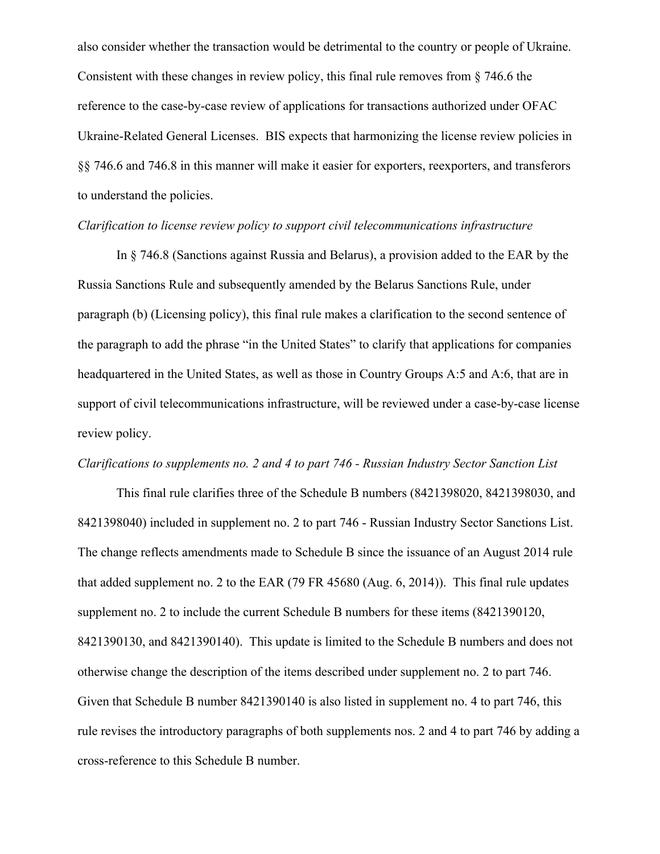also consider whether the transaction would be detrimental to the country or people of Ukraine. Consistent with these changes in review policy, this final rule removes from § 746.6 the reference to the case-by-case review of applications for transactions authorized under OFAC Ukraine-Related General Licenses. BIS expects that harmonizing the license review policies in §§ 746.6 and 746.8 in this manner will make it easier for exporters, reexporters, and transferors to understand the policies.

# *Clarification to license review policy to support civil telecommunications infrastructure*

In § 746.8 (Sanctions against Russia and Belarus), a provision added to the EAR by the Russia Sanctions Rule and subsequently amended by the Belarus Sanctions Rule, under paragraph (b) (Licensing policy), this final rule makes a clarification to the second sentence of the paragraph to add the phrase "in the United States" to clarify that applications for companies headquartered in the United States, as well as those in Country Groups A:5 and A:6, that are in support of civil telecommunications infrastructure, will be reviewed under a case-by-case license review policy.

#### *Clarifications to supplements no. 2 and 4 to part 746 - Russian Industry Sector Sanction List*

This final rule clarifies three of the Schedule B numbers (8421398020, 8421398030, and 8421398040) included in supplement no. 2 to part 746 - Russian Industry Sector Sanctions List. The change reflects amendments made to Schedule B since the issuance of an August 2014 rule that added supplement no. 2 to the EAR (79 FR 45680 (Aug. 6, 2014)). This final rule updates supplement no. 2 to include the current Schedule B numbers for these items (8421390120, 8421390130, and 8421390140). This update is limited to the Schedule B numbers and does not otherwise change the description of the items described under supplement no. 2 to part 746. Given that Schedule B number 8421390140 is also listed in supplement no. 4 to part 746, this rule revises the introductory paragraphs of both supplements nos. 2 and 4 to part 746 by adding a cross-reference to this Schedule B number.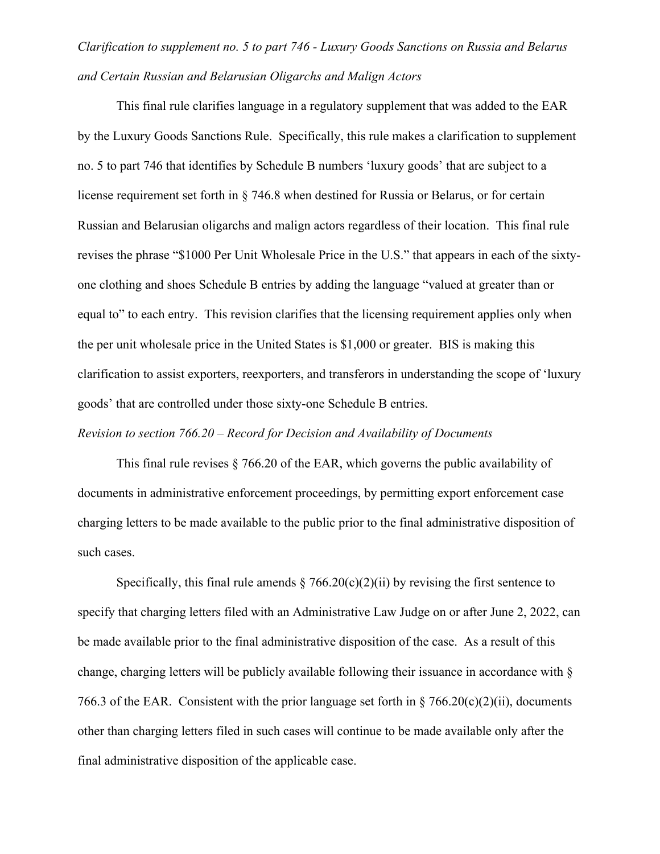# *Clarification to supplement no. 5 to part 746 - Luxury Goods Sanctions on Russia and Belarus and Certain Russian and Belarusian Oligarchs and Malign Actors*

This final rule clarifies language in a regulatory supplement that was added to the EAR by the Luxury Goods Sanctions Rule. Specifically, this rule makes a clarification to supplement no. 5 to part 746 that identifies by Schedule B numbers 'luxury goods' that are subject to a license requirement set forth in § 746.8 when destined for Russia or Belarus, or for certain Russian and Belarusian oligarchs and malign actors regardless of their location. This final rule revises the phrase "\$1000 Per Unit Wholesale Price in the U.S." that appears in each of the sixtyone clothing and shoes Schedule B entries by adding the language "valued at greater than or equal to" to each entry. This revision clarifies that the licensing requirement applies only when the per unit wholesale price in the United States is \$1,000 or greater. BIS is making this clarification to assist exporters, reexporters, and transferors in understanding the scope of 'luxury goods' that are controlled under those sixty-one Schedule B entries.

# *Revision to section 766.20 – Record for Decision and Availability of Documents*

This final rule revises § 766.20 of the EAR, which governs the public availability of documents in administrative enforcement proceedings, by permitting export enforcement case charging letters to be made available to the public prior to the final administrative disposition of such cases.

Specifically, this final rule amends  $\S 766.20(c)(2)(ii)$  by revising the first sentence to specify that charging letters filed with an Administrative Law Judge on or after June 2, 2022, can be made available prior to the final administrative disposition of the case. As a result of this change, charging letters will be publicly available following their issuance in accordance with § 766.3 of the EAR. Consistent with the prior language set forth in  $\S$  766.20(c)(2)(ii), documents other than charging letters filed in such cases will continue to be made available only after the final administrative disposition of the applicable case.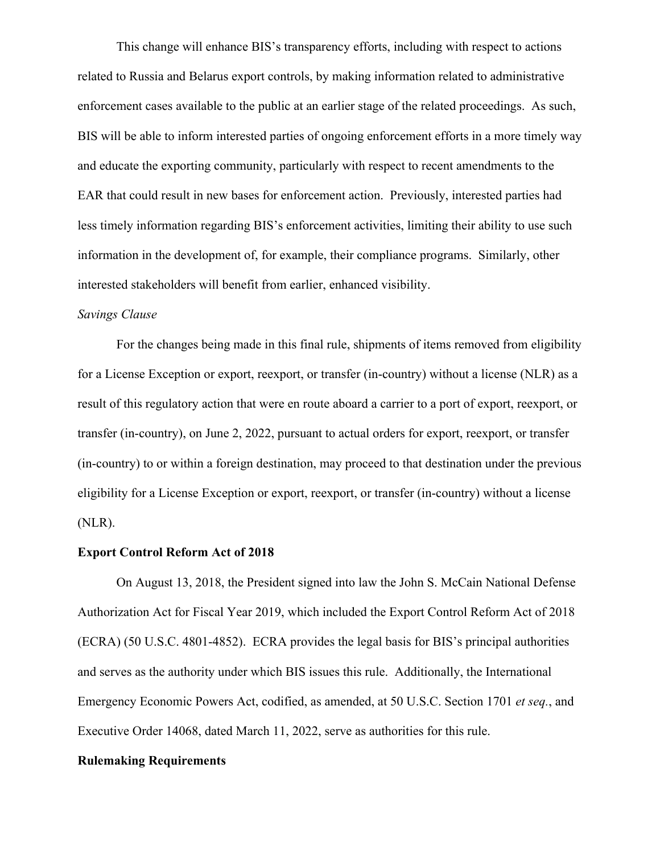This change will enhance BIS's transparency efforts, including with respect to actions related to Russia and Belarus export controls, by making information related to administrative enforcement cases available to the public at an earlier stage of the related proceedings. As such, BIS will be able to inform interested parties of ongoing enforcement efforts in a more timely way and educate the exporting community, particularly with respect to recent amendments to the EAR that could result in new bases for enforcement action. Previously, interested parties had less timely information regarding BIS's enforcement activities, limiting their ability to use such information in the development of, for example, their compliance programs. Similarly, other interested stakeholders will benefit from earlier, enhanced visibility.

#### *Savings Clause*

For the changes being made in this final rule, shipments of items removed from eligibility for a License Exception or export, reexport, or transfer (in-country) without a license (NLR) as a result of this regulatory action that were en route aboard a carrier to a port of export, reexport, or transfer (in-country), on June 2, 2022, pursuant to actual orders for export, reexport, or transfer (in-country) to or within a foreign destination, may proceed to that destination under the previous eligibility for a License Exception or export, reexport, or transfer (in-country) without a license (NLR).

### **Export Control Reform Act of 2018**

On August 13, 2018, the President signed into law the John S. McCain National Defense Authorization Act for Fiscal Year 2019, which included the Export Control Reform Act of 2018 (ECRA) (50 U.S.C. 4801-4852). ECRA provides the legal basis for BIS's principal authorities and serves as the authority under which BIS issues this rule. Additionally, the International Emergency Economic Powers Act, codified, as amended, at 50 U.S.C. Section 1701 *et seq.*, and Executive Order 14068, dated March 11, 2022, serve as authorities for this rule.

#### **Rulemaking Requirements**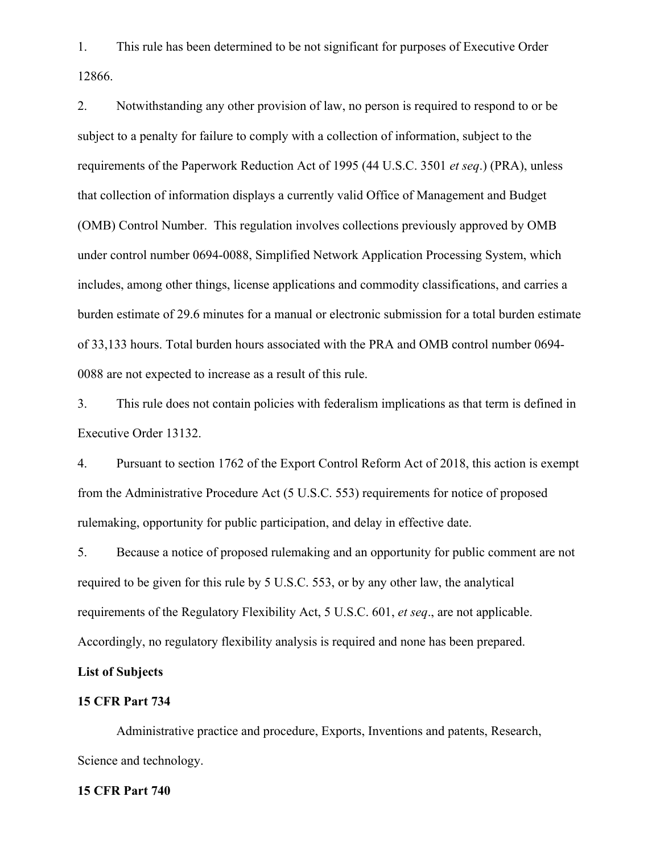1. This rule has been determined to be not significant for purposes of Executive Order 12866.

2. Notwithstanding any other provision of law, no person is required to respond to or be subject to a penalty for failure to comply with a collection of information, subject to the requirements of the Paperwork Reduction Act of 1995 (44 U.S.C. 3501 *et seq*.) (PRA), unless that collection of information displays a currently valid Office of Management and Budget (OMB) Control Number. This regulation involves collections previously approved by OMB under control number 0694-0088, Simplified Network Application Processing System, which includes, among other things, license applications and commodity classifications, and carries a burden estimate of 29.6 minutes for a manual or electronic submission for a total burden estimate of 33,133 hours. Total burden hours associated with the PRA and OMB control number 0694- 0088 are not expected to increase as a result of this rule.

3. This rule does not contain policies with federalism implications as that term is defined in Executive Order 13132.

4. Pursuant to section 1762 of the Export Control Reform Act of 2018, this action is exempt from the Administrative Procedure Act (5 U.S.C. 553) requirements for notice of proposed rulemaking, opportunity for public participation, and delay in effective date.

5. Because a notice of proposed rulemaking and an opportunity for public comment are not required to be given for this rule by 5 U.S.C. 553, or by any other law, the analytical requirements of the Regulatory Flexibility Act, 5 U.S.C. 601, *et seq*., are not applicable. Accordingly, no regulatory flexibility analysis is required and none has been prepared.

# **List of Subjects**

#### **15 CFR Part 734**

Administrative practice and procedure, Exports, Inventions and patents, Research, Science and technology.

### **15 CFR Part 740**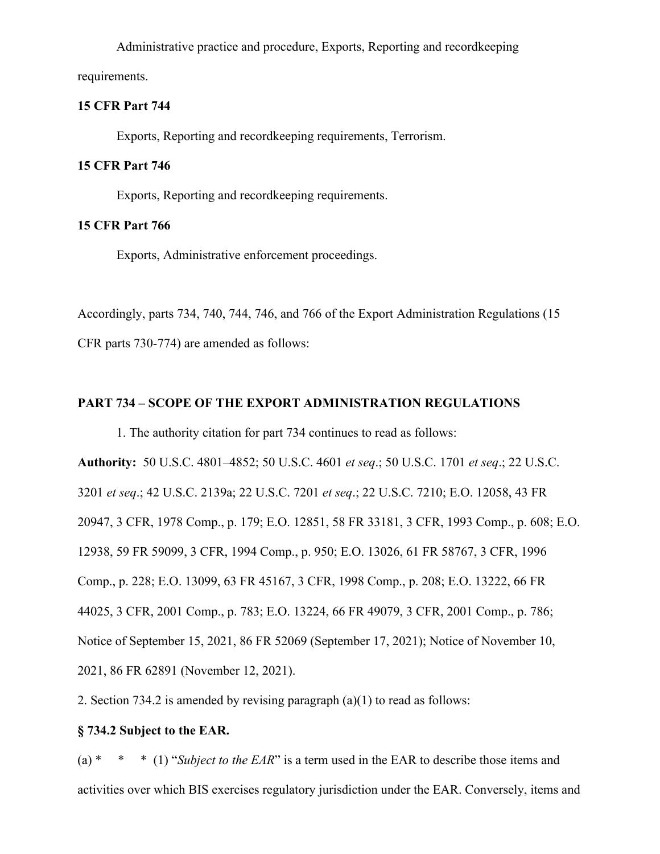Administrative practice and procedure, Exports, Reporting and recordkeeping requirements.

# **15 CFR Part 744**

Exports, Reporting and recordkeeping requirements, Terrorism.

#### **15 CFR Part 746**

Exports, Reporting and recordkeeping requirements.

# **15 CFR Part 766**

Exports, Administrative enforcement proceedings.

Accordingly, parts 734, 740, 744, 746, and 766 of the Export Administration Regulations (15 CFR parts 730-774) are amended as follows:

# **PART 734 – SCOPE OF THE EXPORT ADMINISTRATION REGULATIONS**

1. The authority citation for part 734 continues to read as follows: **Authority:** 50 U.S.C. 4801–4852; 50 U.S.C. 4601 *et seq*.; 50 U.S.C. 1701 *et seq*.; 22 U.S.C. 3201 *et seq*.; 42 U.S.C. 2139a; 22 U.S.C. 7201 *et seq*.; 22 U.S.C. 7210; E.O. 12058, 43 FR 20947, 3 CFR, 1978 Comp., p. 179; E.O. 12851, 58 FR 33181, 3 CFR, 1993 Comp., p. 608; E.O. 12938, 59 FR 59099, 3 CFR, 1994 Comp., p. 950; E.O. 13026, 61 FR 58767, 3 CFR, 1996 Comp., p. 228; E.O. 13099, 63 FR 45167, 3 CFR, 1998 Comp., p. 208; E.O. 13222, 66 FR 44025, 3 CFR, 2001 Comp., p. 783; E.O. 13224, 66 FR 49079, 3 CFR, 2001 Comp., p. 786; Notice of September 15, 2021, 86 FR 52069 (September 17, 2021); Notice of November 10, 2021, 86 FR 62891 (November 12, 2021).

2. Section 734.2 is amended by revising paragraph (a)(1) to read as follows:

# **§ 734.2 Subject to the EAR.**

(a) \* \* \* (1) "*Subject to the EAR*" is a term used in the EAR to describe those items and activities over which BIS exercises regulatory jurisdiction under the EAR. Conversely, items and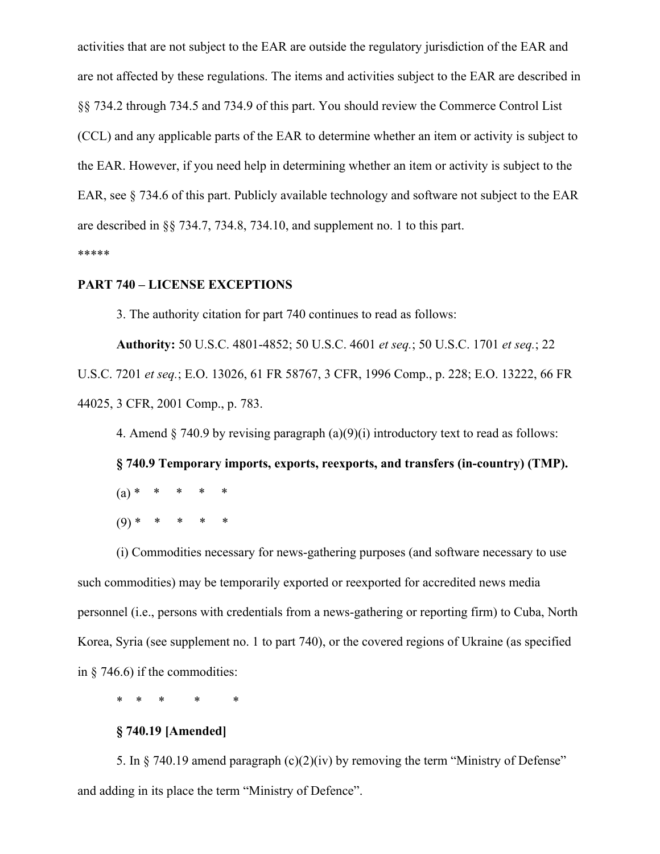activities that are not subject to the EAR are outside the regulatory jurisdiction of the EAR and are not affected by these regulations. The items and activities subject to the EAR are described in §§ 734.2 through 734.5 and 734.9 of this part. You should review the Commerce Control List (CCL) and any applicable parts of the EAR to determine whether an item or activity is subject to the EAR. However, if you need help in determining whether an item or activity is subject to the EAR, see § 734.6 of this part. Publicly available technology and software not subject to the EAR are described in §§ 734.7, 734.8, 734.10, and supplement no. 1 to this part. \*\*\*\*\*

#### **PART 740 – LICENSE EXCEPTIONS**

3. The authority citation for part 740 continues to read as follows:

**Authority:** 50 U.S.C. 4801-4852; 50 U.S.C. 4601 *et seq.*; 50 U.S.C. 1701 *et seq.*; 22 U.S.C. 7201 *et seq.*; E.O. 13026, 61 FR 58767, 3 CFR, 1996 Comp., p. 228; E.O. 13222, 66 FR 44025, 3 CFR, 2001 Comp., p. 783.

4. Amend  $\S$  740.9 by revising paragraph  $(a)(9)(i)$  introductory text to read as follows:

**§ 740.9 Temporary imports, exports, reexports, and transfers (in-country) (TMP).**  $(a)$   $*$  $(9)$  \*

(i) Commodities necessary for news-gathering purposes (and software necessary to use such commodities) may be temporarily exported or reexported for accredited news media personnel (i.e., persons with credentials from a news-gathering or reporting firm) to Cuba, North Korea, Syria (see supplement no. 1 to part 740), or the covered regions of Ukraine (as specified in § 746.6) if the commodities:

\* \* \* \* \*

## **§ 740.19 [Amended]**

5. In § 740.19 amend paragraph (c)(2)(iv) by removing the term "Ministry of Defense" and adding in its place the term "Ministry of Defence".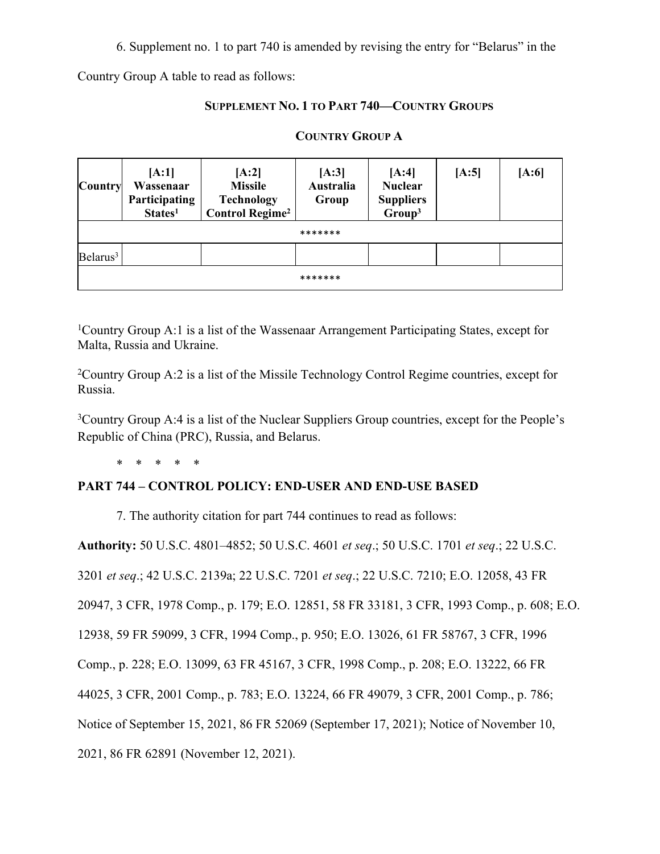6. Supplement no. 1 to part 740 is amended by revising the entry for "Belarus" in the

Country Group A table to read as follows:

# **SUPPLEMENT NO. 1 TO PART 740—COUNTRY GROUPS**

| <b>Country</b>       | [A:1]<br>Wassenaar<br>Participating<br>States <sup>1</sup> | [A:2]<br><b>Missile</b><br><b>Technology</b><br><b>Control Regime<sup>2</sup></b> | [A:3]<br><b>Australia</b><br>Group | [A:4]<br><b>Nuclear</b><br><b>Suppliers</b><br>Group <sup>3</sup> | [A:5] | [A:6] |  |
|----------------------|------------------------------------------------------------|-----------------------------------------------------------------------------------|------------------------------------|-------------------------------------------------------------------|-------|-------|--|
|                      | *******                                                    |                                                                                   |                                    |                                                                   |       |       |  |
| Belarus <sup>3</sup> |                                                            |                                                                                   |                                    |                                                                   |       |       |  |
| *******              |                                                            |                                                                                   |                                    |                                                                   |       |       |  |

# **COUNTRY GROUP A**

<sup>1</sup>Country Group A:1 is a list of the Wassenaar Arrangement Participating States, except for Malta, Russia and Ukraine.

<sup>2</sup>Country Group A:2 is a list of the Missile Technology Control Regime countries, except for Russia.

<sup>3</sup>Country Group A:4 is a list of the Nuclear Suppliers Group countries, except for the People's Republic of China (PRC), Russia, and Belarus.

\* \* \* \* \*

# **PART 744 – CONTROL POLICY: END-USER AND END-USE BASED**

7. The authority citation for part 744 continues to read as follows:

**Authority:** 50 U.S.C. 4801–4852; 50 U.S.C. 4601 *et seq*.; 50 U.S.C. 1701 *et seq*.; 22 U.S.C.

3201 *et seq*.; 42 U.S.C. 2139a; 22 U.S.C. 7201 *et seq*.; 22 U.S.C. 7210; E.O. 12058, 43 FR

20947, 3 CFR, 1978 Comp., p. 179; E.O. 12851, 58 FR 33181, 3 CFR, 1993 Comp., p. 608; E.O.

12938, 59 FR 59099, 3 CFR, 1994 Comp., p. 950; E.O. 13026, 61 FR 58767, 3 CFR, 1996

Comp., p. 228; E.O. 13099, 63 FR 45167, 3 CFR, 1998 Comp., p. 208; E.O. 13222, 66 FR

44025, 3 CFR, 2001 Comp., p. 783; E.O. 13224, 66 FR 49079, 3 CFR, 2001 Comp., p. 786;

Notice of September 15, 2021, 86 FR 52069 (September 17, 2021); Notice of November 10,

2021, 86 FR 62891 (November 12, 2021).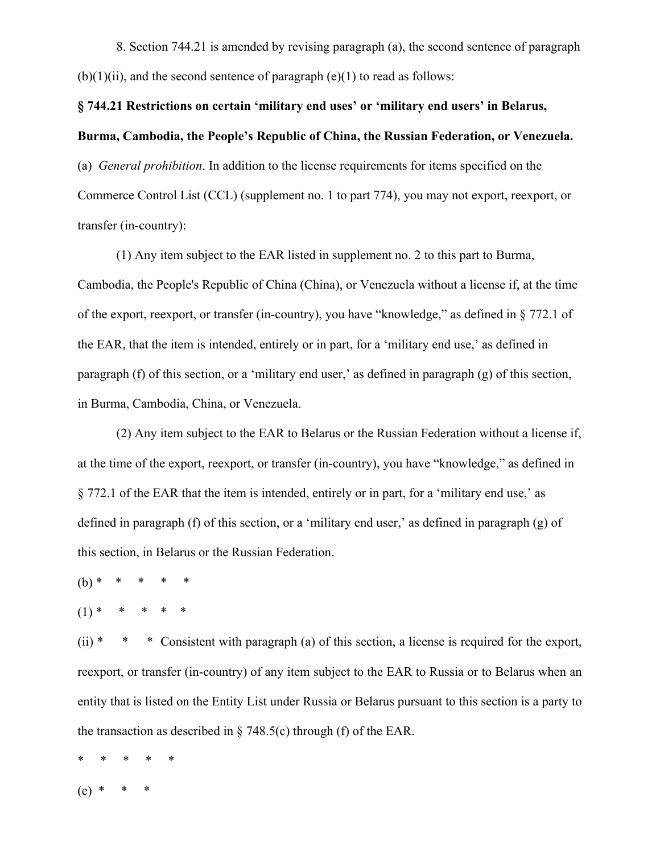8. Section 744.21 is amended by revising paragraph (a), the second sentence of paragraph  $(b)(1)(ii)$ , and the second sentence of paragraph  $(e)(1)$  to read as follows:

# **§ 744.21 Restrictions on certain 'military end uses' or 'military end users' in Belarus, Burma, Cambodia, the People's Republic of China, the Russian Federation, or Venezuela.**

(a) *General prohibition*. In addition to the license requirements for items specified on the Commerce Control List (CCL) (supplement no. 1 to part 774), you may not export, reexport, or transfer (in-country):

(1) Any item subject to the EAR listed in supplement no. 2 to this part to Burma, Cambodia, the People's Republic of China (China), or Venezuela without a license if, at the time of the export, reexport, or transfer (in-country), you have "knowledge," as defined in § 772.1 of the EAR, that the item is intended, entirely or in part, for a 'military end use,' as defined in paragraph (f) of this section, or a 'military end user,' as defined in paragraph (g) of this section, in Burma, Cambodia, China, or Venezuela.

(2) Any item subject to the EAR to Belarus or the Russian Federation without a license if, at the time of the export, reexport, or transfer (in-country), you have "knowledge," as defined in § 772.1 of the EAR that the item is intended, entirely or in part, for a 'military end use,' as defined in paragraph (f) of this section, or a 'military end user,' as defined in paragraph (g) of this section, in Belarus or the Russian Federation.

- $(b) * * * * * *$
- $(1)$  \*

(ii)  $* * *$  Consistent with paragraph (a) of this section, a license is required for the export, reexport, or transfer (in-country) of any item subject to the EAR to Russia or to Belarus when an entity that is listed on the Entity List under Russia or Belarus pursuant to this section is a party to the transaction as described in  $\S$  748.5(c) through (f) of the EAR.

- \* \* \* \* \*
- (e)\* \* \*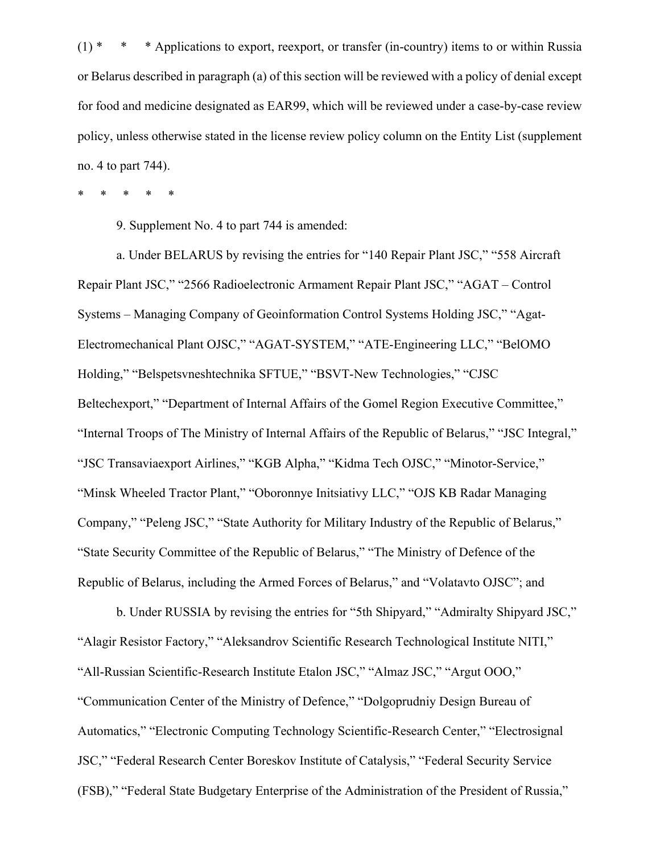$(1)$  \* \* \* Applications to export, reexport, or transfer (in-country) items to or within Russia or Belarus described in paragraph (a) of this section will be reviewed with a policy of denial except for food and medicine designated as EAR99, which will be reviewed under a case-by-case review policy, unless otherwise stated in the license review policy column on the Entity List (supplement no. 4 to part 744).

\* \* \* \* \*

9. Supplement No. 4 to part 744 is amended:

a. Under BELARUS by revising the entries for "140 Repair Plant JSC," "558 Aircraft Repair Plant JSC," "2566 Radioelectronic Armament Repair Plant JSC," "AGAT – Control Systems – Managing Company of Geoinformation Control Systems Holding JSC," "Agat-Electromechanical Plant OJSC," "AGAT-SYSTEM," "ATE-Engineering LLC," "BelOMO Holding," "Belspetsvneshtechnika SFTUE," "BSVT-New Technologies," "CJSC Beltechexport," "Department of Internal Affairs of the Gomel Region Executive Committee," "Internal Troops of The Ministry of Internal Affairs of the Republic of Belarus," "JSC Integral," "JSC Transaviaexport Airlines," "KGB Alpha," "Kidma Tech OJSC," "Minotor-Service," "Minsk Wheeled Tractor Plant," "Oboronnye Initsiativy LLC," "OJS KB Radar Managing Company," "Peleng JSC," "State Authority for Military Industry of the Republic of Belarus," "State Security Committee of the Republic of Belarus," "The Ministry of Defence of the Republic of Belarus, including the Armed Forces of Belarus," and "Volatavto OJSC"; and

b. Under RUSSIA by revising the entries for "5th Shipyard," "Admiralty Shipyard JSC," "Alagir Resistor Factory," "Aleksandrov Scientific Research Technological Institute NITI," "All-Russian Scientific-Research Institute Etalon JSC," "Almaz JSC," "Argut OOO," "Communication Center of the Ministry of Defence," "Dolgoprudniy Design Bureau of Automatics," "Electronic Computing Technology Scientific-Research Center," "Electrosignal JSC," "Federal Research Center Boreskov Institute of Catalysis," "Federal Security Service (FSB)," "Federal State Budgetary Enterprise of the Administration of the President of Russia,"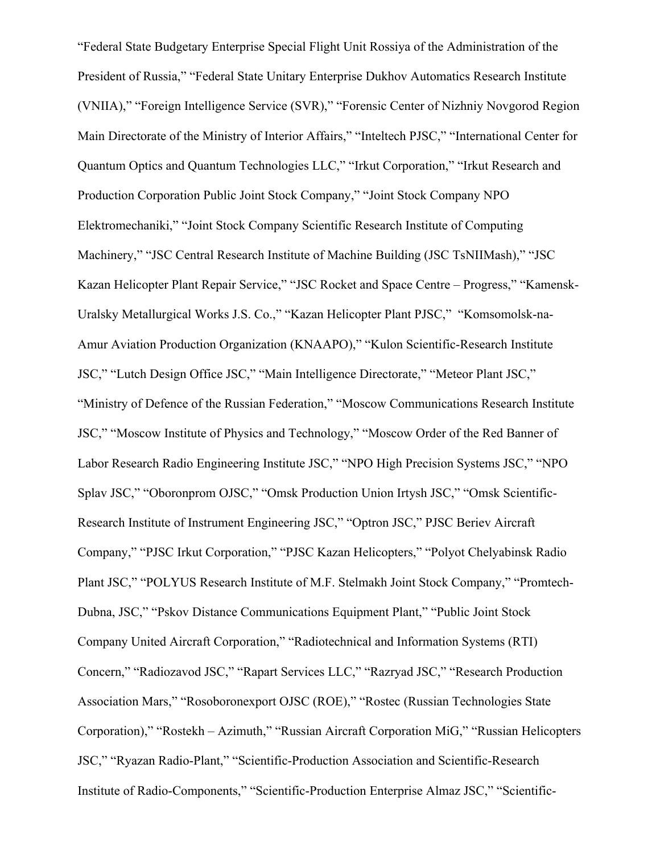"Federal State Budgetary Enterprise Special Flight Unit Rossiya of the Administration of the President of Russia," "Federal State Unitary Enterprise Dukhov Automatics Research Institute (VNIIA)," "Foreign Intelligence Service (SVR)," "Forensic Center of Nizhniy Novgorod Region Main Directorate of the Ministry of Interior Affairs," "Inteltech PJSC," "International Center for Quantum Optics and Quantum Technologies LLC," "Irkut Corporation," "Irkut Research and Production Corporation Public Joint Stock Company," "Joint Stock Company NPO Elektromechaniki," "Joint Stock Company Scientific Research Institute of Computing Machinery," "JSC Central Research Institute of Machine Building (JSC TsNIIMash)," "JSC Kazan Helicopter Plant Repair Service," "JSC Rocket and Space Centre – Progress," "Kamensk-Uralsky Metallurgical Works J.S. Co.," "Kazan Helicopter Plant PJSC," "Komsomolsk-na-Amur Aviation Production Organization (KNAAPO)," "Kulon Scientific-Research Institute JSC," "Lutch Design Office JSC," "Main Intelligence Directorate," "Meteor Plant JSC," "Ministry of Defence of the Russian Federation," "Moscow Communications Research Institute JSC," "Moscow Institute of Physics and Technology," "Moscow Order of the Red Banner of Labor Research Radio Engineering Institute JSC," "NPO High Precision Systems JSC," "NPO Splav JSC," "Oboronprom OJSC," "Omsk Production Union Irtysh JSC," "Omsk Scientific-Research Institute of Instrument Engineering JSC," "Optron JSC," PJSC Beriev Aircraft Company," "PJSC Irkut Corporation," "PJSC Kazan Helicopters," "Polyot Chelyabinsk Radio Plant JSC," "POLYUS Research Institute of M.F. Stelmakh Joint Stock Company," "Promtech-Dubna, JSC," "Pskov Distance Communications Equipment Plant," "Public Joint Stock Company United Aircraft Corporation," "Radiotechnical and Information Systems (RTI) Concern," "Radiozavod JSC," "Rapart Services LLC," "Razryad JSC," "Research Production Association Mars," "Rosoboronexport OJSC (ROE)," "Rostec (Russian Technologies State Corporation)," "Rostekh – Azimuth," "Russian Aircraft Corporation MiG," "Russian Helicopters JSC," "Ryazan Radio-Plant," "Scientific-Production Association and Scientific-Research Institute of Radio-Components," "Scientific-Production Enterprise Almaz JSC," "Scientific-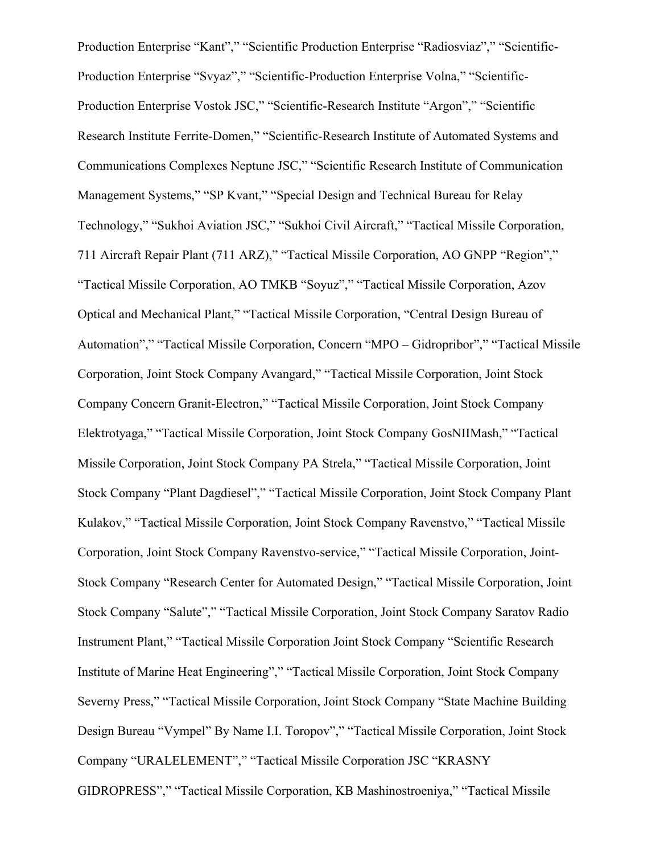Production Enterprise "Kant"," "Scientific Production Enterprise "Radiosviaz"," "Scientific-Production Enterprise "Svyaz"," "Scientific-Production Enterprise Volna," "Scientific-Production Enterprise Vostok JSC," "Scientific-Research Institute "Argon"," "Scientific Research Institute Ferrite-Domen," "Scientific-Research Institute of Automated Systems and Communications Complexes Neptune JSC," "Scientific Research Institute of Communication Management Systems," "SP Kvant," "Special Design and Technical Bureau for Relay Technology," "Sukhoi Aviation JSC," "Sukhoi Civil Aircraft," "Tactical Missile Corporation, 711 Aircraft Repair Plant (711 ARZ)," "Tactical Missile Corporation, AO GNPP "Region"," "Tactical Missile Corporation, AO TMKB "Soyuz"," "Tactical Missile Corporation, Azov Optical and Mechanical Plant," "Tactical Missile Corporation, "Central Design Bureau of Automation"," "Tactical Missile Corporation, Concern "MPO – Gidropribor"," "Tactical Missile Corporation, Joint Stock Company Avangard," "Tactical Missile Corporation, Joint Stock Company Concern Granit-Electron," "Tactical Missile Corporation, Joint Stock Company Elektrotyaga," "Tactical Missile Corporation, Joint Stock Company GosNIIMash," "Tactical Missile Corporation, Joint Stock Company PA Strela," "Tactical Missile Corporation, Joint Stock Company "Plant Dagdiesel"," "Tactical Missile Corporation, Joint Stock Company Plant Kulakov," "Tactical Missile Corporation, Joint Stock Company Ravenstvo," "Tactical Missile Corporation, Joint Stock Company Ravenstvo-service," "Tactical Missile Corporation, Joint-Stock Company "Research Center for Automated Design," "Tactical Missile Corporation, Joint Stock Company "Salute"," "Tactical Missile Corporation, Joint Stock Company Saratov Radio Instrument Plant," "Tactical Missile Corporation Joint Stock Company "Scientific Research Institute of Marine Heat Engineering"," "Tactical Missile Corporation, Joint Stock Company Severny Press," "Tactical Missile Corporation, Joint Stock Company "State Machine Building Design Bureau "Vympel" By Name I.I. Toropov"," "Tactical Missile Corporation, Joint Stock Company "URALELEMENT"," "Tactical Missile Corporation JSC "KRASNY GIDROPRESS"," "Tactical Missile Corporation, KB Mashinostroeniya," "Tactical Missile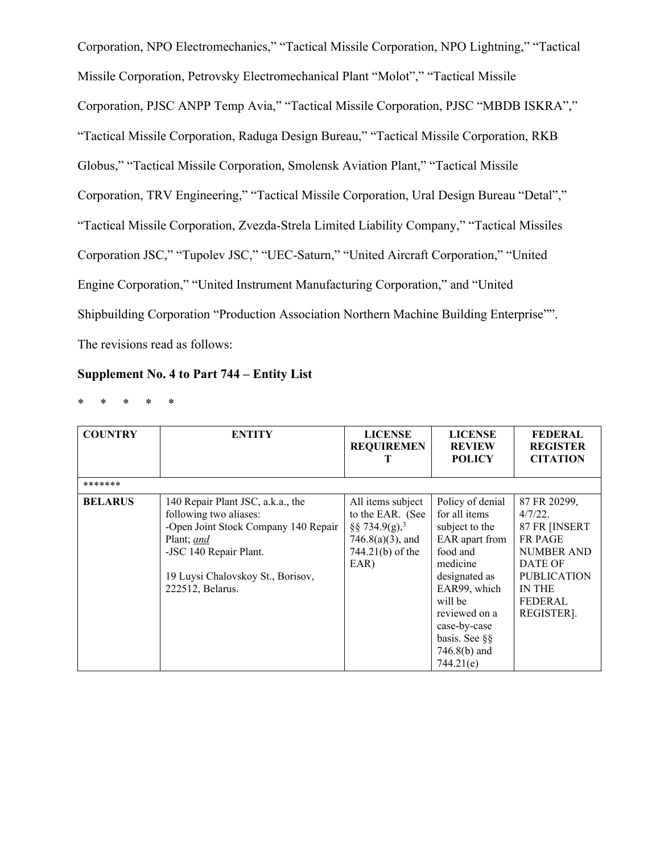Corporation, NPO Electromechanics," "Tactical Missile Corporation, NPO Lightning," "Tactical Missile Corporation, Petrovsky Electromechanical Plant "Molot"," "Tactical Missile Corporation, PJSC ANPP Temp Avia," "Tactical Missile Corporation, PJSC "MBDB ISKRA"," "Tactical Missile Corporation, Raduga Design Bureau," "Tactical Missile Corporation, RKB Globus," "Tactical Missile Corporation, Smolensk Aviation Plant," "Tactical Missile Corporation, TRV Engineering," "Tactical Missile Corporation, Ural Design Bureau "Detal"," "Tactical Missile Corporation, Zvezda-Strela Limited Liability Company," "Tactical Missiles Corporation JSC," "Tupolev JSC," "UEC-Saturn," "United Aircraft Corporation," "United Engine Corporation," "United Instrument Manufacturing Corporation," and "United Shipbuilding Corporation "Production Association Northern Machine Building Enterprise"". The revisions read as follows:

## **Supplement No. 4 to Part 744 – Entity List**

\* \* \* \* \*

| <b>COUNTRY</b> | <b>ENTITY</b>                                                                                                                                                                                        | <b>LICENSE</b><br><b>REQUIREMEN</b>                                                                                   | <b>LICENSE</b><br><b>REVIEW</b><br><b>POLICY</b>                                                                                                                                                                           | <b>FEDERAL</b><br><b>REGISTER</b><br><b>CITATION</b>                                                                                                       |
|----------------|------------------------------------------------------------------------------------------------------------------------------------------------------------------------------------------------------|-----------------------------------------------------------------------------------------------------------------------|----------------------------------------------------------------------------------------------------------------------------------------------------------------------------------------------------------------------------|------------------------------------------------------------------------------------------------------------------------------------------------------------|
| *******        |                                                                                                                                                                                                      |                                                                                                                       |                                                                                                                                                                                                                            |                                                                                                                                                            |
| <b>BELARUS</b> | 140 Repair Plant JSC, a.k.a., the<br>following two aliases:<br>-Open Joint Stock Company 140 Repair<br>Plant; and<br>-JSC 140 Repair Plant.<br>19 Luysi Chalovskoy St., Borisov,<br>222512, Belarus. | All items subject<br>to the EAR. (See<br>§§ 734.9(g), <sup>3</sup><br>$746.8(a)(3)$ , and<br>744.21(b) of the<br>EAR) | Policy of denial<br>for all items<br>subject to the<br>EAR apart from<br>food and<br>medicine<br>designated as<br>EAR99, which<br>will be<br>reviewed on a<br>case-by-case<br>basis. See §§<br>$746.8(b)$ and<br>744.21(e) | 87 FR 20299,<br>4/7/22.<br>87 FR [INSERT<br><b>FR PAGE</b><br><b>NUMBER AND</b><br>DATE OF<br><b>PUBLICATION</b><br><b>IN THE</b><br>FEDERAL<br>REGISTER]. |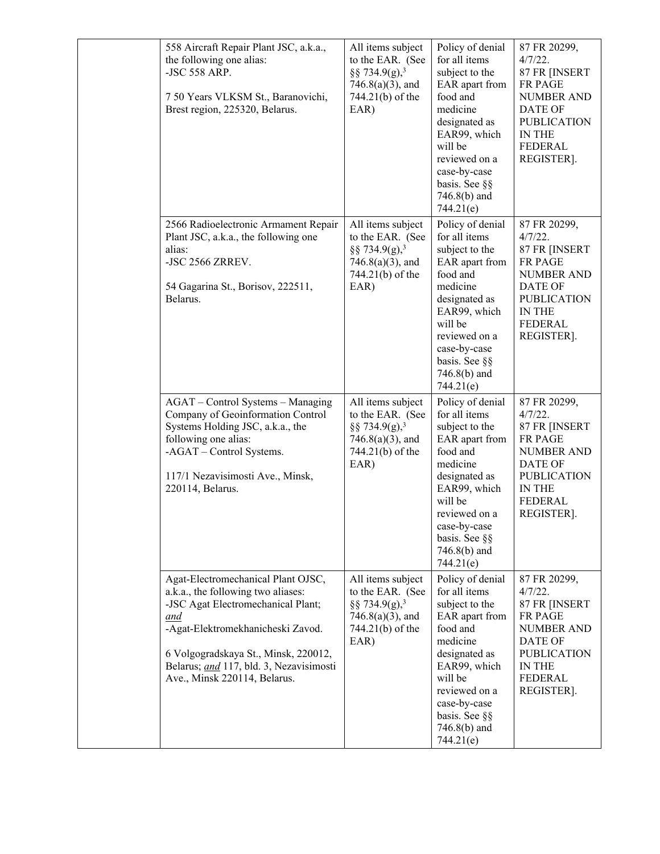| 558 Aircraft Repair Plant JSC, a.k.a.,<br>the following one alias:<br>-JSC 558 ARP.<br>7 50 Years VLKSM St., Baranovichi,<br>Brest region, 225320, Belarus.                                                                                                                   | All items subject<br>to the EAR. (See<br>§§ 734.9(g), <sup>3</sup><br>$746.8(a)(3)$ , and<br>744.21(b) of the<br>EAR) | Policy of denial<br>for all items<br>subject to the<br>EAR apart from<br>food and<br>medicine<br>designated as<br>EAR99, which<br>will be<br>reviewed on a<br>case-by-case<br>basis. See §§<br>$746.8(b)$ and<br>744.21(e) | 87 FR 20299,<br>$4/7/22$ .<br>87 FR [INSERT<br><b>FR PAGE</b><br><b>NUMBER AND</b><br>DATE OF<br><b>PUBLICATION</b><br>IN THE<br><b>FEDERAL</b><br>REGISTER].     |
|-------------------------------------------------------------------------------------------------------------------------------------------------------------------------------------------------------------------------------------------------------------------------------|-----------------------------------------------------------------------------------------------------------------------|----------------------------------------------------------------------------------------------------------------------------------------------------------------------------------------------------------------------------|-------------------------------------------------------------------------------------------------------------------------------------------------------------------|
| 2566 Radioelectronic Armament Repair<br>Plant JSC, a.k.a., the following one<br>alias:<br>-JSC 2566 ZRREV.<br>54 Gagarina St., Borisov, 222511,<br>Belarus.                                                                                                                   | All items subject<br>to the EAR. (See<br>§§ 734.9(g), <sup>3</sup><br>$746.8(a)(3)$ , and<br>744.21(b) of the<br>EAR) | Policy of denial<br>for all items<br>subject to the<br>EAR apart from<br>food and<br>medicine<br>designated as<br>EAR99, which<br>will be<br>reviewed on a<br>case-by-case<br>basis. See §§<br>746.8(b) and<br>744.21(e)   | 87 FR 20299,<br>$4/7/22$ .<br>87 FR [INSERT<br>FR PAGE<br><b>NUMBER AND</b><br>DATE OF<br><b>PUBLICATION</b><br>IN THE<br><b>FEDERAL</b><br>REGISTER].            |
| AGAT - Control Systems - Managing<br>Company of Geoinformation Control<br>Systems Holding JSC, a.k.a., the<br>following one alias:<br>-AGAT - Control Systems.<br>117/1 Nezavisimosti Ave., Minsk,<br>220114, Belarus.                                                        | All items subject<br>to the EAR. (See<br>§§ 734.9(g), <sup>3</sup><br>$746.8(a)(3)$ , and<br>744.21(b) of the<br>EAR) | Policy of denial<br>for all items<br>subject to the<br>EAR apart from<br>food and<br>medicine<br>designated as<br>EAR99, which<br>will be<br>reviewed on a<br>case-by-case<br>basis. See §§<br>$746.8(b)$ and<br>744.21(e) | 87 FR 20299,<br>$4/7/22$ .<br>87 FR [INSERT<br><b>FR PAGE</b><br><b>NUMBER AND</b><br>DATE OF<br><b>PUBLICATION</b><br>IN THE<br><b>FEDERAL</b><br>REGISTER].     |
| Agat-Electromechanical Plant OJSC,<br>a.k.a., the following two aliases:<br>-JSC Agat Electromechanical Plant;<br>and<br>-Agat-Elektromekhanicheski Zavod.<br>6 Volgogradskaya St., Minsk, 220012,<br>Belarus; and 117, bld. 3, Nezavisimosti<br>Ave., Minsk 220114, Belarus. | All items subject<br>to the EAR. (See<br>§§ 734.9(g), <sup>3</sup><br>$746.8(a)(3)$ , and<br>744.21(b) of the<br>EAR) | Policy of denial<br>for all items<br>subject to the<br>EAR apart from<br>food and<br>medicine<br>designated as<br>EAR99, which<br>will be<br>reviewed on a<br>case-by-case<br>basis. See §§<br>$746.8(b)$ and<br>744.21(e) | 87 FR 20299,<br>4/7/22.<br>87 FR [INSERT<br><b>FR PAGE</b><br><b>NUMBER AND</b><br>DATE OF<br><b>PUBLICATION</b><br><b>IN THE</b><br><b>FEDERAL</b><br>REGISTER]. |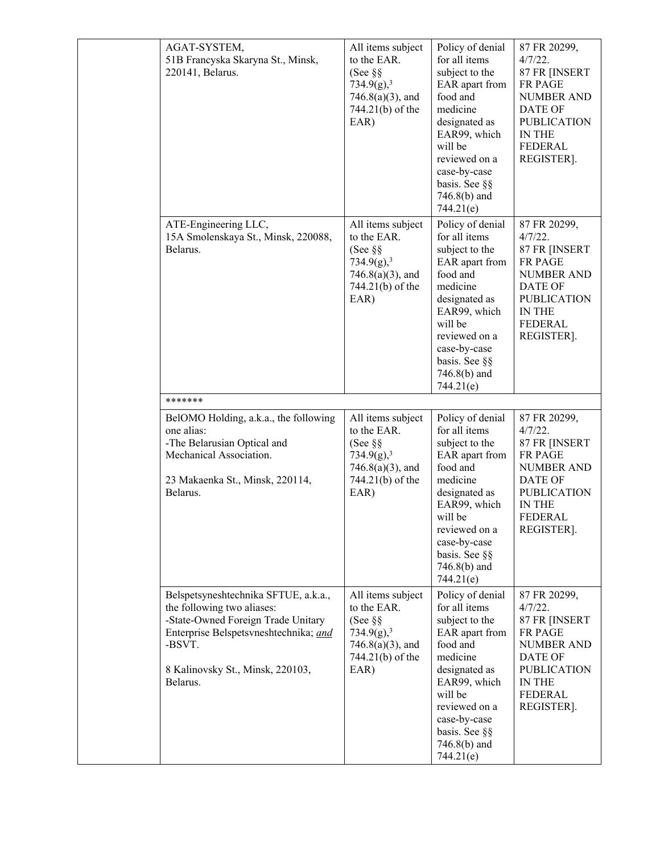| AGAT-SYSTEM,<br>51B Francyska Skaryna St., Minsk,<br>220141, Belarus.                                                                                                                                       | All items subject<br>to the EAR.<br>(See $\S$ $\S$<br>734.9(g), <sup>3</sup><br>$746.8(a)(3)$ , and<br>744.21(b) of the<br>EAR) | Policy of denial<br>for all items<br>subject to the<br>EAR apart from<br>food and<br>medicine<br>designated as<br>EAR99, which<br>will be<br>reviewed on a<br>case-by-case<br>basis. See §§<br>746.8(b) and<br>744.21(e)   | 87 FR 20299,<br>$4/7/22$ .<br>87 FR [INSERT<br><b>FR PAGE</b><br><b>NUMBER AND</b><br>DATE OF<br><b>PUBLICATION</b><br>IN THE<br><b>FEDERAL</b><br>REGISTER]. |
|-------------------------------------------------------------------------------------------------------------------------------------------------------------------------------------------------------------|---------------------------------------------------------------------------------------------------------------------------------|----------------------------------------------------------------------------------------------------------------------------------------------------------------------------------------------------------------------------|---------------------------------------------------------------------------------------------------------------------------------------------------------------|
| ATE-Engineering LLC,<br>15A Smolenskaya St., Minsk, 220088,<br>Belarus.                                                                                                                                     | All items subject<br>to the EAR.<br>(See $\S$ $\S$<br>734.9(g), <sup>3</sup><br>$746.8(a)(3)$ , and<br>744.21(b) of the<br>EAR) | Policy of denial<br>for all items<br>subject to the<br>EAR apart from<br>food and<br>medicine<br>designated as<br>EAR99, which<br>will be<br>reviewed on a<br>case-by-case<br>basis. See §§<br>746.8(b) and<br>744.21(e)   | 87 FR 20299,<br>$4/7/22$ .<br>87 FR [INSERT<br>FR PAGE<br><b>NUMBER AND</b><br>DATE OF<br><b>PUBLICATION</b><br><b>IN THE</b><br><b>FEDERAL</b><br>REGISTER]. |
| *******                                                                                                                                                                                                     |                                                                                                                                 |                                                                                                                                                                                                                            |                                                                                                                                                               |
| BelOMO Holding, a.k.a., the following<br>one alias:<br>-The Belarusian Optical and<br>Mechanical Association.<br>23 Makaenka St., Minsk, 220114,<br>Belarus.                                                | All items subject<br>to the EAR.<br>(See $\S$ §<br>734.9(g), <sup>3</sup><br>$746.8(a)(3)$ , and<br>744.21(b) of the<br>EAR)    | Policy of denial<br>for all items<br>subject to the<br>EAR apart from<br>food and<br>medicine<br>designated as<br>EAR99, which<br>will be<br>reviewed on a<br>case-by-case<br>basis. See §§<br>$746.8(b)$ and<br>744.21(e) | 87 FR 20299,<br>$4/7/22$ .<br>87 FR [INSERT<br>FR PAGE<br><b>NUMBER AND</b><br>DATE OF<br><b>PUBLICATION</b><br>IN THE<br>FEDERAL<br>REGISTER].               |
| Belspetsyneshtechnika SFTUE, a.k.a.,<br>the following two aliases:<br>-State-Owned Foreign Trade Unitary<br>Enterprise Belspetsvneshtechnika; and<br>-BSVT.<br>8 Kalinovsky St., Minsk, 220103,<br>Belarus. | All items subject<br>to the EAR.<br>(See $\S$ $\S$<br>734.9(g), <sup>3</sup><br>$746.8(a)(3)$ , and<br>744.21(b) of the<br>EAR) | Policy of denial<br>for all items<br>subject to the<br>EAR apart from<br>food and<br>medicine<br>designated as<br>EAR99, which<br>will be<br>reviewed on a<br>case-by-case<br>basis. See §§<br>$746.8(b)$ and<br>744.21(e) | 87 FR 20299,<br>$4/7/22$ .<br>87 FR [INSERT<br>FR PAGE<br><b>NUMBER AND</b><br><b>DATE OF</b><br><b>PUBLICATION</b><br>IN THE<br><b>FEDERAL</b><br>REGISTER]. |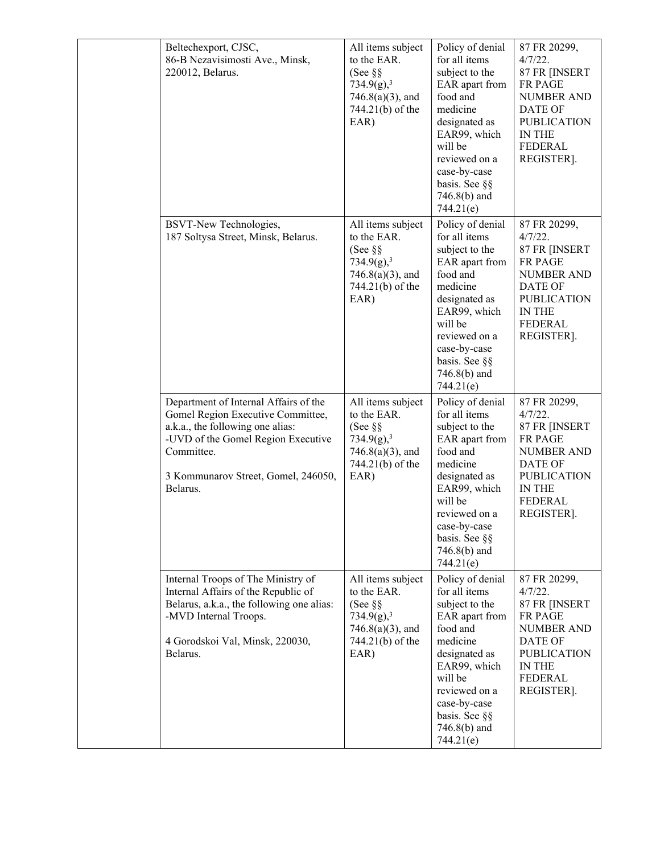| Beltechexport, CJSC,<br>86-B Nezavisimosti Ave., Minsk,<br>220012, Belarus.                                                                                                                                           | All items subject<br>to the EAR.<br>(See $\S$ §<br>734.9(g), <sup>3</sup><br>$746.8(a)(3)$ , and<br>744.21(b) of the<br>EAR)    | Policy of denial<br>for all items<br>subject to the<br>EAR apart from<br>food and<br>medicine<br>designated as<br>EAR99, which<br>will be<br>reviewed on a<br>case-by-case<br>basis. See §§<br>$746.8(b)$ and<br>744.21(e) | 87 FR 20299,<br>4/7/22.<br>87 FR [INSERT<br>FR PAGE<br>NUMBER AND<br><b>DATE OF</b><br><b>PUBLICATION</b><br>IN THE<br><b>FEDERAL</b><br>REGISTER].           |
|-----------------------------------------------------------------------------------------------------------------------------------------------------------------------------------------------------------------------|---------------------------------------------------------------------------------------------------------------------------------|----------------------------------------------------------------------------------------------------------------------------------------------------------------------------------------------------------------------------|---------------------------------------------------------------------------------------------------------------------------------------------------------------|
| BSVT-New Technologies,<br>187 Soltysa Street, Minsk, Belarus.                                                                                                                                                         | All items subject<br>to the EAR.<br>(See $\S$ $\S$<br>734.9(g), <sup>3</sup><br>$746.8(a)(3)$ , and<br>744.21(b) of the<br>EAR) | Policy of denial<br>for all items<br>subject to the<br>EAR apart from<br>food and<br>medicine<br>designated as<br>EAR99, which<br>will be<br>reviewed on a<br>case-by-case<br>basis. See §§<br>$746.8(b)$ and<br>744.21(e) | 87 FR 20299,<br>$4/7/22$ .<br>87 FR [INSERT<br>FR PAGE<br><b>NUMBER AND</b><br>DATE OF<br><b>PUBLICATION</b><br>IN THE<br>FEDERAL<br>REGISTER].               |
| Department of Internal Affairs of the<br>Gomel Region Executive Committee,<br>a.k.a., the following one alias:<br>-UVD of the Gomel Region Executive<br>Committee.<br>3 Kommunarov Street, Gomel, 246050,<br>Belarus. | All items subject<br>to the EAR.<br>(See $\S$ §<br>734.9(g), <sup>3</sup><br>$746.8(a)(3)$ , and<br>744.21(b) of the<br>EAR)    | Policy of denial<br>for all items<br>subject to the<br>EAR apart from<br>food and<br>medicine<br>designated as<br>EAR99, which<br>will be<br>reviewed on a<br>case-by-case<br>basis. See §§<br>$746.8(b)$ and<br>744.21(e) | 87 FR 20299,<br>$4/7/22$ .<br>87 FR [INSERT<br>FR PAGE<br><b>NUMBER AND</b><br><b>DATE OF</b><br><b>PUBLICATION</b><br><b>IN THE</b><br>FEDERAL<br>REGISTER]. |
| Internal Troops of The Ministry of<br>Internal Affairs of the Republic of<br>Belarus, a.k.a., the following one alias:<br>-MVD Internal Troops.<br>4 Gorodskoi Val, Minsk, 220030,<br>Belarus.                        | All items subject<br>to the EAR.<br>(See $\S$ $\S$<br>734.9(g), <sup>3</sup><br>$746.8(a)(3)$ , and<br>744.21(b) of the<br>EAR) | Policy of denial<br>for all items<br>subject to the<br>EAR apart from<br>food and<br>medicine<br>designated as<br>EAR99, which<br>will be<br>reviewed on a<br>case-by-case<br>basis. See §§<br>746.8(b) and<br>744.21(e)   | 87 FR 20299,<br>4/7/22.<br>87 FR [INSERT<br><b>FR PAGE</b><br><b>NUMBER AND</b><br>DATE OF<br><b>PUBLICATION</b><br>IN THE<br>FEDERAL<br>REGISTER].           |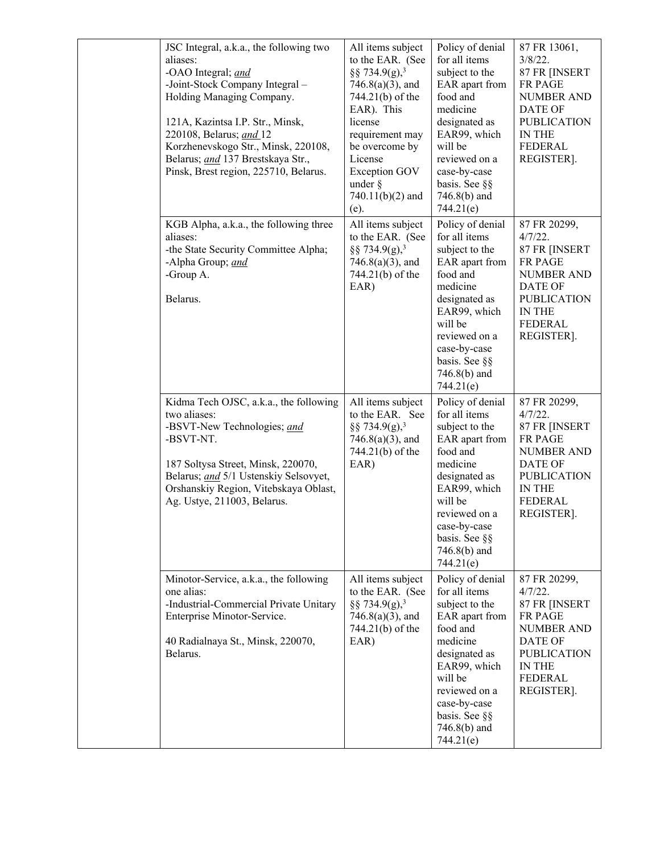|  | JSC Integral, a.k.a., the following two<br>aliases:<br>-OAO Integral; and<br>-Joint-Stock Company Integral -<br>Holding Managing Company.<br>121A, Kazintsa I.P. Str., Minsk,<br>220108, Belarus; and 12<br>Korzhenevskogo Str., Minsk, 220108,<br>Belarus; and 137 Brestskaya Str.,<br>Pinsk, Brest region, 225710, Belarus. | All items subject<br>to the EAR. (See<br>§§ 734.9(g), <sup>3</sup><br>$746.8(a)(3)$ , and<br>744.21(b) of the<br>EAR). This<br>license<br>requirement may<br>be overcome by<br>License<br><b>Exception GOV</b><br>under $\S$<br>$740.11(b)(2)$ and<br>(e). | Policy of denial<br>for all items<br>subject to the<br>EAR apart from<br>food and<br>medicine<br>designated as<br>EAR99, which<br>will be<br>reviewed on a<br>case-by-case<br>basis. See §§<br>746.8(b) and<br>744.21(e)   | 87 FR 13061,<br>$3/8/22$ .<br>87 FR [INSERT<br>FR PAGE<br><b>NUMBER AND</b><br><b>DATE OF</b><br><b>PUBLICATION</b><br>IN THE<br><b>FEDERAL</b><br>REGISTER].        |
|--|-------------------------------------------------------------------------------------------------------------------------------------------------------------------------------------------------------------------------------------------------------------------------------------------------------------------------------|------------------------------------------------------------------------------------------------------------------------------------------------------------------------------------------------------------------------------------------------------------|----------------------------------------------------------------------------------------------------------------------------------------------------------------------------------------------------------------------------|----------------------------------------------------------------------------------------------------------------------------------------------------------------------|
|  | KGB Alpha, a.k.a., the following three<br>aliases:<br>-the State Security Committee Alpha;<br>-Alpha Group; and<br>-Group A.<br>Belarus.                                                                                                                                                                                      | All items subject<br>to the EAR. (See<br>§§ 734.9(g), <sup>3</sup><br>$746.8(a)(3)$ , and<br>744.21(b) of the<br>EAR)                                                                                                                                      | Policy of denial<br>for all items<br>subject to the<br>EAR apart from<br>food and<br>medicine<br>designated as<br>EAR99, which<br>will be<br>reviewed on a<br>case-by-case<br>basis. See §§<br>746.8(b) and<br>744.21(e)   | 87 FR 20299,<br>$4/7/22$ .<br>87 FR [INSERT<br>FR PAGE<br><b>NUMBER AND</b><br><b>DATE OF</b><br><b>PUBLICATION</b><br><b>IN THE</b><br><b>FEDERAL</b><br>REGISTER]. |
|  | Kidma Tech OJSC, a.k.a., the following<br>two aliases:<br>-BSVT-New Technologies; and<br>-BSVT-NT.<br>187 Soltysa Street, Minsk, 220070,<br>Belarus; and 5/1 Ustenskiy Selsovyet,<br>Orshanskiy Region, Vitebskaya Oblast,<br>Ag. Ustye, 211003, Belarus.                                                                     | All items subject<br>to the EAR. See<br>§§ 734.9(g), <sup>3</sup><br>$746.8(a)(3)$ , and<br>744.21(b) of the<br>EAR)                                                                                                                                       | Policy of denial<br>for all items<br>subject to the<br>EAR apart from<br>food and<br>medicine<br>designated as<br>EAR99, which<br>will be<br>reviewed on a<br>case-by-case<br>basis. See §§<br>$746.8(b)$ and<br>744.21(e) | 87 FR 20299,<br>$4/7/22$ .<br>87 FR [INSERT<br>FR PAGE<br><b>NUMBER AND</b><br><b>DATE OF</b><br><b>PUBLICATION</b><br>IN THE<br><b>FEDERAL</b><br>REGISTER].        |
|  | Minotor-Service, a.k.a., the following<br>one alias:<br>-Industrial-Commercial Private Unitary<br>Enterprise Minotor-Service.<br>40 Radialnaya St., Minsk, 220070,<br>Belarus.                                                                                                                                                | All items subject<br>to the EAR. (See<br>§§ 734.9(g), <sup>3</sup><br>$746.8(a)(3)$ , and<br>744.21(b) of the<br>EAR)                                                                                                                                      | Policy of denial<br>for all items<br>subject to the<br>EAR apart from<br>food and<br>medicine<br>designated as<br>EAR99, which<br>will be<br>reviewed on a<br>case-by-case<br>basis. See §§<br>$746.8(b)$ and<br>744.21(e) | 87 FR 20299,<br>4/7/22.<br>87 FR [INSERT<br><b>FR PAGE</b><br><b>NUMBER AND</b><br>DATE OF<br><b>PUBLICATION</b><br>IN THE<br><b>FEDERAL</b><br>REGISTER].           |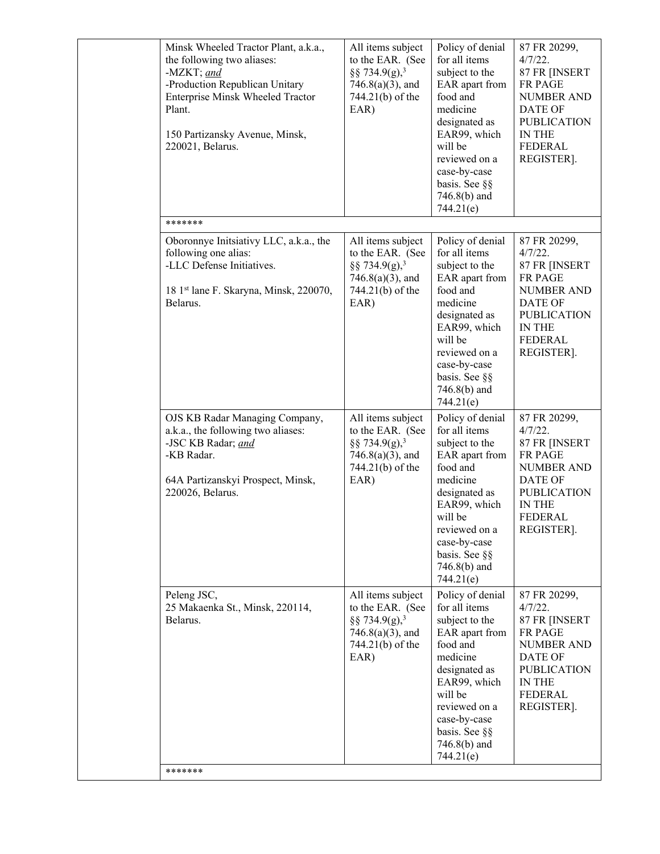| Minsk Wheeled Tractor Plant, a.k.a.,<br>the following two aliases:<br>-MZKT; and<br>-Production Republican Unitary<br>Enterprise Minsk Wheeled Tractor<br>Plant.<br>150 Partizansky Avenue, Minsk,<br>220021, Belarus. | All items subject<br>to the EAR. (See<br>§§ 734.9(g), <sup>3</sup><br>$746.8(a)(3)$ , and<br>744.21(b) of the<br>EAR) | Policy of denial<br>for all items<br>subject to the<br>EAR apart from<br>food and<br>medicine<br>designated as<br>EAR99, which<br>will be<br>reviewed on a<br>case-by-case<br>basis. See §§<br>746.8(b) and<br>744.21(e)   | 87 FR 20299,<br>4/7/22.<br>87 FR [INSERT<br>FR PAGE<br><b>NUMBER AND</b><br><b>DATE OF</b><br><b>PUBLICATION</b><br>IN THE<br><b>FEDERAL</b><br>REGISTER].    |
|------------------------------------------------------------------------------------------------------------------------------------------------------------------------------------------------------------------------|-----------------------------------------------------------------------------------------------------------------------|----------------------------------------------------------------------------------------------------------------------------------------------------------------------------------------------------------------------------|---------------------------------------------------------------------------------------------------------------------------------------------------------------|
| *******                                                                                                                                                                                                                |                                                                                                                       |                                                                                                                                                                                                                            |                                                                                                                                                               |
| Oboronnye Initsiativy LLC, a.k.a., the<br>following one alias:<br>-LLC Defense Initiatives.<br>18 1st lane F. Skaryna, Minsk, 220070,<br>Belarus.                                                                      | All items subject<br>to the EAR. (See<br>§§ 734.9(g), <sup>3</sup><br>$746.8(a)(3)$ , and<br>744.21(b) of the<br>EAR) | Policy of denial<br>for all items<br>subject to the<br>EAR apart from<br>food and<br>medicine<br>designated as<br>EAR99, which<br>will be<br>reviewed on a<br>case-by-case<br>basis. See §§<br>$746.8(b)$ and<br>744.21(e) | 87 FR 20299,<br>$4/7/22$ .<br>87 FR [INSERT<br>FR PAGE<br><b>NUMBER AND</b><br><b>DATE OF</b><br><b>PUBLICATION</b><br>IN THE<br><b>FEDERAL</b><br>REGISTER]. |
| OJS KB Radar Managing Company,<br>a.k.a., the following two aliases:<br>-JSC KB Radar; and<br>-KB Radar.<br>64A Partizanskyi Prospect, Minsk,<br>220026, Belarus.                                                      | All items subject<br>to the EAR. (See<br>§§ 734.9(g), <sup>3</sup><br>$746.8(a)(3)$ , and<br>744.21(b) of the<br>EAR) | Policy of denial<br>for all items<br>subject to the<br>EAR apart from<br>food and<br>medicine<br>designated as<br>EAR99, which<br>will be<br>reviewed on a<br>case-by-case<br>basis. See §§<br>$746.8(b)$ and<br>744.21(e) | 87 FR 20299,<br>$4/7/22$ .<br>87 FR [INSERT<br><b>FR PAGE</b><br><b>NUMBER AND</b><br>DATE OF<br><b>PUBLICATION</b><br>IN THE<br><b>FEDERAL</b><br>REGISTER]. |
| Peleng JSC,<br>25 Makaenka St., Minsk, 220114,<br>Belarus.<br>*******                                                                                                                                                  | All items subject<br>to the EAR. (See<br>§§ 734.9(g), <sup>3</sup><br>$746.8(a)(3)$ , and<br>744.21(b) of the<br>EAR) | Policy of denial<br>for all items<br>subject to the<br>EAR apart from<br>food and<br>medicine<br>designated as<br>EAR99, which<br>will be<br>reviewed on a<br>case-by-case<br>basis. See §§<br>746.8(b) and<br>744.21(e)   | 87 FR 20299,<br>$4/7/22$ .<br>87 FR [INSERT<br>FR PAGE<br><b>NUMBER AND</b><br><b>DATE OF</b><br><b>PUBLICATION</b><br>IN THE<br><b>FEDERAL</b><br>REGISTER]. |
|                                                                                                                                                                                                                        |                                                                                                                       |                                                                                                                                                                                                                            |                                                                                                                                                               |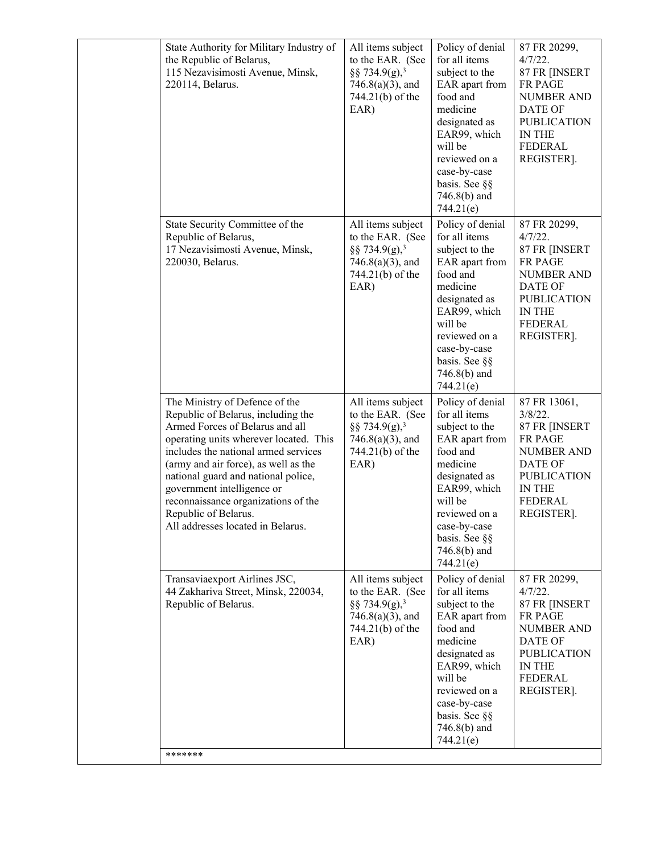|  | State Authority for Military Industry of<br>the Republic of Belarus,<br>115 Nezavisimosti Avenue, Minsk,<br>220114, Belarus.                                                                                                                                                                                                                                                                               | All items subject<br>to the EAR. (See<br>§§ 734.9(g), <sup>3</sup><br>$746.8(a)(3)$ , and<br>744.21(b) of the<br>EAR) | Policy of denial<br>for all items<br>subject to the<br>EAR apart from<br>food and<br>medicine<br>designated as<br>EAR99, which<br>will be<br>reviewed on a<br>case-by-case<br>basis. See §§<br>$746.8(b)$ and<br>744.21(e) | 87 FR 20299,<br>$4/7/22$ .<br>87 FR [INSERT<br>FR PAGE<br>NUMBER AND<br>DATE OF<br><b>PUBLICATION</b><br>IN THE<br><b>FEDERAL</b><br>REGISTER].               |
|--|------------------------------------------------------------------------------------------------------------------------------------------------------------------------------------------------------------------------------------------------------------------------------------------------------------------------------------------------------------------------------------------------------------|-----------------------------------------------------------------------------------------------------------------------|----------------------------------------------------------------------------------------------------------------------------------------------------------------------------------------------------------------------------|---------------------------------------------------------------------------------------------------------------------------------------------------------------|
|  | State Security Committee of the<br>Republic of Belarus,<br>17 Nezavisimosti Avenue, Minsk,<br>220030, Belarus.                                                                                                                                                                                                                                                                                             | All items subject<br>to the EAR. (See<br>§§ 734.9(g), <sup>3</sup><br>$746.8(a)(3)$ , and<br>744.21(b) of the<br>EAR) | Policy of denial<br>for all items<br>subject to the<br>EAR apart from<br>food and<br>medicine<br>designated as<br>EAR99, which<br>will be<br>reviewed on a<br>case-by-case<br>basis. See §§<br>$746.8(b)$ and<br>744.21(e) | 87 FR 20299,<br>$4/7/22$ .<br>87 FR [INSERT<br>FR PAGE<br><b>NUMBER AND</b><br>DATE OF<br><b>PUBLICATION</b><br>IN THE<br><b>FEDERAL</b><br>REGISTER].        |
|  | The Ministry of Defence of the<br>Republic of Belarus, including the<br>Armed Forces of Belarus and all<br>operating units wherever located. This<br>includes the national armed services<br>(army and air force), as well as the<br>national guard and national police,<br>government intelligence or<br>reconnaissance organizations of the<br>Republic of Belarus.<br>All addresses located in Belarus. | All items subject<br>to the EAR. (See<br>§§ 734.9(g), <sup>3</sup><br>$746.8(a)(3)$ , and<br>744.21(b) of the<br>EAR) | Policy of denial<br>for all items<br>subject to the<br>EAR apart from<br>food and<br>medicine<br>designated as<br>EAR99, which<br>will be<br>reviewed on a<br>case-by-case<br>basis. See §§<br>746.8(b) and<br>744.21(e)   | 87 FR 13061,<br>$3/8/22$ .<br>87 FR [INSERT<br>FR PAGE<br><b>NUMBER AND</b><br><b>DATE OF</b><br><b>PUBLICATION</b><br>IN THE<br><b>FEDERAL</b><br>REGISTER]. |
|  | Transaviaexport Airlines JSC,<br>44 Zakhariva Street, Minsk, 220034,<br>Republic of Belarus.                                                                                                                                                                                                                                                                                                               | All items subject<br>to the EAR. (See<br>§§ 734.9(g), <sup>3</sup><br>$746.8(a)(3)$ , and<br>744.21(b) of the<br>EAR) | Policy of denial<br>for all items<br>subject to the<br>EAR apart from<br>food and<br>medicine<br>designated as<br>EAR99, which<br>will be<br>reviewed on a<br>case-by-case<br>basis. See §§<br>$746.8(b)$ and<br>744.21(e) | 87 FR 20299,<br>$4/7/22$ .<br>87 FR [INSERT<br><b>FR PAGE</b><br><b>NUMBER AND</b><br>DATE OF<br><b>PUBLICATION</b><br>IN THE<br>FEDERAL<br>REGISTER].        |
|  | *******                                                                                                                                                                                                                                                                                                                                                                                                    |                                                                                                                       |                                                                                                                                                                                                                            |                                                                                                                                                               |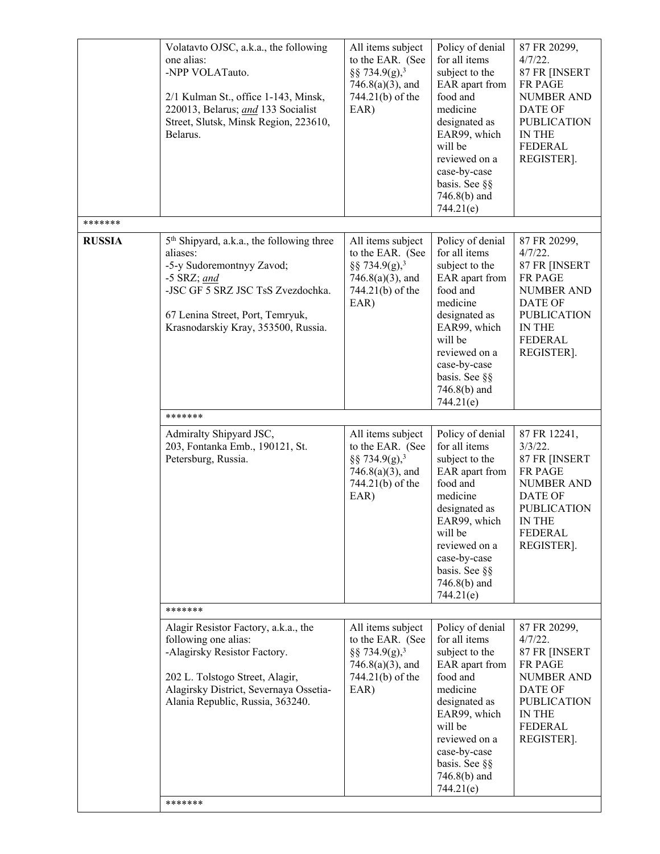|               | Volatavto OJSC, a.k.a., the following<br>one alias:<br>-NPP VOLATauto.<br>2/1 Kulman St., office 1-143, Minsk,<br>220013, Belarus; and 133 Socialist<br>Street, Slutsk, Minsk Region, 223610,<br>Belarus.                       | All items subject<br>to the EAR. (See<br>§§ 734.9(g), <sup>3</sup><br>$746.8(a)(3)$ , and<br>744.21(b) of the<br>EAR) | Policy of denial<br>for all items<br>subject to the<br>EAR apart from<br>food and<br>medicine<br>designated as<br>EAR99, which<br>will be<br>reviewed on a<br>case-by-case<br>basis. See §§<br>746.8(b) and<br>744.21(e)   | 87 FR 20299,<br>$4/7/22$ .<br>87 FR [INSERT<br>FR PAGE<br><b>NUMBER AND</b><br><b>DATE OF</b><br><b>PUBLICATION</b><br>IN THE<br>FEDERAL<br>REGISTER]. |
|---------------|---------------------------------------------------------------------------------------------------------------------------------------------------------------------------------------------------------------------------------|-----------------------------------------------------------------------------------------------------------------------|----------------------------------------------------------------------------------------------------------------------------------------------------------------------------------------------------------------------------|--------------------------------------------------------------------------------------------------------------------------------------------------------|
| *******       |                                                                                                                                                                                                                                 |                                                                                                                       |                                                                                                                                                                                                                            |                                                                                                                                                        |
| <b>RUSSIA</b> | 5 <sup>th</sup> Shipyard, a.k.a., the following three<br>aliases:<br>-5-y Sudoremontnyy Zavod;<br>$-5$ SRZ; and<br>-JSC GF 5 SRZ JSC TsS Zvezdochka.<br>67 Lenina Street, Port, Temryuk,<br>Krasnodarskiy Kray, 353500, Russia. | All items subject<br>to the EAR. (See<br>§§ 734.9(g), <sup>3</sup><br>$746.8(a)(3)$ , and<br>744.21(b) of the<br>EAR) | Policy of denial<br>for all items<br>subject to the<br>EAR apart from<br>food and<br>medicine<br>designated as<br>EAR99, which<br>will be<br>reviewed on a<br>case-by-case<br>basis. See §§<br>746.8(b) and<br>744.21(e)   | 87 FR 20299,<br>$4/7/22$ .<br>87 FR [INSERT<br>FR PAGE<br><b>NUMBER AND</b><br><b>DATE OF</b><br><b>PUBLICATION</b><br>IN THE<br>FEDERAL<br>REGISTER]. |
|               | *******                                                                                                                                                                                                                         |                                                                                                                       |                                                                                                                                                                                                                            |                                                                                                                                                        |
|               | Admiralty Shipyard JSC,<br>203, Fontanka Emb., 190121, St.<br>Petersburg, Russia.<br>*******                                                                                                                                    | All items subject<br>to the EAR. (See<br>§§ 734.9(g), <sup>3</sup><br>$746.8(a)(3)$ , and<br>744.21(b) of the<br>EAR) | Policy of denial<br>for all items<br>subject to the<br>EAR apart from<br>food and<br>medicine<br>designated as<br>EAR99, which<br>will be<br>reviewed on a<br>case-by-case<br>basis. See §§<br>$746.8(b)$ and<br>744.21(e) | 87 FR 12241,<br>$3/3/22$ .<br>87 FR [INSERT<br>FR PAGE<br><b>NUMBER AND</b><br>DATE OF<br><b>PUBLICATION</b><br><b>IN THE</b><br>FEDERAL<br>REGISTER]. |
|               |                                                                                                                                                                                                                                 |                                                                                                                       |                                                                                                                                                                                                                            |                                                                                                                                                        |
|               | Alagir Resistor Factory, a.k.a., the<br>following one alias:<br>-Alagirsky Resistor Factory.<br>202 L. Tolstogo Street, Alagir,<br>Alagirsky District, Severnaya Ossetia-<br>Alania Republic, Russia, 363240.<br>*******        | All items subject<br>to the EAR. (See<br>§§ 734.9(g), <sup>3</sup><br>$746.8(a)(3)$ , and<br>744.21(b) of the<br>EAR) | Policy of denial<br>for all items<br>subject to the<br>EAR apart from<br>food and<br>medicine<br>designated as<br>EAR99, which<br>will be<br>reviewed on a<br>case-by-case<br>basis. See §§<br>746.8(b) and<br>744.21(e)   | 87 FR 20299,<br>$4/7/22$ .<br>87 FR [INSERT<br>FR PAGE<br><b>NUMBER AND</b><br>DATE OF<br><b>PUBLICATION</b><br>IN THE<br><b>FEDERAL</b><br>REGISTER]. |
|               |                                                                                                                                                                                                                                 |                                                                                                                       |                                                                                                                                                                                                                            |                                                                                                                                                        |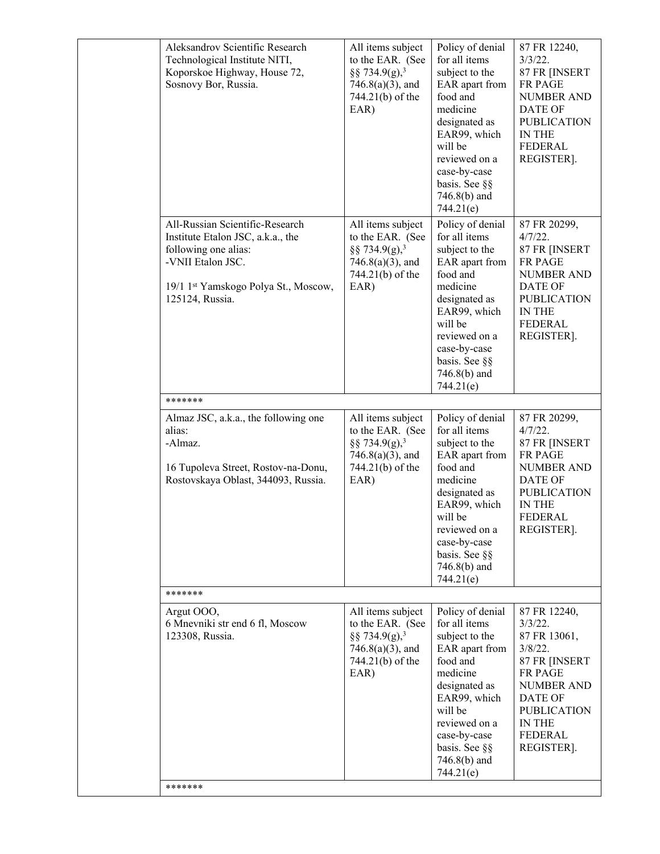| Aleksandrov Scientific Research<br>Technological Institute NITI,<br>Koporskoe Highway, House 72,<br>Sosnovy Bor, Russia.                                                     | All items subject<br>to the EAR. (See<br>§§ 734.9(g), <sup>3</sup><br>$746.8(a)(3)$ , and<br>744.21(b) of the<br>EAR) | Policy of denial<br>for all items<br>subject to the<br>EAR apart from<br>food and<br>medicine<br>designated as<br>EAR99, which<br>will be<br>reviewed on a<br>case-by-case<br>basis. See §§<br>$746.8(b)$ and<br>744.21(e) | 87 FR 12240,<br>$3/3/22$ .<br>87 FR [INSERT<br>FR PAGE<br><b>NUMBER AND</b><br>DATE OF<br><b>PUBLICATION</b><br><b>IN THE</b><br><b>FEDERAL</b><br>REGISTER].                               |
|------------------------------------------------------------------------------------------------------------------------------------------------------------------------------|-----------------------------------------------------------------------------------------------------------------------|----------------------------------------------------------------------------------------------------------------------------------------------------------------------------------------------------------------------------|---------------------------------------------------------------------------------------------------------------------------------------------------------------------------------------------|
| All-Russian Scientific-Research<br>Institute Etalon JSC, a.k.a., the<br>following one alias:<br>-VNII Etalon JSC.<br>19/1 1st Yamskogo Polya St., Moscow,<br>125124, Russia. | All items subject<br>to the EAR. (See<br>§§ 734.9(g), <sup>3</sup><br>$746.8(a)(3)$ , and<br>744.21(b) of the<br>EAR) | Policy of denial<br>for all items<br>subject to the<br>EAR apart from<br>food and<br>medicine<br>designated as<br>EAR99, which<br>will be<br>reviewed on a<br>case-by-case<br>basis. See §§<br>746.8(b) and<br>744.21(e)   | 87 FR 20299,<br>$4/7/22$ .<br>87 FR [INSERT<br><b>FR PAGE</b><br><b>NUMBER AND</b><br>DATE OF<br><b>PUBLICATION</b><br>IN THE<br><b>FEDERAL</b><br>REGISTER].                               |
| *******                                                                                                                                                                      |                                                                                                                       |                                                                                                                                                                                                                            |                                                                                                                                                                                             |
| Almaz JSC, a.k.a., the following one<br>alias:<br>-Almaz.<br>16 Tupoleva Street, Rostov-na-Donu,<br>Rostovskaya Oblast, 344093, Russia.                                      | All items subject<br>to the EAR. (See<br>§§ 734.9(g), <sup>3</sup><br>$746.8(a)(3)$ , and<br>744.21(b) of the<br>EAR) | Policy of denial<br>for all items<br>subject to the<br>EAR apart from<br>food and<br>medicine<br>designated as<br>EAR99, which<br>will be<br>reviewed on a<br>case-by-case<br>basis. See §§<br>$746.8(b)$ and<br>744.21(e) | 87 FR 20299,<br>4/7/22.<br>87 FR [INSERT<br>FR PAGE<br><b>NUMBER AND</b><br>DATE OF<br><b>PUBLICATION</b><br>IN THE<br><b>FEDERAL</b><br>REGISTER].                                         |
| *******                                                                                                                                                                      |                                                                                                                       |                                                                                                                                                                                                                            |                                                                                                                                                                                             |
| Argut OOO,<br>6 Mnevniki str end 6 fl, Moscow<br>123308, Russia.<br>*******                                                                                                  | All items subject<br>to the EAR. (See<br>§§ 734.9(g), <sup>3</sup><br>$746.8(a)(3)$ , and<br>744.21(b) of the<br>EAR) | Policy of denial<br>for all items<br>subject to the<br>EAR apart from<br>food and<br>medicine<br>designated as<br>EAR99, which<br>will be<br>reviewed on a<br>case-by-case<br>basis. See §§<br>746.8(b) and<br>744.21(e)   | 87 FR 12240,<br>$3/3/22$ .<br>87 FR 13061,<br>$3/8/22$ .<br>87 FR [INSERT<br>FR PAGE<br><b>NUMBER AND</b><br><b>DATE OF</b><br><b>PUBLICATION</b><br>IN THE<br><b>FEDERAL</b><br>REGISTER]. |
|                                                                                                                                                                              |                                                                                                                       |                                                                                                                                                                                                                            |                                                                                                                                                                                             |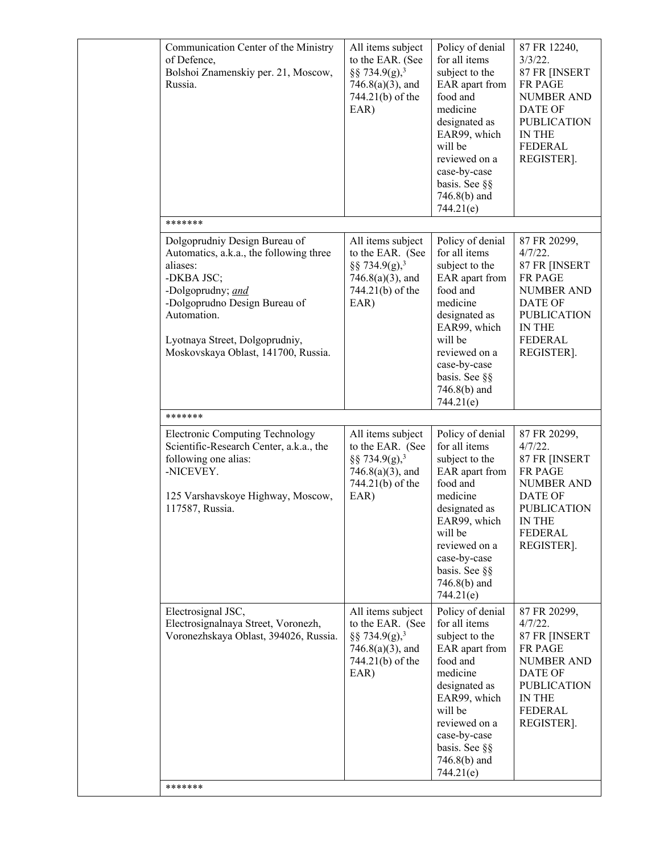| Communication Center of the Ministry<br>of Defence,<br>Bolshoi Znamenskiy per. 21, Moscow,<br>Russia.                                                                                                                                            | All items subject<br>to the EAR. (See<br>§§ 734.9(g), <sup>3</sup><br>$746.8(a)(3)$ , and<br>744.21(b) of the<br>EAR) | Policy of denial<br>for all items<br>subject to the<br>EAR apart from<br>food and<br>medicine<br>designated as<br>EAR99, which<br>will be<br>reviewed on a<br>case-by-case<br>basis. See §§<br>746.8(b) and<br>744.21(e)   | 87 FR 12240,<br>$3/3/22$ .<br>87 FR [INSERT<br><b>FR PAGE</b><br><b>NUMBER AND</b><br>DATE OF<br><b>PUBLICATION</b><br><b>IN THE</b><br><b>FEDERAL</b><br>REGISTER]. |
|--------------------------------------------------------------------------------------------------------------------------------------------------------------------------------------------------------------------------------------------------|-----------------------------------------------------------------------------------------------------------------------|----------------------------------------------------------------------------------------------------------------------------------------------------------------------------------------------------------------------------|----------------------------------------------------------------------------------------------------------------------------------------------------------------------|
| *******                                                                                                                                                                                                                                          |                                                                                                                       |                                                                                                                                                                                                                            |                                                                                                                                                                      |
| Dolgoprudniy Design Bureau of<br>Automatics, a.k.a., the following three<br>aliases:<br>-DKBA JSC;<br>-Dolgoprudny; and<br>-Dolgoprudno Design Bureau of<br>Automation.<br>Lyotnaya Street, Dolgoprudniy,<br>Moskovskaya Oblast, 141700, Russia. | All items subject<br>to the EAR. (See<br>§§ 734.9(g), <sup>3</sup><br>$746.8(a)(3)$ , and<br>744.21(b) of the<br>EAR) | Policy of denial<br>for all items<br>subject to the<br>EAR apart from<br>food and<br>medicine<br>designated as<br>EAR99, which<br>will be<br>reviewed on a<br>case-by-case<br>basis. See §§<br>746.8(b) and<br>744.21(e)   | 87 FR 20299,<br>$4/7/22$ .<br>87 FR [INSERT<br>FR PAGE<br><b>NUMBER AND</b><br><b>DATE OF</b><br><b>PUBLICATION</b><br><b>IN THE</b><br><b>FEDERAL</b><br>REGISTER]. |
| *******                                                                                                                                                                                                                                          |                                                                                                                       |                                                                                                                                                                                                                            |                                                                                                                                                                      |
| <b>Electronic Computing Technology</b><br>Scientific-Research Center, a.k.a., the<br>following one alias:<br>-NICEVEY.<br>125 Varshavskoye Highway, Moscow,<br>117587, Russia.                                                                   | All items subject<br>to the EAR. (See<br>§§ 734.9(g), <sup>3</sup><br>$746.8(a)(3)$ , and<br>744.21(b) of the<br>EAR) | Policy of denial<br>for all items<br>subject to the<br>EAR apart from<br>food and<br>medicine<br>designated as<br>EAR99, which<br>will be<br>reviewed on a<br>case-by-case<br>basis. See §§<br>$746.8(b)$ and<br>744.21(e) | 87 FR 20299,<br>$4/7/22$ .<br>87 FR [INSERT<br>FR PAGE<br><b>NUMBER AND</b><br><b>DATE OF</b><br><b>PUBLICATION</b><br>IN THE<br><b>FEDERAL</b><br>REGISTER].        |
| Electrosignal JSC,<br>Electrosignalnaya Street, Voronezh,<br>Voronezhskaya Oblast, 394026, Russia.<br>*******                                                                                                                                    | All items subject<br>to the EAR. (See<br>§§ 734.9(g), <sup>3</sup><br>$746.8(a)(3)$ , and<br>744.21(b) of the<br>EAR) | Policy of denial<br>for all items<br>subject to the<br>EAR apart from<br>food and<br>medicine<br>designated as<br>EAR99, which<br>will be<br>reviewed on a<br>case-by-case<br>basis. See §§<br>$746.8(b)$ and<br>744.21(e) | 87 FR 20299,<br>4/7/22.<br>87 FR [INSERT<br><b>FR PAGE</b><br><b>NUMBER AND</b><br>DATE OF<br><b>PUBLICATION</b><br>IN THE<br>FEDERAL<br>REGISTER].                  |
|                                                                                                                                                                                                                                                  |                                                                                                                       |                                                                                                                                                                                                                            |                                                                                                                                                                      |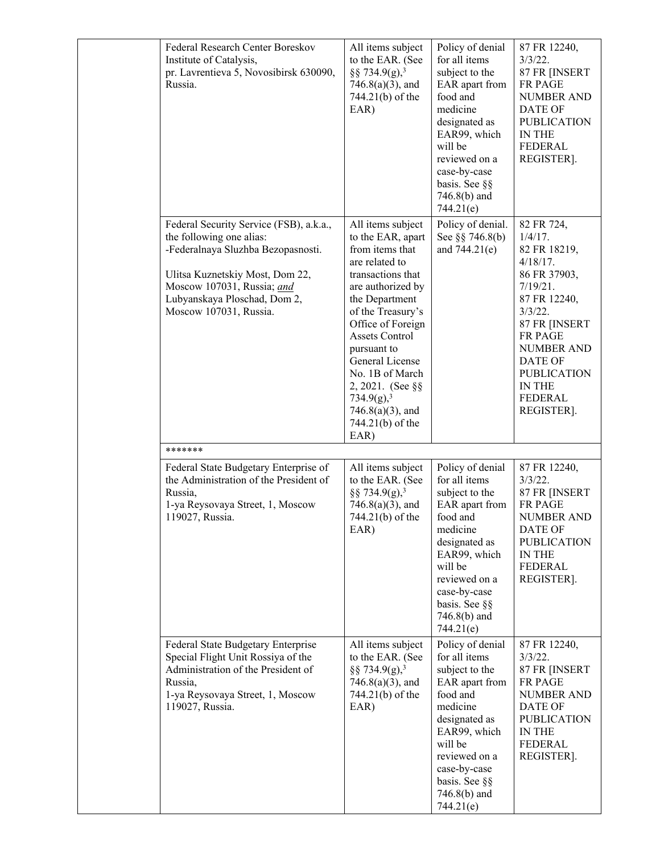| Federal Research Center Boreskov<br>Institute of Catalysis,<br>pr. Lavrentieva 5, Novosibirsk 630090,<br>Russia.                                                                                                                     | All items subject<br>to the EAR. (See<br>§§ 734.9(g), <sup>3</sup><br>$746.8(a)(3)$ , and<br>744.21(b) of the<br>EAR)                                                                                                                                                                                                                                             | Policy of denial<br>for all items<br>subject to the<br>EAR apart from<br>food and<br>medicine<br>designated as<br>EAR99, which<br>will be<br>reviewed on a<br>case-by-case<br>basis. See §§<br>$746.8(b)$ and<br>744.21(e) | 87 FR 12240,<br>$3/3/22$ .<br>87 FR [INSERT<br><b>FR PAGE</b><br>NUMBER AND<br>DATE OF<br><b>PUBLICATION</b><br><b>IN THE</b><br><b>FEDERAL</b><br>REGISTER].                                                                                               |
|--------------------------------------------------------------------------------------------------------------------------------------------------------------------------------------------------------------------------------------|-------------------------------------------------------------------------------------------------------------------------------------------------------------------------------------------------------------------------------------------------------------------------------------------------------------------------------------------------------------------|----------------------------------------------------------------------------------------------------------------------------------------------------------------------------------------------------------------------------|-------------------------------------------------------------------------------------------------------------------------------------------------------------------------------------------------------------------------------------------------------------|
| Federal Security Service (FSB), a.k.a.,<br>the following one alias:<br>-Federalnaya Sluzhba Bezopasnosti.<br>Ulitsa Kuznetskiy Most, Dom 22,<br>Moscow 107031, Russia; and<br>Lubyanskaya Ploschad, Dom 2,<br>Moscow 107031, Russia. | All items subject<br>to the EAR, apart<br>from items that<br>are related to<br>transactions that<br>are authorized by<br>the Department<br>of the Treasury's<br>Office of Foreign<br><b>Assets Control</b><br>pursuant to<br>General License<br>No. 1B of March<br>$2,2021.$ (See §§<br>734.9(g), <sup>3</sup><br>$746.8(a)(3)$ , and<br>744.21(b) of the<br>EAR) | Policy of denial.<br>See §§ 746.8(b)<br>and 744.21(e)                                                                                                                                                                      | 82 FR 724,<br>$1/4/17$ .<br>82 FR 18219,<br>$4/18/17$ .<br>86 FR 37903,<br>7/19/21.<br>87 FR 12240,<br>$3/3/22$ .<br>87 FR [INSERT<br><b>FR PAGE</b><br><b>NUMBER AND</b><br>DATE OF<br><b>PUBLICATION</b><br><b>IN THE</b><br><b>FEDERAL</b><br>REGISTER]. |
| *******                                                                                                                                                                                                                              |                                                                                                                                                                                                                                                                                                                                                                   |                                                                                                                                                                                                                            |                                                                                                                                                                                                                                                             |
| Federal State Budgetary Enterprise of<br>the Administration of the President of<br>Russia,<br>1-ya Reysovaya Street, 1, Moscow<br>119027, Russia.                                                                                    | All items subject<br>to the EAR. (See<br>§§ 734.9(g), <sup>3</sup><br>$746.8(a)(3)$ , and<br>744.21(b) of the<br>EAR)                                                                                                                                                                                                                                             | Policy of denial<br>for all items<br>subject to the<br>EAR apart from<br>food and<br>medicine<br>designated as<br>EAR99, which<br>will be<br>reviewed on a<br>case-by-case<br>basis. See §§<br>$746.8(b)$ and<br>744.21(e) | 87 FR 12240,<br>$3/3/22$ .<br>87 FR [INSERT<br>FR PAGE<br><b>NUMBER AND</b><br><b>DATE OF</b><br><b>PUBLICATION</b><br>IN THE<br><b>FEDERAL</b><br>REGISTER].                                                                                               |
| Federal State Budgetary Enterprise<br>Special Flight Unit Rossiya of the<br>Administration of the President of<br>Russia,<br>1-ya Reysovaya Street, 1, Moscow<br>119027, Russia.                                                     | All items subject<br>to the EAR. (See<br>§§ 734.9(g), <sup>3</sup><br>$746.8(a)(3)$ , and<br>744.21(b) of the<br>EAR)                                                                                                                                                                                                                                             | Policy of denial<br>for all items<br>subject to the<br>EAR apart from<br>food and<br>medicine<br>designated as<br>EAR99, which<br>will be<br>reviewed on a<br>case-by-case<br>basis. See §§<br>746.8(b) and<br>744.21(e)   | 87 FR 12240,<br>$3/3/22$ .<br>87 FR [INSERT<br><b>FR PAGE</b><br><b>NUMBER AND</b><br><b>DATE OF</b><br><b>PUBLICATION</b><br>IN THE<br><b>FEDERAL</b><br>REGISTER].                                                                                        |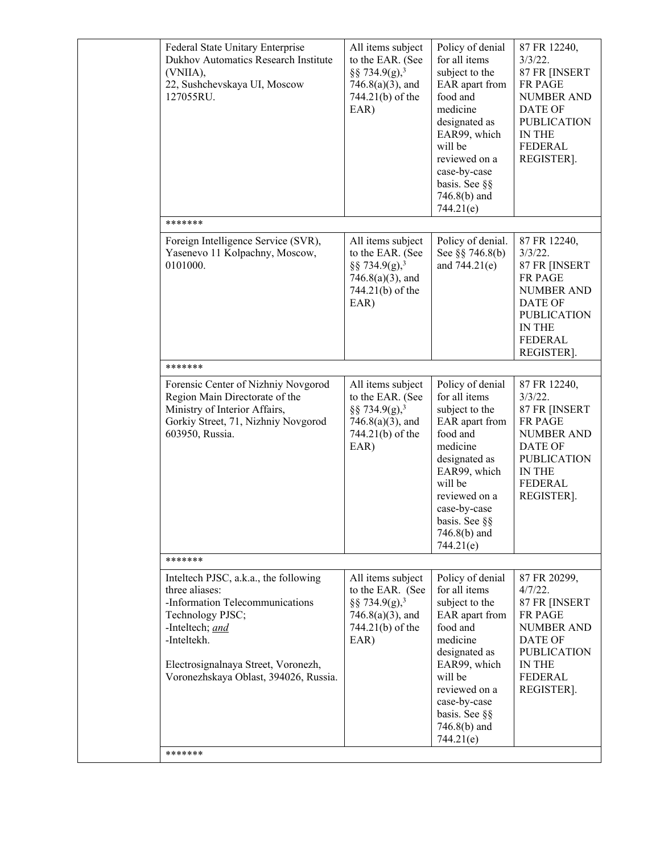| Federal State Unitary Enterprise<br>Dukhov Automatics Research Institute<br>(VNIIA),<br>22, Sushchevskaya UI, Moscow<br>127055RU.                                                                                                | All items subject<br>to the EAR. (See<br>§§ 734.9(g), <sup>3</sup><br>$746.8(a)(3)$ , and<br>744.21(b) of the<br>EAR) | Policy of denial<br>for all items<br>subject to the<br>EAR apart from<br>food and<br>medicine<br>designated as<br>EAR99, which<br>will be<br>reviewed on a<br>case-by-case<br>basis. See §§<br>$746.8(b)$ and<br>744.21(e) | 87 FR 12240,<br>$3/3/22$ .<br>87 FR [INSERT<br><b>FR PAGE</b><br><b>NUMBER AND</b><br>DATE OF<br><b>PUBLICATION</b><br><b>IN THE</b><br><b>FEDERAL</b><br>REGISTER]. |
|----------------------------------------------------------------------------------------------------------------------------------------------------------------------------------------------------------------------------------|-----------------------------------------------------------------------------------------------------------------------|----------------------------------------------------------------------------------------------------------------------------------------------------------------------------------------------------------------------------|----------------------------------------------------------------------------------------------------------------------------------------------------------------------|
| *******                                                                                                                                                                                                                          |                                                                                                                       |                                                                                                                                                                                                                            |                                                                                                                                                                      |
| Foreign Intelligence Service (SVR),<br>Yasenevo 11 Kolpachny, Moscow,<br>0101000.                                                                                                                                                | All items subject<br>to the EAR. (See<br>§§ 734.9(g), <sup>3</sup><br>$746.8(a)(3)$ , and<br>744.21(b) of the<br>EAR) | Policy of denial.<br>See §§ 746.8(b)<br>and $744.21(e)$                                                                                                                                                                    | 87 FR 12240,<br>$3/3/22$ .<br>87 FR [INSERT<br>FR PAGE<br><b>NUMBER AND</b><br><b>DATE OF</b><br><b>PUBLICATION</b><br>IN THE<br><b>FEDERAL</b><br>REGISTER].        |
| *******                                                                                                                                                                                                                          |                                                                                                                       |                                                                                                                                                                                                                            |                                                                                                                                                                      |
| Forensic Center of Nizhniy Novgorod<br>Region Main Directorate of the<br>Ministry of Interior Affairs,<br>Gorkiy Street, 71, Nizhniy Novgorod<br>603950, Russia.                                                                 | All items subject<br>to the EAR. (See<br>§§ 734.9(g), <sup>3</sup><br>$746.8(a)(3)$ , and<br>744.21(b) of the<br>EAR) | Policy of denial<br>for all items<br>subject to the<br>EAR apart from<br>food and<br>medicine<br>designated as<br>EAR99, which<br>will be<br>reviewed on a<br>case-by-case<br>basis. See §§<br>$746.8(b)$ and<br>744.21(e) | 87 FR 12240,<br>$3/3/22$ .<br>87 FR [INSERT<br><b>FR PAGE</b><br><b>NUMBER AND</b><br>DATE OF<br><b>PUBLICATION</b><br><b>IN THE</b><br><b>FEDERAL</b><br>REGISTER]. |
| *******                                                                                                                                                                                                                          |                                                                                                                       |                                                                                                                                                                                                                            |                                                                                                                                                                      |
| Inteltech PJSC, a.k.a., the following<br>three aliases:<br>-Information Telecommunications<br>Technology PJSC;<br>-Inteltech; and<br>-Inteltekh.<br>Electrosignalnaya Street, Voronezh,<br>Voronezhskaya Oblast, 394026, Russia. | All items subject<br>to the EAR. (See<br>§§ 734.9(g), <sup>3</sup><br>$746.8(a)(3)$ , and<br>744.21(b) of the<br>EAR) | Policy of denial<br>for all items<br>subject to the<br>EAR apart from<br>food and<br>medicine<br>designated as<br>EAR99, which<br>will be<br>reviewed on a<br>case-by-case<br>basis. See §§<br>$746.8(b)$ and<br>744.21(e) | 87 FR 20299,<br>4/7/22.<br>87 FR [INSERT<br>FR PAGE<br><b>NUMBER AND</b><br><b>DATE OF</b><br><b>PUBLICATION</b><br>IN THE<br><b>FEDERAL</b><br>REGISTER].           |
| *******                                                                                                                                                                                                                          |                                                                                                                       |                                                                                                                                                                                                                            |                                                                                                                                                                      |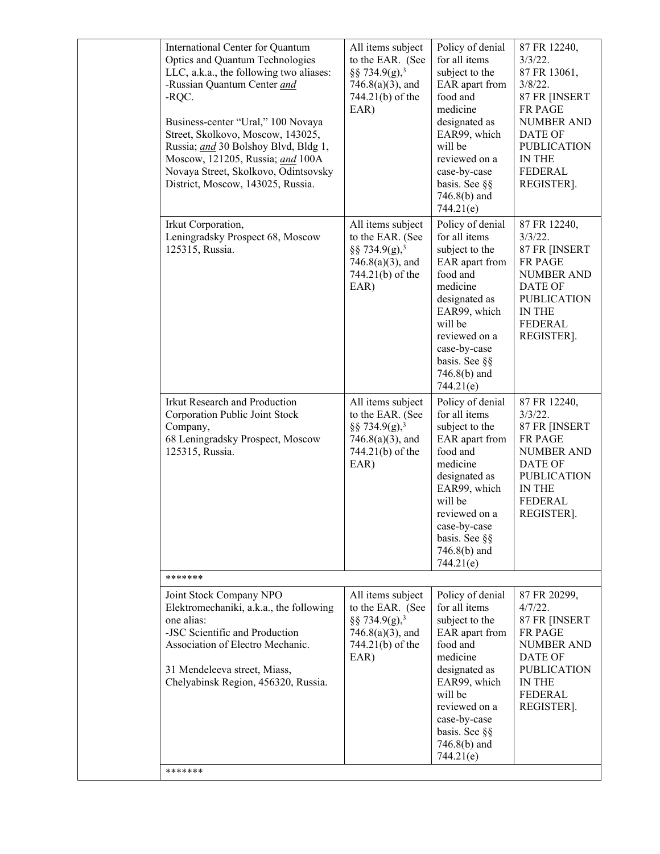|  | International Center for Quantum<br>Optics and Quantum Technologies<br>LLC, a.k.a., the following two aliases:<br>-Russian Quantum Center and<br>-RQC.<br>Business-center "Ural," 100 Novaya<br>Street, Skolkovo, Moscow, 143025,<br>Russia; and 30 Bolshoy Blvd, Bldg 1,<br>Moscow, 121205, Russia; and 100A<br>Novaya Street, Skolkovo, Odintsovsky<br>District, Moscow, 143025, Russia. | All items subject<br>to the EAR. (See<br>§§ 734.9(g), <sup>3</sup><br>$746.8(a)(3)$ , and<br>744.21(b) of the<br>EAR) | Policy of denial<br>for all items<br>subject to the<br>EAR apart from<br>food and<br>medicine<br>designated as<br>EAR99, which<br>will be<br>reviewed on a<br>case-by-case<br>basis. See §§<br>$746.8(b)$ and<br>744.21(e) | 87 FR 12240,<br>$3/3/22$ .<br>87 FR 13061,<br>$3/8/22$ .<br>87 FR [INSERT<br>FR PAGE<br><b>NUMBER AND</b><br>DATE OF<br><b>PUBLICATION</b><br>IN THE<br><b>FEDERAL</b><br>REGISTER]. |
|--|--------------------------------------------------------------------------------------------------------------------------------------------------------------------------------------------------------------------------------------------------------------------------------------------------------------------------------------------------------------------------------------------|-----------------------------------------------------------------------------------------------------------------------|----------------------------------------------------------------------------------------------------------------------------------------------------------------------------------------------------------------------------|--------------------------------------------------------------------------------------------------------------------------------------------------------------------------------------|
|  | Irkut Corporation,<br>Leningradsky Prospect 68, Moscow<br>125315, Russia.                                                                                                                                                                                                                                                                                                                  | All items subject<br>to the EAR. (See<br>§§ 734.9(g), <sup>3</sup><br>$746.8(a)(3)$ , and<br>744.21(b) of the<br>EAR) | Policy of denial<br>for all items<br>subject to the<br>EAR apart from<br>food and<br>medicine<br>designated as<br>EAR99, which<br>will be<br>reviewed on a<br>case-by-case<br>basis. See §§<br>746.8(b) and<br>744.21(e)   | 87 FR 12240,<br>$3/3/22$ .<br>87 FR [INSERT<br><b>FR PAGE</b><br><b>NUMBER AND</b><br><b>DATE OF</b><br><b>PUBLICATION</b><br>IN THE<br><b>FEDERAL</b><br>REGISTER].                 |
|  | Irkut Research and Production<br>Corporation Public Joint Stock<br>Company,<br>68 Leningradsky Prospect, Moscow<br>125315, Russia.                                                                                                                                                                                                                                                         | All items subject<br>to the EAR. (See<br>§§ 734.9(g), <sup>3</sup><br>$746.8(a)(3)$ , and<br>744.21(b) of the<br>EAR) | Policy of denial<br>for all items<br>subject to the<br>EAR apart from<br>food and<br>medicine<br>designated as<br>EAR99, which<br>will be<br>reviewed on a<br>case-by-case<br>basis. See §§<br>746.8(b) and<br>744.21(e)   | 87 FR 12240,<br>$3/3/22$ .<br>87 FR [INSERT<br>FR PAGE<br><b>NUMBER AND</b><br>DATE OF<br><b>PUBLICATION</b><br>IN THE<br><b>FEDERAL</b><br>REGISTER].                               |
|  | *******                                                                                                                                                                                                                                                                                                                                                                                    |                                                                                                                       |                                                                                                                                                                                                                            |                                                                                                                                                                                      |
|  | Joint Stock Company NPO<br>Elektromechaniki, a.k.a., the following<br>one alias:<br>-JSC Scientific and Production<br>Association of Electro Mechanic.<br>31 Mendeleeva street, Miass,<br>Chelyabinsk Region, 456320, Russia.                                                                                                                                                              | All items subject<br>to the EAR. (See<br>§§ 734.9(g), <sup>3</sup><br>$746.8(a)(3)$ , and<br>744.21(b) of the<br>EAR) | Policy of denial<br>for all items<br>subject to the<br>EAR apart from<br>food and<br>medicine<br>designated as<br>EAR99, which<br>will be<br>reviewed on a<br>case-by-case<br>basis. See §§<br>746.8(b) and<br>744.21(e)   | 87 FR 20299,<br>$4/7/22$ .<br>87 FR [INSERT<br>FR PAGE<br><b>NUMBER AND</b><br><b>DATE OF</b><br><b>PUBLICATION</b><br>IN THE<br>FEDERAL<br>REGISTER].                               |
|  | *******                                                                                                                                                                                                                                                                                                                                                                                    |                                                                                                                       |                                                                                                                                                                                                                            |                                                                                                                                                                                      |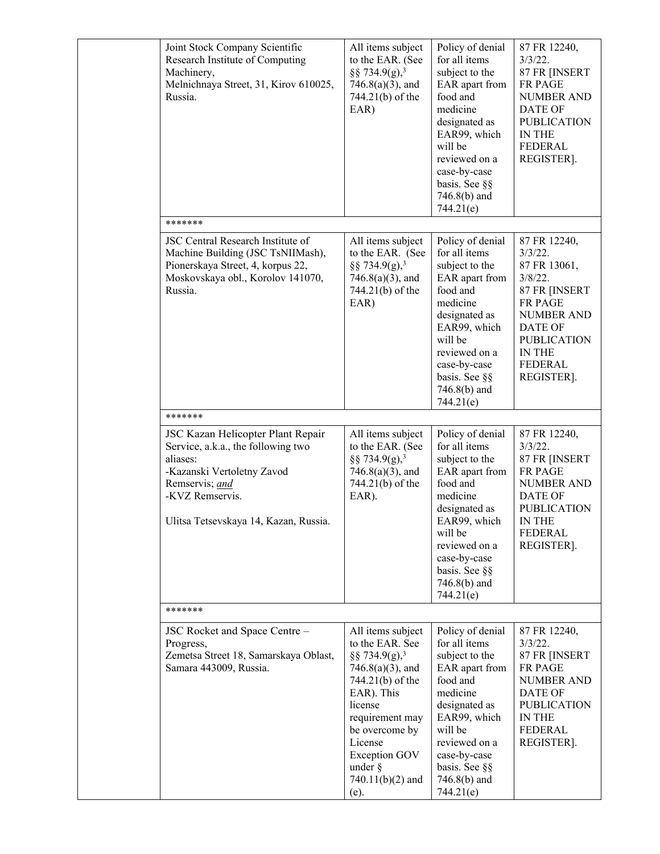| Joint Stock Company Scientific<br>Research Institute of Computing<br>Machinery,<br>Melnichnaya Street, 31, Kirov 610025,<br>Russia.                                                             | All items subject<br>to the EAR. (See<br>§§ 734.9(g), <sup>3</sup><br>$746.8(a)(3)$ , and<br>744.21(b) of the<br>EAR)                                                                                                                                     | Policy of denial<br>for all items<br>subject to the<br>EAR apart from<br>food and<br>medicine<br>designated as<br>EAR99, which<br>will be<br>reviewed on a<br>case-by-case<br>basis. See §§<br>$746.8(b)$ and<br>744.21(e) | 87 FR 12240,<br>$3/3/22$ .<br>87 FR [INSERT<br>FR PAGE<br><b>NUMBER AND</b><br>DATE OF<br><b>PUBLICATION</b><br>IN THE<br>FEDERAL<br>REGISTER].                                      |
|-------------------------------------------------------------------------------------------------------------------------------------------------------------------------------------------------|-----------------------------------------------------------------------------------------------------------------------------------------------------------------------------------------------------------------------------------------------------------|----------------------------------------------------------------------------------------------------------------------------------------------------------------------------------------------------------------------------|--------------------------------------------------------------------------------------------------------------------------------------------------------------------------------------|
| *******                                                                                                                                                                                         |                                                                                                                                                                                                                                                           |                                                                                                                                                                                                                            |                                                                                                                                                                                      |
| JSC Central Research Institute of<br>Machine Building (JSC TsNIIMash),<br>Pionerskaya Street, 4, korpus 22,<br>Moskovskaya obl., Korolov 141070,<br>Russia.                                     | All items subject<br>to the EAR. (See<br>§§ 734.9(g), <sup>3</sup><br>$746.8(a)(3)$ , and<br>744.21(b) of the<br>EAR)                                                                                                                                     | Policy of denial<br>for all items<br>subject to the<br>EAR apart from<br>food and<br>medicine<br>designated as<br>EAR99, which<br>will be<br>reviewed on a<br>case-by-case<br>basis. See §§<br>$746.8(b)$ and<br>744.21(e) | 87 FR 12240,<br>$3/3/22$ .<br>87 FR 13061,<br>$3/8/22$ .<br>87 FR [INSERT<br>FR PAGE<br><b>NUMBER AND</b><br>DATE OF<br><b>PUBLICATION</b><br><b>IN THE</b><br>FEDERAL<br>REGISTER]. |
| *******                                                                                                                                                                                         |                                                                                                                                                                                                                                                           |                                                                                                                                                                                                                            |                                                                                                                                                                                      |
| JSC Kazan Helicopter Plant Repair<br>Service, a.k.a., the following two<br>aliases:<br>-Kazanski Vertoletny Zavod<br>Remservis; and<br>-KVZ Remservis.<br>Ulitsa Tetsevskaya 14, Kazan, Russia. | All items subject<br>to the EAR. (See<br>§§ 734.9(g), <sup>3</sup><br>$746.8(a)(3)$ , and<br>744.21(b) of the<br>EAR).                                                                                                                                    | Policy of denial<br>for all items<br>subject to the<br>EAR apart from<br>food and<br>medicine<br>designated as<br>EAR99, which<br>will be<br>reviewed on a<br>case-by-case<br>basis. See §§<br>$746.8(b)$ and<br>744.21(e) | 87 FR 12240,<br>$3/3/22$ .<br>87 FR [INSERT<br>FR PAGE<br><b>NUMBER AND</b><br>DATE OF<br><b>PUBLICATION</b><br>IN THE<br>FEDERAL<br>REGISTER].                                      |
| *******                                                                                                                                                                                         |                                                                                                                                                                                                                                                           |                                                                                                                                                                                                                            |                                                                                                                                                                                      |
| JSC Rocket and Space Centre -<br>Progress,<br>Zemetsa Street 18, Samarskaya Oblast,<br>Samara 443009, Russia.                                                                                   | All items subject<br>to the EAR. See<br>§§ 734.9(g), <sup>3</sup><br>$746.8(a)(3)$ , and<br>744.21(b) of the<br>EAR). This<br>license<br>requirement may<br>be overcome by<br>License<br><b>Exception GOV</b><br>under $\S$<br>$740.11(b)(2)$ and<br>(e). | Policy of denial<br>for all items<br>subject to the<br>EAR apart from<br>food and<br>medicine<br>designated as<br>EAR99, which<br>will be<br>reviewed on a<br>case-by-case<br>basis. See §§<br>$746.8(b)$ and<br>744.21(e) | 87 FR 12240,<br>$3/3/22$ .<br>87 FR [INSERT<br>FR PAGE<br><b>NUMBER AND</b><br>DATE OF<br><b>PUBLICATION</b><br>IN THE<br><b>FEDERAL</b><br>REGISTER].                               |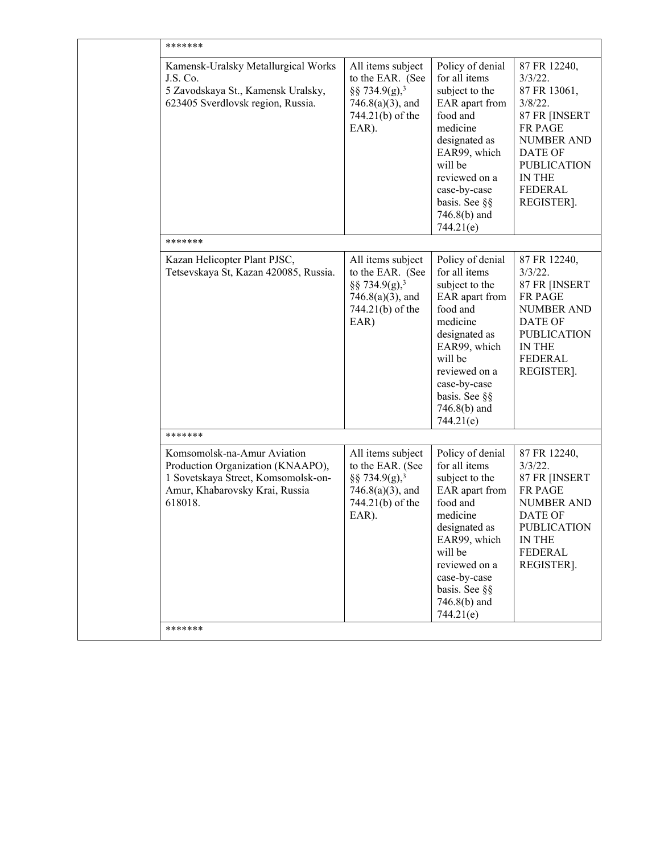| *******                                                                                                                                              |                                                                                                                        |                                                                                                                                                                                                                          |                                                                                                                                                                                             |  |
|------------------------------------------------------------------------------------------------------------------------------------------------------|------------------------------------------------------------------------------------------------------------------------|--------------------------------------------------------------------------------------------------------------------------------------------------------------------------------------------------------------------------|---------------------------------------------------------------------------------------------------------------------------------------------------------------------------------------------|--|
| Kamensk-Uralsky Metallurgical Works<br>J.S. Co.<br>5 Zavodskaya St., Kamensk Uralsky,<br>623405 Sverdlovsk region, Russia.                           | All items subject<br>to the EAR. (See<br>§§ 734.9(g), <sup>3</sup><br>$746.8(a)(3)$ , and<br>744.21(b) of the<br>EAR). | Policy of denial<br>for all items<br>subject to the<br>EAR apart from<br>food and<br>medicine<br>designated as<br>EAR99, which<br>will be<br>reviewed on a<br>case-by-case<br>basis. See §§<br>746.8(b) and<br>744.21(e) | 87 FR 12240,<br>$3/3/22$ .<br>87 FR 13061,<br>$3/8/22$ .<br>87 FR [INSERT<br><b>FR PAGE</b><br><b>NUMBER AND</b><br>DATE OF<br><b>PUBLICATION</b><br><b>IN THE</b><br>FEDERAL<br>REGISTER]. |  |
| *******                                                                                                                                              |                                                                                                                        |                                                                                                                                                                                                                          |                                                                                                                                                                                             |  |
| Kazan Helicopter Plant PJSC,<br>Tetsevskaya St, Kazan 420085, Russia.                                                                                | All items subject<br>to the EAR. (See<br>§§ 734.9(g), <sup>3</sup><br>$746.8(a)(3)$ , and<br>744.21(b) of the<br>EAR)  | Policy of denial<br>for all items<br>subject to the<br>EAR apart from<br>food and<br>medicine<br>designated as<br>EAR99, which<br>will be<br>reviewed on a<br>case-by-case<br>basis. See §§<br>746.8(b) and<br>744.21(e) | 87 FR 12240,<br>$3/3/22$ .<br>87 FR [INSERT<br>FR PAGE<br><b>NUMBER AND</b><br>DATE OF<br><b>PUBLICATION</b><br>IN THE<br><b>FEDERAL</b><br>REGISTER].                                      |  |
| *******                                                                                                                                              |                                                                                                                        |                                                                                                                                                                                                                          |                                                                                                                                                                                             |  |
| Komsomolsk-na-Amur Aviation<br>Production Organization (KNAAPO),<br>1 Sovetskaya Street, Komsomolsk-on-<br>Amur, Khabarovsky Krai, Russia<br>618018. | All items subject<br>to the EAR. (See<br>§§ 734.9(g), <sup>3</sup><br>$746.8(a)(3)$ , and<br>744.21(b) of the<br>EAR). | Policy of denial<br>for all items<br>subject to the<br>EAR apart from<br>food and<br>medicine<br>designated as<br>EAR99, which<br>will be<br>reviewed on a<br>case-by-case<br>basis. See §§<br>746.8(b) and<br>744.21(e) | 87 FR 12240,<br>$3/3/22$ .<br>87 FR [INSERT<br>FR PAGE<br><b>NUMBER AND</b><br>DATE OF<br><b>PUBLICATION</b><br><b>IN THE</b><br><b>FEDERAL</b><br>REGISTER].                               |  |
| *******                                                                                                                                              |                                                                                                                        |                                                                                                                                                                                                                          |                                                                                                                                                                                             |  |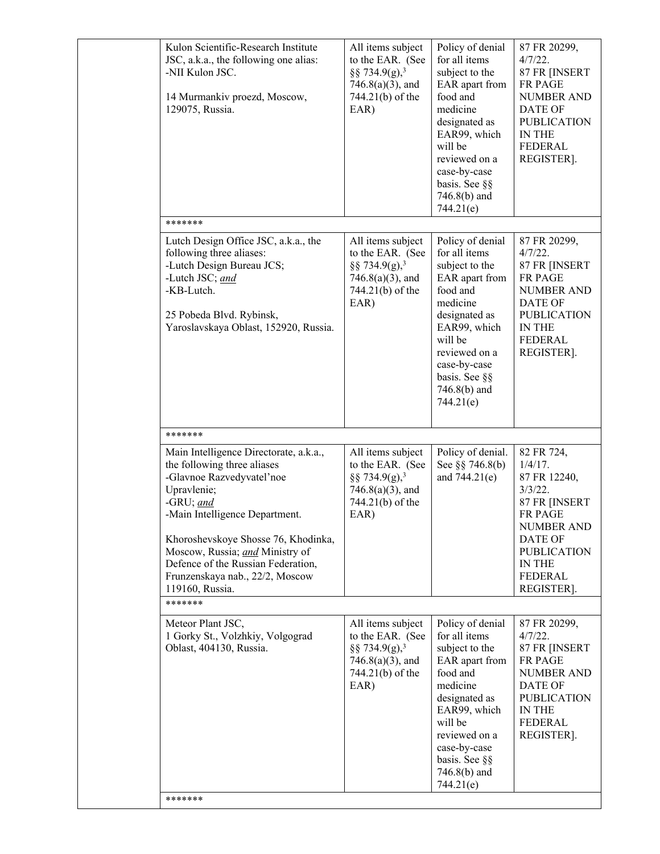| Kulon Scientific-Research Institute<br>JSC, a.k.a., the following one alias:<br>-NII Kulon JSC.<br>14 Murmankiv proezd, Moscow,<br>129075, Russia.                                                                                                                                                                                     | All items subject<br>to the EAR. (See<br>§§ 734.9(g), <sup>3</sup><br>$746.8(a)(3)$ , and<br>744.21(b) of the<br>EAR) | Policy of denial<br>for all items<br>subject to the<br>EAR apart from<br>food and<br>medicine<br>designated as<br>EAR99, which<br>will be<br>reviewed on a<br>case-by-case<br>basis. See §§<br>746.8(b) and<br>744.21(e)   | 87 FR 20299,<br>4/7/22.<br>87 FR [INSERT<br><b>FR PAGE</b><br><b>NUMBER AND</b><br>DATE OF<br><b>PUBLICATION</b><br>IN THE<br><b>FEDERAL</b><br>REGISTER].                         |
|----------------------------------------------------------------------------------------------------------------------------------------------------------------------------------------------------------------------------------------------------------------------------------------------------------------------------------------|-----------------------------------------------------------------------------------------------------------------------|----------------------------------------------------------------------------------------------------------------------------------------------------------------------------------------------------------------------------|------------------------------------------------------------------------------------------------------------------------------------------------------------------------------------|
| *******                                                                                                                                                                                                                                                                                                                                |                                                                                                                       |                                                                                                                                                                                                                            |                                                                                                                                                                                    |
| Lutch Design Office JSC, a.k.a., the<br>following three aliases:<br>-Lutch Design Bureau JCS;<br>-Lutch JSC; and<br>-KB-Lutch.<br>25 Pobeda Blvd. Rybinsk,<br>Yaroslavskaya Oblast, 152920, Russia.                                                                                                                                    | All items subject<br>to the EAR. (See<br>§§ 734.9(g), <sup>3</sup><br>$746.8(a)(3)$ , and<br>744.21(b) of the<br>EAR) | Policy of denial<br>for all items<br>subject to the<br>EAR apart from<br>food and<br>medicine<br>designated as<br>EAR99, which<br>will be<br>reviewed on a<br>case-by-case<br>basis. See §§<br>$746.8(b)$ and<br>744.21(e) | 87 FR 20299,<br>4/7/22.<br>87 FR [INSERT<br>FR PAGE<br><b>NUMBER AND</b><br>DATE OF<br><b>PUBLICATION</b><br><b>IN THE</b><br><b>FEDERAL</b><br>REGISTER].                         |
| *******                                                                                                                                                                                                                                                                                                                                |                                                                                                                       |                                                                                                                                                                                                                            |                                                                                                                                                                                    |
| Main Intelligence Directorate, a.k.a.,<br>the following three aliases<br>-Glavnoe Razvedyvatel'noe<br>Upravlenie;<br>-GRU; and<br>-Main Intelligence Department.<br>Khoroshevskoye Shosse 76, Khodinka,<br>Moscow, Russia; and Ministry of<br>Defence of the Russian Federation,<br>Frunzenskaya nab., 22/2, Moscow<br>119160, Russia. | All items subject<br>to the EAR. (See<br>§§ 734.9(g), <sup>3</sup><br>$746.8(a)(3)$ , and<br>744.21(b) of the<br>EAR) | Policy of denial.<br>See $\S$ $\S$ 746.8(b)<br>and 744.21(e)                                                                                                                                                               | 82 FR 724,<br>$1/4/17$ .<br>87 FR 12240,<br>$3/3/22$ .<br>87 FR [INSERT<br><b>FR PAGE</b><br><b>NUMBER AND</b><br>DATE OF<br><b>PUBLICATION</b><br>IN THE<br>FEDERAL<br>REGISTER]. |
| *******                                                                                                                                                                                                                                                                                                                                |                                                                                                                       |                                                                                                                                                                                                                            |                                                                                                                                                                                    |
| Meteor Plant JSC,<br>1 Gorky St., Volzhkiy, Volgograd<br>Oblast, 404130, Russia.<br>*******                                                                                                                                                                                                                                            | All items subject<br>to the EAR. (See<br>§§ 734.9(g), <sup>3</sup><br>$746.8(a)(3)$ , and<br>744.21(b) of the<br>EAR) | Policy of denial<br>for all items<br>subject to the<br>EAR apart from<br>food and<br>medicine<br>designated as<br>EAR99, which<br>will be<br>reviewed on a<br>case-by-case<br>basis. See §§<br>$746.8(b)$ and<br>744.21(e) | 87 FR 20299,<br>4/7/22.<br>87 FR [INSERT<br>FR PAGE<br><b>NUMBER AND</b><br><b>DATE OF</b><br><b>PUBLICATION</b><br>IN THE<br><b>FEDERAL</b><br>REGISTER].                         |
|                                                                                                                                                                                                                                                                                                                                        |                                                                                                                       |                                                                                                                                                                                                                            |                                                                                                                                                                                    |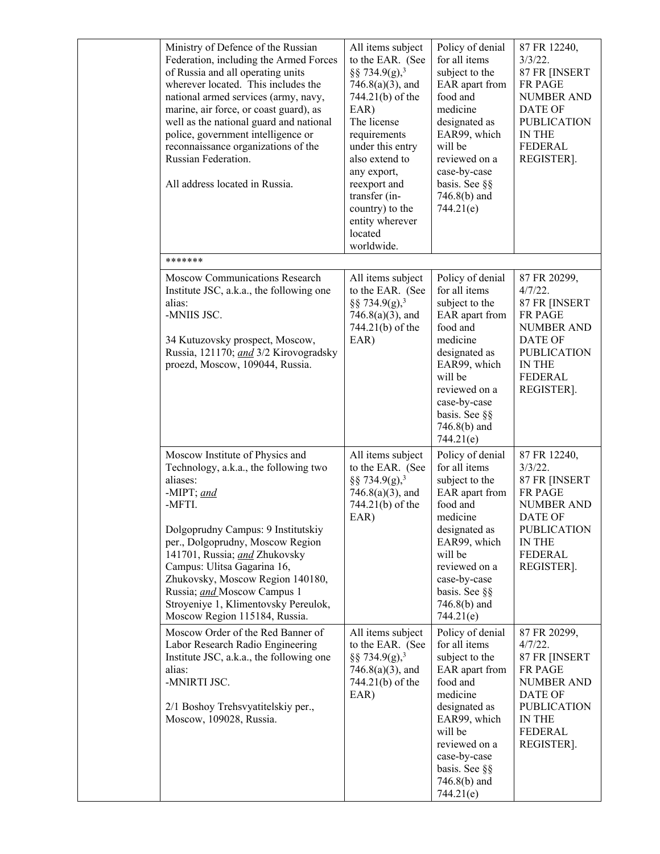| Ministry of Defence of the Russian<br>Federation, including the Armed Forces<br>of Russia and all operating units<br>wherever located. This includes the<br>national armed services (army, navy,<br>marine, air force, or coast guard), as<br>well as the national guard and national<br>police, government intelligence or<br>reconnaissance organizations of the<br>Russian Federation.<br>All address located in Russia. | All items subject<br>to the EAR. (See<br>§§ 734.9(g), <sup>3</sup><br>$746.8(a)(3)$ , and<br>744.21(b) of the<br>EAR)<br>The license<br>requirements<br>under this entry<br>also extend to<br>any export,<br>reexport and<br>transfer (in-<br>country) to the<br>entity wherever<br>located<br>worldwide. | Policy of denial<br>for all items<br>subject to the<br>EAR apart from<br>food and<br>medicine<br>designated as<br>EAR99, which<br>will be<br>reviewed on a<br>case-by-case<br>basis. See §§<br>746.8(b) and<br>744.21(e)   | 87 FR 12240,<br>$3/3/22$ .<br>87 FR [INSERT<br>FR PAGE<br><b>NUMBER AND</b><br><b>DATE OF</b><br><b>PUBLICATION</b><br>IN THE<br>FEDERAL<br>REGISTER].                      |
|-----------------------------------------------------------------------------------------------------------------------------------------------------------------------------------------------------------------------------------------------------------------------------------------------------------------------------------------------------------------------------------------------------------------------------|-----------------------------------------------------------------------------------------------------------------------------------------------------------------------------------------------------------------------------------------------------------------------------------------------------------|----------------------------------------------------------------------------------------------------------------------------------------------------------------------------------------------------------------------------|-----------------------------------------------------------------------------------------------------------------------------------------------------------------------------|
| *******                                                                                                                                                                                                                                                                                                                                                                                                                     |                                                                                                                                                                                                                                                                                                           |                                                                                                                                                                                                                            |                                                                                                                                                                             |
| <b>Moscow Communications Research</b><br>Institute JSC, a.k.a., the following one<br>alias:<br>-MNIIS JSC.<br>34 Kutuzovsky prospect, Moscow,<br>Russia, 121170; and 3/2 Kirovogradsky<br>proezd, Moscow, 109044, Russia.                                                                                                                                                                                                   | All items subject<br>to the EAR. (See<br>§§ 734.9(g), <sup>3</sup><br>$746.8(a)(3)$ , and<br>744.21(b) of the<br>EAR)                                                                                                                                                                                     | Policy of denial<br>for all items<br>subject to the<br>EAR apart from<br>food and<br>medicine<br>designated as<br>EAR99, which<br>will be<br>reviewed on a<br>case-by-case<br>basis. See §§<br>$746.8(b)$ and<br>744.21(e) | 87 FR 20299,<br>$4/7/22$ .<br>87 FR [INSERT<br>FR PAGE<br><b>NUMBER AND</b><br>DATE OF<br><b>PUBLICATION</b><br>IN THE<br>FEDERAL<br>REGISTER].                             |
| Moscow Institute of Physics and<br>Technology, a.k.a., the following two<br>aliases:<br>-MIPT; and<br>-MFTI.<br>Dolgoprudny Campus: 9 Institutskiy<br>per., Dolgoprudny, Moscow Region<br>141701, Russia; and Zhukovsky<br>Campus: Ulitsa Gagarina 16,<br>Zhukovsky, Moscow Region 140180,<br>Russia; and Moscow Campus 1<br>Stroyeniye 1, Klimentovsky Pereulok,<br>Moscow Region 115184, Russia.                          | All items subject<br>to the EAR. (See<br>§§ 734.9(g), <sup>3</sup><br>$746.8(a)(3)$ , and<br>744.21(b) of the<br>EAR)                                                                                                                                                                                     | Policy of denial<br>for all items<br>subject to the<br>EAR apart from<br>food and<br>medicine<br>designated as<br>EAR99, which<br>will be<br>reviewed on a<br>case-by-case<br>basis. See §§<br>$746.8(b)$ and<br>744.21(e) | 87 FR 12240,<br>$3/3/22$ .<br>87 FR [INSERT<br><b>FR PAGE</b><br><b>NUMBER AND</b><br><b>DATE OF</b><br><b>PUBLICATION</b><br><b>IN THE</b><br><b>FEDERAL</b><br>REGISTER]. |
| Moscow Order of the Red Banner of<br>Labor Research Radio Engineering<br>Institute JSC, a.k.a., the following one<br>alias:<br>-MNIRTI JSC.<br>2/1 Boshoy Trehsvyatitelskiy per.,<br>Moscow, 109028, Russia.                                                                                                                                                                                                                | All items subject<br>to the EAR. (See<br>§§ 734.9(g), <sup>3</sup><br>$746.8(a)(3)$ , and<br>744.21(b) of the<br>EAR)                                                                                                                                                                                     | Policy of denial<br>for all items<br>subject to the<br>EAR apart from<br>food and<br>medicine<br>designated as<br>EAR99, which<br>will be<br>reviewed on a<br>case-by-case<br>basis. See §§<br>$746.8(b)$ and<br>744.21(e) | 87 FR 20299,<br>$4/7/22$ .<br>87 FR [INSERT<br>FR PAGE<br><b>NUMBER AND</b><br>DATE OF<br><b>PUBLICATION</b><br>IN THE<br>FEDERAL<br>REGISTER].                             |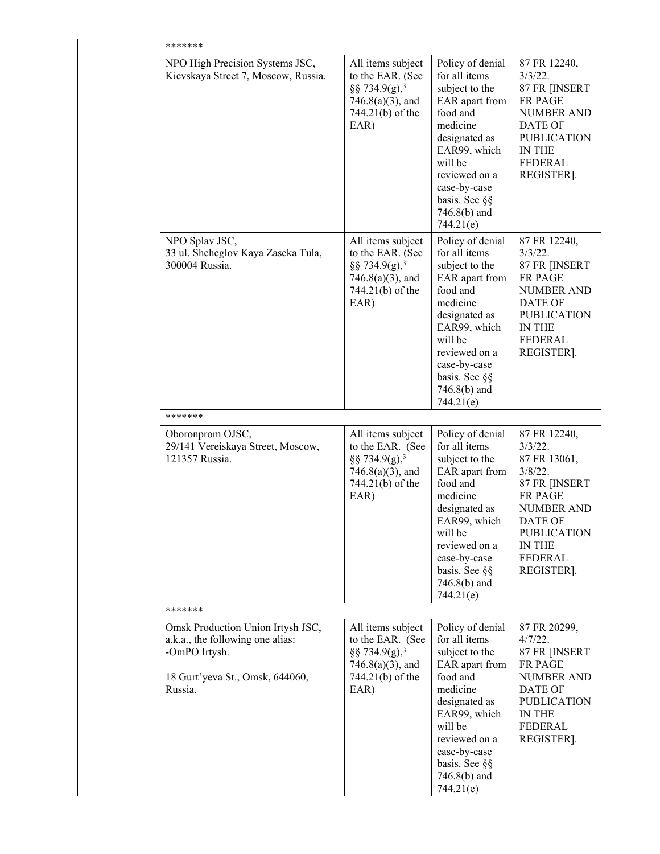|  | *******                                                                                                                              |                                                                                                                       |                                                                                                                                                                                                                            |                                                                                                                                                                                                    |  |
|--|--------------------------------------------------------------------------------------------------------------------------------------|-----------------------------------------------------------------------------------------------------------------------|----------------------------------------------------------------------------------------------------------------------------------------------------------------------------------------------------------------------------|----------------------------------------------------------------------------------------------------------------------------------------------------------------------------------------------------|--|
|  | NPO High Precision Systems JSC,<br>Kievskaya Street 7, Moscow, Russia.                                                               | All items subject<br>to the EAR. (See<br>§§ 734.9(g), <sup>3</sup><br>$746.8(a)(3)$ , and<br>744.21(b) of the<br>EAR) | Policy of denial<br>for all items<br>subject to the<br>EAR apart from<br>food and<br>medicine<br>designated as<br>EAR99, which<br>will be<br>reviewed on a<br>case-by-case<br>basis. See §§<br>$746.8(b)$ and<br>744.21(e) | 87 FR 12240,<br>$3/3/22$ .<br>87 FR [INSERT<br><b>FR PAGE</b><br><b>NUMBER AND</b><br>DATE OF<br><b>PUBLICATION</b><br><b>IN THE</b><br>FEDERAL<br>REGISTER].                                      |  |
|  | NPO Splav JSC,<br>33 ul. Shcheglov Kaya Zaseka Tula,<br>300004 Russia.                                                               | All items subject<br>to the EAR. (See<br>§§ 734.9(g), <sup>3</sup><br>$746.8(a)(3)$ , and<br>744.21(b) of the<br>EAR) | Policy of denial<br>for all items<br>subject to the<br>EAR apart from<br>food and<br>medicine<br>designated as<br>EAR99, which<br>will be<br>reviewed on a<br>case-by-case<br>basis. See §§<br>746.8(b) and<br>744.21(e)   | 87 FR 12240,<br>$3/3/22$ .<br>87 FR [INSERT<br><b>FR PAGE</b><br><b>NUMBER AND</b><br><b>DATE OF</b><br><b>PUBLICATION</b><br>IN THE<br><b>FEDERAL</b><br>REGISTER].                               |  |
|  | *******                                                                                                                              |                                                                                                                       |                                                                                                                                                                                                                            |                                                                                                                                                                                                    |  |
|  | Oboronprom OJSC,<br>29/141 Vereiskaya Street, Moscow,<br>121357 Russia.                                                              | All items subject<br>to the EAR. (See<br>§§ 734.9(g), <sup>3</sup><br>$746.8(a)(3)$ , and<br>744.21(b) of the<br>EAR) | Policy of denial<br>for all items<br>subject to the<br>EAR apart from<br>food and<br>medicine<br>designated as<br>EAR99, which<br>will be<br>reviewed on a<br>case-by-case<br>basis. See §§<br>$746.8(b)$ and<br>744.21(e) | 87 FR 12240,<br>$3/3/22$ .<br>87 FR 13061,<br>$3/8/22$ .<br>87 FR [INSERT<br><b>FR PAGE</b><br><b>NUMBER AND</b><br>DATE OF<br><b>PUBLICATION</b><br><b>IN THE</b><br><b>FEDERAL</b><br>REGISTER]. |  |
|  | *******                                                                                                                              |                                                                                                                       |                                                                                                                                                                                                                            |                                                                                                                                                                                                    |  |
|  | Omsk Production Union Irtysh JSC,<br>a.k.a., the following one alias:<br>-OmPO Irtysh.<br>18 Gurt'yeva St., Omsk, 644060,<br>Russia. | All items subject<br>to the EAR. (See<br>§§ 734.9(g), <sup>3</sup><br>$746.8(a)(3)$ , and<br>744.21(b) of the<br>EAR) | Policy of denial<br>for all items<br>subject to the<br>EAR apart from<br>food and<br>medicine<br>designated as<br>EAR99, which<br>will be<br>reviewed on a<br>case-by-case<br>basis. See §§<br>$746.8(b)$ and<br>744.21(e) | 87 FR 20299,<br>$4/7/22$ .<br>87 FR [INSERT<br>FR PAGE<br><b>NUMBER AND</b><br>DATE OF<br><b>PUBLICATION</b><br>IN THE<br><b>FEDERAL</b><br>REGISTER].                                             |  |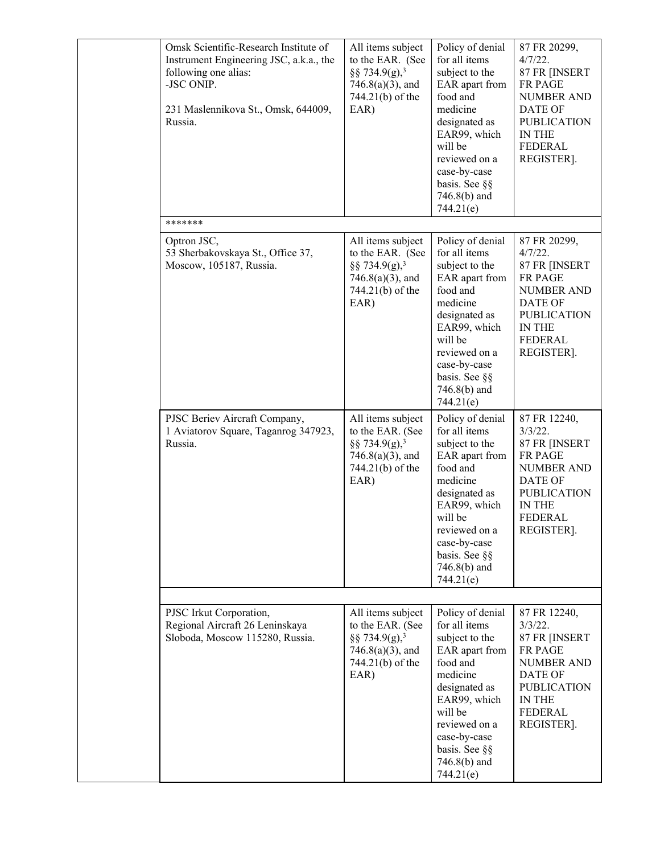|  | Omsk Scientific-Research Institute of<br>Instrument Engineering JSC, a.k.a., the<br>following one alias:<br>-JSC ONIP.<br>231 Maslennikova St., Omsk, 644009,<br>Russia. | All items subject<br>to the EAR. (See<br>§§ 734.9(g), <sup>3</sup><br>$746.8(a)(3)$ , and<br>744.21(b) of the<br>EAR) | Policy of denial<br>for all items<br>subject to the<br>EAR apart from<br>food and<br>medicine<br>designated as<br>EAR99, which<br>will be<br>reviewed on a<br>case-by-case<br>basis. See §§<br>746.8(b) and<br>744.21(e)   | 87 FR 20299,<br>$4/7/22$ .<br>87 FR [INSERT<br>FR PAGE<br><b>NUMBER AND</b><br><b>DATE OF</b><br><b>PUBLICATION</b><br>IN THE<br><b>FEDERAL</b><br>REGISTER].        |
|--|--------------------------------------------------------------------------------------------------------------------------------------------------------------------------|-----------------------------------------------------------------------------------------------------------------------|----------------------------------------------------------------------------------------------------------------------------------------------------------------------------------------------------------------------------|----------------------------------------------------------------------------------------------------------------------------------------------------------------------|
|  | *******                                                                                                                                                                  |                                                                                                                       |                                                                                                                                                                                                                            |                                                                                                                                                                      |
|  | Optron JSC,<br>53 Sherbakovskaya St., Office 37,<br>Moscow, 105187, Russia.                                                                                              | All items subject<br>to the EAR. (See<br>§§ 734.9(g), <sup>3</sup><br>$746.8(a)(3)$ , and<br>744.21(b) of the<br>EAR) | Policy of denial<br>for all items<br>subject to the<br>EAR apart from<br>food and<br>medicine<br>designated as<br>EAR99, which<br>will be<br>reviewed on a<br>case-by-case<br>basis. See §§<br>$746.8(b)$ and<br>744.21(e) | 87 FR 20299,<br>$4/7/22$ .<br>87 FR [INSERT<br><b>FR PAGE</b><br><b>NUMBER AND</b><br><b>DATE OF</b><br><b>PUBLICATION</b><br>IN THE<br><b>FEDERAL</b><br>REGISTER]. |
|  | PJSC Beriev Aircraft Company,<br>1 Aviatorov Square, Taganrog 347923,<br>Russia.                                                                                         | All items subject<br>to the EAR. (See<br>§§ 734.9(g), <sup>3</sup><br>$746.8(a)(3)$ , and<br>744.21(b) of the<br>EAR) | Policy of denial<br>for all items<br>subject to the<br>EAR apart from<br>food and<br>medicine<br>designated as<br>EAR99, which<br>will be<br>reviewed on a<br>case-by-case<br>basis. See §§<br>$746.8(b)$ and<br>744.21(e) | 87 FR 12240,<br>$3/3/22$ .<br>87 FR [INSERT<br>FR PAGE<br>NUMBER AND<br><b>DATE OF</b><br><b>PUBLICATION</b><br>IN THE<br>FEDERAL<br>REGISTER].                      |
|  |                                                                                                                                                                          |                                                                                                                       |                                                                                                                                                                                                                            |                                                                                                                                                                      |
|  | PJSC Irkut Corporation,<br>Regional Aircraft 26 Leninskaya<br>Sloboda, Moscow 115280, Russia.                                                                            | All items subject<br>to the EAR. (See<br>§§ 734.9(g), <sup>3</sup><br>$746.8(a)(3)$ , and<br>744.21(b) of the<br>EAR) | Policy of denial<br>for all items<br>subject to the<br>EAR apart from<br>food and<br>medicine<br>designated as<br>EAR99, which<br>will be<br>reviewed on a<br>case-by-case<br>basis. See §§<br>746.8(b) and<br>744.21(e)   | 87 FR 12240,<br>$3/3/22$ .<br>87 FR [INSERT<br>FR PAGE<br>NUMBER AND<br><b>DATE OF</b><br><b>PUBLICATION</b><br>IN THE<br><b>FEDERAL</b><br>REGISTER].               |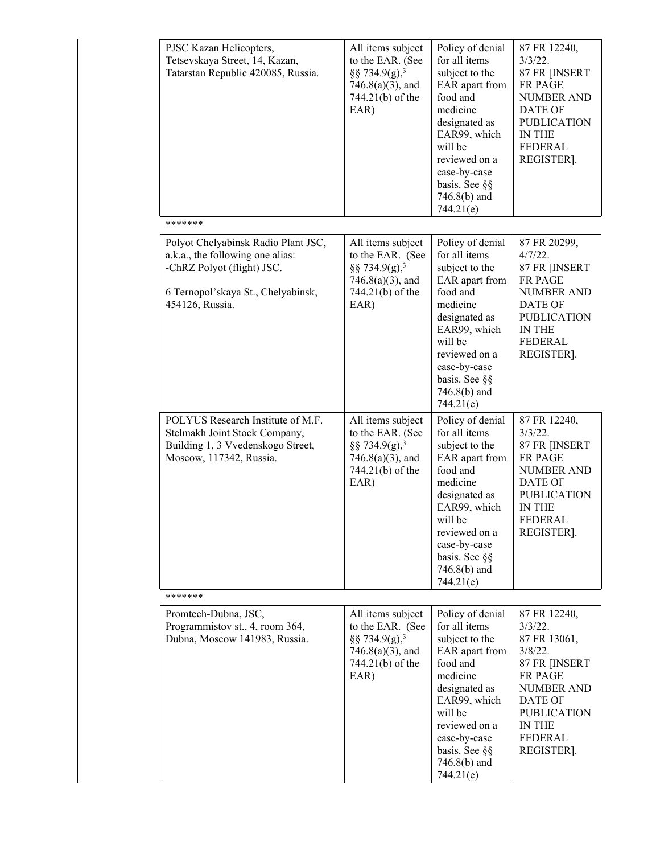|  | PJSC Kazan Helicopters,<br>Tetsevskaya Street, 14, Kazan,<br>Tatarstan Republic 420085, Russia.                                                                | All items subject<br>to the EAR. (See<br>§§ 734.9(g), <sup>3</sup><br>$746.8(a)(3)$ , and<br>744.21(b) of the<br>EAR) | Policy of denial<br>for all items<br>subject to the<br>EAR apart from<br>food and<br>medicine<br>designated as<br>EAR99, which<br>will be<br>reviewed on a<br>case-by-case<br>basis. See §§<br>$746.8(b)$ and<br>744.21(e) | 87 FR 12240,<br>$3/3/22$ .<br>87 FR [INSERT<br>FR PAGE<br><b>NUMBER AND</b><br>DATE OF<br><b>PUBLICATION</b><br>IN THE<br><b>FEDERAL</b><br>REGISTER].                                                    |
|--|----------------------------------------------------------------------------------------------------------------------------------------------------------------|-----------------------------------------------------------------------------------------------------------------------|----------------------------------------------------------------------------------------------------------------------------------------------------------------------------------------------------------------------------|-----------------------------------------------------------------------------------------------------------------------------------------------------------------------------------------------------------|
|  | *******                                                                                                                                                        |                                                                                                                       |                                                                                                                                                                                                                            |                                                                                                                                                                                                           |
|  | Polyot Chelyabinsk Radio Plant JSC,<br>a.k.a., the following one alias:<br>-ChRZ Polyot (flight) JSC.<br>6 Ternopol'skaya St., Chelyabinsk,<br>454126, Russia. | All items subject<br>to the EAR. (See<br>§§ 734.9(g), <sup>3</sup><br>$746.8(a)(3)$ , and<br>744.21(b) of the<br>EAR) | Policy of denial<br>for all items<br>subject to the<br>EAR apart from<br>food and<br>medicine<br>designated as<br>EAR99, which<br>will be<br>reviewed on a<br>case-by-case<br>basis. See §§<br>$746.8(b)$ and<br>744.21(e) | 87 FR 20299,<br>4/7/22.<br>87 FR [INSERT<br>FR PAGE<br><b>NUMBER AND</b><br><b>DATE OF</b><br><b>PUBLICATION</b><br>IN THE<br><b>FEDERAL</b><br>REGISTER].                                                |
|  | POLYUS Research Institute of M.F.<br>Stelmakh Joint Stock Company,<br>Building 1, 3 Vvedenskogo Street,<br>Moscow, 117342, Russia.                             | All items subject<br>to the EAR. (See<br>§§ 734.9(g), <sup>3</sup><br>$746.8(a)(3)$ , and<br>744.21(b) of the<br>EAR) | Policy of denial<br>for all items<br>subject to the<br>EAR apart from<br>food and<br>medicine<br>designated as<br>EAR99, which<br>will be<br>reviewed on a<br>case-by-case<br>basis. See §§<br>746.8(b) and<br>744.21(e)   | 87 FR 12240,<br>$3/3/22$ .<br>87 FR [INSERT<br>FR PAGE<br><b>NUMBER AND</b><br><b>DATE OF</b><br><b>PUBLICATION</b><br><b>IN THE</b><br>FEDERAL<br>REGISTER].                                             |
|  | *******                                                                                                                                                        |                                                                                                                       |                                                                                                                                                                                                                            |                                                                                                                                                                                                           |
|  | Promtech-Dubna, JSC,<br>Programmistov st., 4, room 364,<br>Dubna, Moscow 141983, Russia.                                                                       | All items subject<br>to the EAR. (See<br>§§ 734.9(g), <sup>3</sup><br>$746.8(a)(3)$ , and<br>744.21(b) of the<br>EAR) | Policy of denial<br>for all items<br>subject to the<br>EAR apart from<br>food and<br>medicine<br>designated as<br>EAR99, which<br>will be<br>reviewed on a<br>case-by-case<br>basis. See §§<br>746.8(b) and<br>744.21(e)   | 87 FR 12240,<br>$3/3/22$ .<br>87 FR 13061,<br>$3/8/22$ .<br>87 FR [INSERT<br><b>FR PAGE</b><br><b>NUMBER AND</b><br><b>DATE OF</b><br><b>PUBLICATION</b><br><b>IN THE</b><br><b>FEDERAL</b><br>REGISTER]. |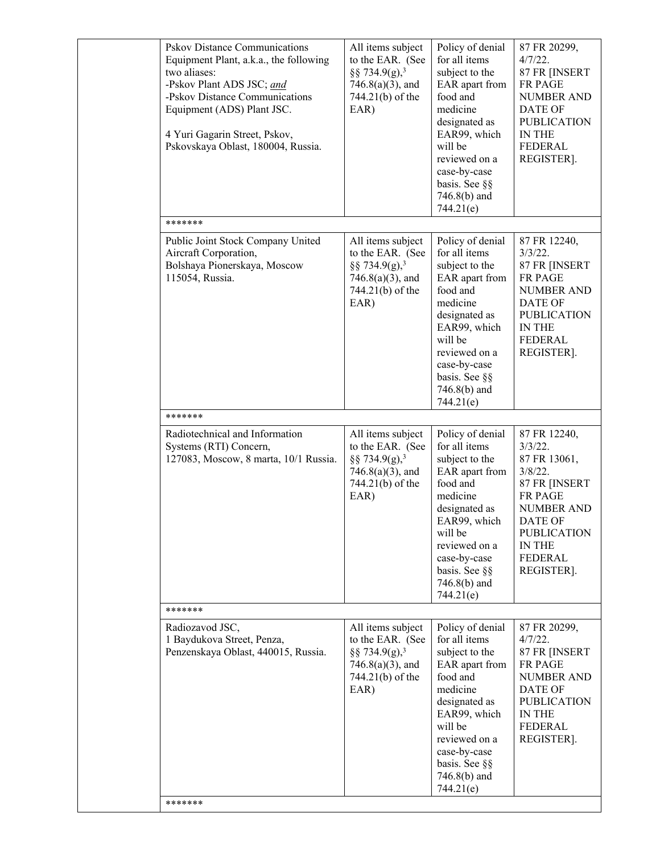| <b>Pskov Distance Communications</b><br>Equipment Plant, a.k.a., the following<br>two aliases:<br>-Pskov Plant ADS JSC; and<br>-Pskov Distance Communications<br>Equipment (ADS) Plant JSC.<br>4 Yuri Gagarin Street, Pskov,<br>Pskovskaya Oblast, 180004, Russia. | All items subject<br>to the EAR. (See<br>§§ 734.9(g), <sup>3</sup><br>$746.8(a)(3)$ , and<br>744.21(b) of the<br>EAR) | Policy of denial<br>for all items<br>subject to the<br>EAR apart from<br>food and<br>medicine<br>designated as<br>EAR99, which<br>will be<br>reviewed on a<br>case-by-case<br>basis. See §§<br>$746.8(b)$ and<br>744.21(e) | 87 FR 20299,<br>$4/7/22$ .<br>87 FR [INSERT<br>FR PAGE<br><b>NUMBER AND</b><br><b>DATE OF</b><br><b>PUBLICATION</b><br>IN THE<br><b>FEDERAL</b><br>REGISTER].                                      |
|--------------------------------------------------------------------------------------------------------------------------------------------------------------------------------------------------------------------------------------------------------------------|-----------------------------------------------------------------------------------------------------------------------|----------------------------------------------------------------------------------------------------------------------------------------------------------------------------------------------------------------------------|----------------------------------------------------------------------------------------------------------------------------------------------------------------------------------------------------|
| *******                                                                                                                                                                                                                                                            |                                                                                                                       |                                                                                                                                                                                                                            |                                                                                                                                                                                                    |
| Public Joint Stock Company United<br>Aircraft Corporation,<br>Bolshaya Pionerskaya, Moscow<br>115054, Russia.                                                                                                                                                      | All items subject<br>to the EAR. (See<br>§§ 734.9(g), <sup>3</sup><br>$746.8(a)(3)$ , and<br>744.21(b) of the<br>EAR) | Policy of denial<br>for all items<br>subject to the<br>EAR apart from<br>food and<br>medicine<br>designated as<br>EAR99, which<br>will be<br>reviewed on a<br>case-by-case<br>basis. See §§<br>746.8(b) and<br>744.21(e)   | 87 FR 12240,<br>$3/3/22$ .<br>87 FR [INSERT<br><b>FR PAGE</b><br><b>NUMBER AND</b><br><b>DATE OF</b><br><b>PUBLICATION</b><br>IN THE<br><b>FEDERAL</b><br>REGISTER].                               |
| *******                                                                                                                                                                                                                                                            |                                                                                                                       |                                                                                                                                                                                                                            |                                                                                                                                                                                                    |
| Radiotechnical and Information<br>Systems (RTI) Concern,<br>127083, Moscow, 8 marta, 10/1 Russia.                                                                                                                                                                  | All items subject<br>to the EAR. (See<br>§§ 734.9(g), <sup>3</sup><br>$746.8(a)(3)$ , and<br>744.21(b) of the<br>EAR) | Policy of denial<br>for all items<br>subject to the<br>EAR apart from<br>food and<br>medicine<br>designated as<br>EAR99, which<br>will be<br>reviewed on a<br>case-by-case<br>basis. See §§<br>$746.8(b)$ and<br>744.21(e) | 87 FR 12240,<br>$3/3/22$ .<br>87 FR 13061,<br>$3/8/22$ .<br>87 FR [INSERT<br><b>FR PAGE</b><br><b>NUMBER AND</b><br>DATE OF<br><b>PUBLICATION</b><br><b>IN THE</b><br><b>FEDERAL</b><br>REGISTER]. |
| *******                                                                                                                                                                                                                                                            |                                                                                                                       |                                                                                                                                                                                                                            |                                                                                                                                                                                                    |
| Radiozavod JSC,<br>1 Baydukova Street, Penza,<br>Penzenskaya Oblast, 440015, Russia.<br>*******                                                                                                                                                                    | All items subject<br>to the EAR. (See<br>§§ 734.9(g), <sup>3</sup><br>$746.8(a)(3)$ , and<br>744.21(b) of the<br>EAR) | Policy of denial<br>for all items<br>subject to the<br>EAR apart from<br>food and<br>medicine<br>designated as<br>EAR99, which<br>will be<br>reviewed on a<br>case-by-case<br>basis. See §§<br>746.8(b) and<br>744.21(e)   | 87 FR 20299,<br>$4/7/22$ .<br>87 FR [INSERT<br>FR PAGE<br><b>NUMBER AND</b><br>DATE OF<br><b>PUBLICATION</b><br><b>IN THE</b><br><b>FEDERAL</b><br>REGISTER].                                      |
|                                                                                                                                                                                                                                                                    |                                                                                                                       |                                                                                                                                                                                                                            |                                                                                                                                                                                                    |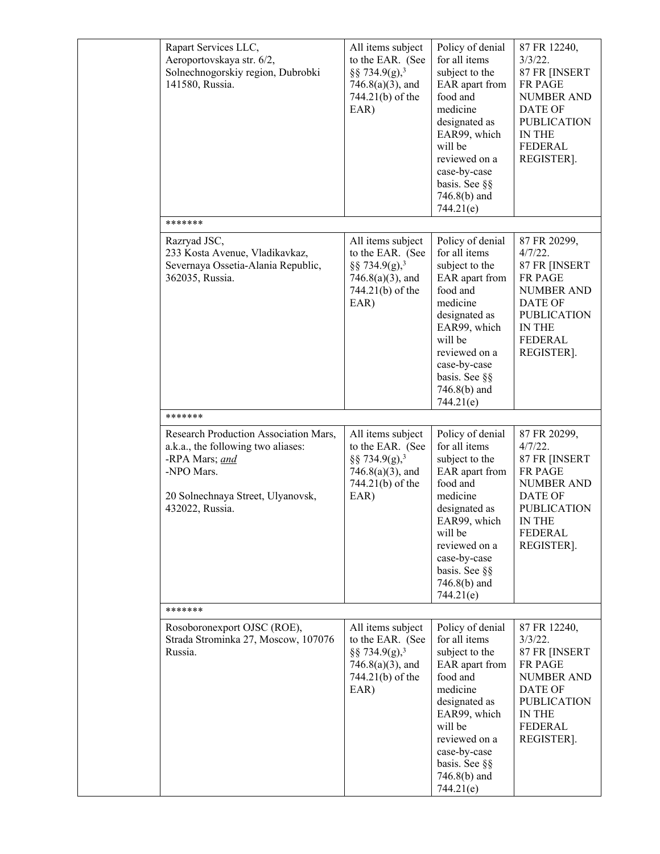| Rapart Services LLC,<br>Aeroportovskaya str. 6/2,<br>Solnechnogorskiy region, Dubrobki<br>141580, Russia.                                                           | All items subject<br>to the EAR. (See<br>§§ 734.9(g), <sup>3</sup><br>$746.8(a)(3)$ , and<br>744.21(b) of the<br>EAR) | Policy of denial<br>for all items<br>subject to the<br>EAR apart from<br>food and<br>medicine<br>designated as<br>EAR99, which<br>will be<br>reviewed on a<br>case-by-case<br>basis. See §§<br>746.8(b) and<br>744.21(e)   | 87 FR 12240,<br>$3/3/22$ .<br>87 FR [INSERT<br>FR PAGE<br><b>NUMBER AND</b><br><b>DATE OF</b><br><b>PUBLICATION</b><br>IN THE<br><b>FEDERAL</b><br>REGISTER]. |
|---------------------------------------------------------------------------------------------------------------------------------------------------------------------|-----------------------------------------------------------------------------------------------------------------------|----------------------------------------------------------------------------------------------------------------------------------------------------------------------------------------------------------------------------|---------------------------------------------------------------------------------------------------------------------------------------------------------------|
| *******                                                                                                                                                             |                                                                                                                       |                                                                                                                                                                                                                            |                                                                                                                                                               |
| Razryad JSC,<br>233 Kosta Avenue, Vladikavkaz,<br>Severnaya Ossetia-Alania Republic,<br>362035, Russia.                                                             | All items subject<br>to the EAR. (See<br>§§ 734.9(g), <sup>3</sup><br>$746.8(a)(3)$ , and<br>744.21(b) of the<br>EAR) | Policy of denial<br>for all items<br>subject to the<br>EAR apart from<br>food and<br>medicine<br>designated as<br>EAR99, which<br>will be<br>reviewed on a<br>case-by-case<br>basis. See §§<br>746.8(b) and<br>744.21(e)   | 87 FR 20299,<br>4/7/22.<br>87 FR [INSERT<br>FR PAGE<br>NUMBER AND<br><b>DATE OF</b><br><b>PUBLICATION</b><br>IN THE<br><b>FEDERAL</b><br>REGISTER].           |
| *******                                                                                                                                                             |                                                                                                                       |                                                                                                                                                                                                                            |                                                                                                                                                               |
| Research Production Association Mars,<br>a.k.a., the following two aliases:<br>-RPA Mars; and<br>-NPO Mars.<br>20 Solnechnaya Street, Ulyanovsk,<br>432022, Russia. | All items subject<br>to the EAR. (See<br>§§ 734.9(g), <sup>3</sup><br>$746.8(a)(3)$ , and<br>744.21(b) of the<br>EAR) | Policy of denial<br>for all items<br>subject to the<br>EAR apart from<br>food and<br>medicine<br>designated as<br>EAR99, which<br>will be<br>reviewed on a<br>case-by-case<br>basis. See §§<br>746.8(b) and<br>744.21(e)   | 87 FR 20299,<br>$4/7/22$ .<br>87 FR [INSERT<br>FR PAGE<br><b>NUMBER AND</b><br><b>DATE OF</b><br><b>PUBLICATION</b><br>IN THE<br><b>FEDERAL</b><br>REGISTER]. |
| *******                                                                                                                                                             |                                                                                                                       |                                                                                                                                                                                                                            |                                                                                                                                                               |
| Rosoboronexport OJSC (ROE),<br>Strada Strominka 27, Moscow, 107076<br>Russia.                                                                                       | All items subject<br>to the EAR. (See<br>§§ 734.9(g), <sup>3</sup><br>$746.8(a)(3)$ , and<br>744.21(b) of the<br>EAR) | Policy of denial<br>for all items<br>subject to the<br>EAR apart from<br>food and<br>medicine<br>designated as<br>EAR99, which<br>will be<br>reviewed on a<br>case-by-case<br>basis. See §§<br>$746.8(b)$ and<br>744.21(e) | 87 FR 12240,<br>$3/3/22$ .<br>87 FR [INSERT<br>FR PAGE<br><b>NUMBER AND</b><br><b>DATE OF</b><br><b>PUBLICATION</b><br>IN THE<br><b>FEDERAL</b><br>REGISTER]. |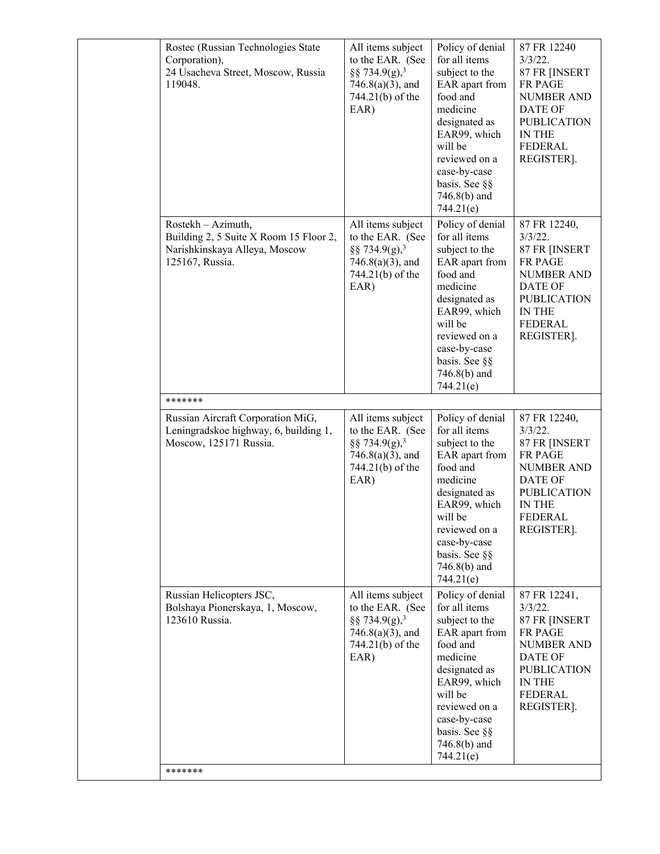| Rostec (Russian Technologies State<br>Corporation),<br>24 Usacheva Street, Moscow, Russia<br>119048.             | All items subject<br>to the EAR. (See<br>§§ 734.9(g), <sup>3</sup><br>$746.8(a)(3)$ , and<br>744.21(b) of the<br>EAR) | Policy of denial<br>for all items<br>subject to the<br>EAR apart from<br>food and<br>medicine<br>designated as<br>EAR99, which<br>will be<br>reviewed on a<br>case-by-case<br>basis. See §§<br>$746.8(b)$ and<br>744.21(e) | 87 FR 12240<br>$3/3/22$ .<br>87 FR [INSERT<br><b>FR PAGE</b><br><b>NUMBER AND</b><br>DATE OF<br><b>PUBLICATION</b><br><b>IN THE</b><br><b>FEDERAL</b><br>REGISTER].  |
|------------------------------------------------------------------------------------------------------------------|-----------------------------------------------------------------------------------------------------------------------|----------------------------------------------------------------------------------------------------------------------------------------------------------------------------------------------------------------------------|----------------------------------------------------------------------------------------------------------------------------------------------------------------------|
| Rostekh - Azimuth,<br>Building 2, 5 Suite X Room 15 Floor 2,<br>Narishkinskaya Alleya, Moscow<br>125167, Russia. | All items subject<br>to the EAR. (See<br>§§ 734.9(g), <sup>3</sup><br>$746.8(a)(3)$ , and<br>744.21(b) of the<br>EAR) | Policy of denial<br>for all items<br>subject to the<br>EAR apart from<br>food and<br>medicine<br>designated as<br>EAR99, which<br>will be<br>reviewed on a<br>case-by-case<br>basis. See §§<br>$746.8(b)$ and<br>744.21(e) | 87 FR 12240,<br>$3/3/22$ .<br>87 FR [INSERT<br>FR PAGE<br><b>NUMBER AND</b><br>DATE OF<br><b>PUBLICATION</b><br><b>IN THE</b><br><b>FEDERAL</b><br>REGISTER].        |
| *******                                                                                                          |                                                                                                                       |                                                                                                                                                                                                                            |                                                                                                                                                                      |
| Russian Aircraft Corporation MiG,<br>Leningradskoe highway, 6, building 1,<br>Moscow, 125171 Russia.             | All items subject<br>to the EAR. (See<br>§§ 734.9(g), <sup>3</sup><br>$746.8(a)(3)$ , and<br>744.21(b) of the<br>EAR) | Policy of denial<br>for all items<br>subject to the<br>EAR apart from<br>food and<br>medicine<br>designated as<br>EAR99, which<br>will be<br>reviewed on a<br>case-by-case<br>basis. See §§<br>$746.8(b)$ and<br>744.21(e) | 87 FR 12240,<br>$3/3/22$ .<br>87 FR [INSERT<br>FR PAGE<br><b>NUMBER AND</b><br>DATE OF<br><b>PUBLICATION</b><br>IN THE<br>FEDERAL<br>REGISTER].                      |
| Russian Helicopters JSC,<br>Bolshaya Pionerskaya, 1, Moscow,<br>123610 Russia.                                   | All items subject<br>to the EAR. (See<br>§§ 734.9(g), <sup>3</sup><br>$746.8(a)(3)$ , and<br>744.21(b) of the<br>EAR) | Policy of denial<br>for all items<br>subject to the<br>EAR apart from<br>food and<br>medicine<br>designated as<br>EAR99, which<br>will be<br>reviewed on a<br>case-by-case<br>basis. See §§<br>746.8(b) and<br>744.21(e)   | 87 FR 12241,<br>$3/3/22$ .<br>87 FR [INSERT<br><b>FR PAGE</b><br><b>NUMBER AND</b><br><b>DATE OF</b><br><b>PUBLICATION</b><br>IN THE<br><b>FEDERAL</b><br>REGISTER]. |
| *******                                                                                                          |                                                                                                                       |                                                                                                                                                                                                                            |                                                                                                                                                                      |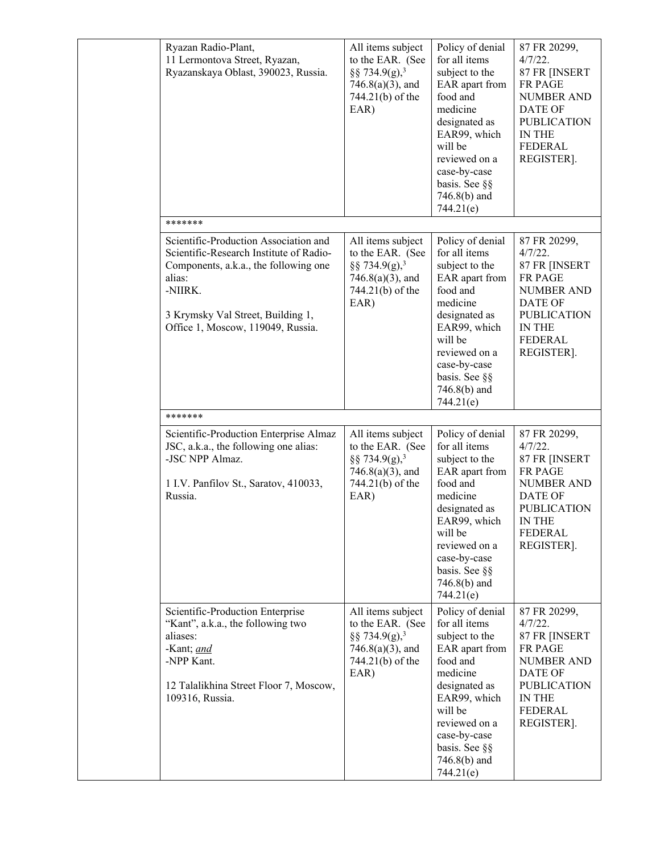| Ryazan Radio-Plant,<br>11 Lermontova Street, Ryazan,<br>Ryazanskaya Oblast, 390023, Russia.                                                                                                                              | All items subject<br>to the EAR. (See<br>§§ 734.9(g), <sup>3</sup><br>$746.8(a)(3)$ , and<br>744.21(b) of the<br>EAR) | Policy of denial<br>for all items<br>subject to the<br>EAR apart from<br>food and<br>medicine<br>designated as<br>EAR99, which<br>will be<br>reviewed on a<br>case-by-case<br>basis. See §§<br>746.8(b) and<br>744.21(e)   | 87 FR 20299,<br>$4/7/22$ .<br>87 FR [INSERT<br>FR PAGE<br><b>NUMBER AND</b><br>DATE OF<br><b>PUBLICATION</b><br>IN THE<br><b>FEDERAL</b><br>REGISTER].                      |
|--------------------------------------------------------------------------------------------------------------------------------------------------------------------------------------------------------------------------|-----------------------------------------------------------------------------------------------------------------------|----------------------------------------------------------------------------------------------------------------------------------------------------------------------------------------------------------------------------|-----------------------------------------------------------------------------------------------------------------------------------------------------------------------------|
| *******                                                                                                                                                                                                                  |                                                                                                                       |                                                                                                                                                                                                                            |                                                                                                                                                                             |
| Scientific-Production Association and<br>Scientific-Research Institute of Radio-<br>Components, a.k.a., the following one<br>alias:<br>-NIIRK.<br>3 Krymsky Val Street, Building 1,<br>Office 1, Moscow, 119049, Russia. | All items subject<br>to the EAR. (See<br>§§ 734.9(g), <sup>3</sup><br>$746.8(a)(3)$ , and<br>744.21(b) of the<br>EAR) | Policy of denial<br>for all items<br>subject to the<br>EAR apart from<br>food and<br>medicine<br>designated as<br>EAR99, which<br>will be<br>reviewed on a<br>case-by-case<br>basis. See §§<br>746.8(b) and<br>744.21(e)   | 87 FR 20299,<br>$4/7/22$ .<br>87 FR [INSERT<br><b>FR PAGE</b><br><b>NUMBER AND</b><br><b>DATE OF</b><br><b>PUBLICATION</b><br><b>IN THE</b><br><b>FEDERAL</b><br>REGISTER]. |
| *******                                                                                                                                                                                                                  |                                                                                                                       |                                                                                                                                                                                                                            |                                                                                                                                                                             |
| Scientific-Production Enterprise Almaz<br>JSC, a.k.a., the following one alias:<br>-JSC NPP Almaz.<br>1 I.V. Panfilov St., Saratov, 410033,<br>Russia.                                                                   | All items subject<br>to the EAR. (See<br>§§ 734.9(g), <sup>3</sup><br>$746.8(a)(3)$ , and<br>744.21(b) of the<br>EAR) | Policy of denial<br>for all items<br>subject to the<br>EAR apart from<br>food and<br>medicine<br>designated as<br>EAR99, which<br>will be<br>reviewed on a<br>case-by-case<br>basis. See §§<br>$746.8(b)$ and<br>744.21(e) | 87 FR 20299,<br>$4/7/22$ .<br>87 FR [INSERT<br>FR PAGE<br><b>NUMBER AND</b><br><b>DATE OF</b><br><b>PUBLICATION</b><br>IN THE<br><b>FEDERAL</b><br>REGISTER].               |
| Scientific-Production Enterprise<br>"Kant", a.k.a., the following two<br>aliases:<br>-Kant; and<br>-NPP Kant.<br>12 Talalikhina Street Floor 7, Moscow,<br>109316, Russia.                                               | All items subject<br>to the EAR. (See<br>§§ 734.9(g), <sup>3</sup><br>$746.8(a)(3)$ , and<br>744.21(b) of the<br>EAR) | Policy of denial<br>for all items<br>subject to the<br>EAR apart from<br>food and<br>medicine<br>designated as<br>EAR99, which<br>will be<br>reviewed on a<br>case-by-case<br>basis. See §§<br>746.8(b) and<br>744.21(e)   | 87 FR 20299,<br>4/7/22.<br>87 FR [INSERT<br>FR PAGE<br><b>NUMBER AND</b><br>DATE OF<br><b>PUBLICATION</b><br>IN THE<br>FEDERAL<br>REGISTER].                                |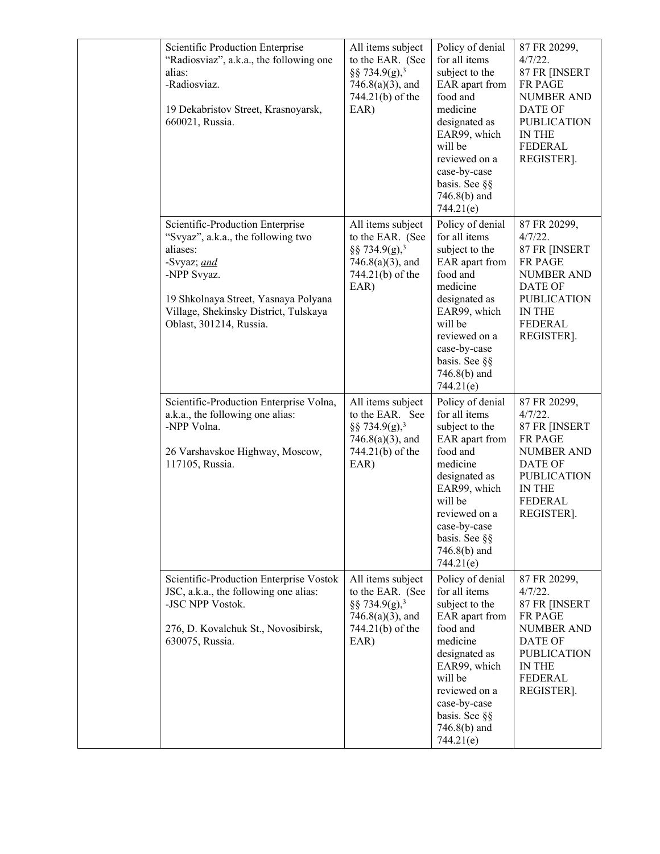| Scientific Production Enterprise<br>"Radiosviaz", a.k.a., the following one<br>alias:<br>-Radiosviaz.<br>19 Dekabristov Street, Krasnoyarsk,<br>660021, Russia.                                                              | All items subject<br>to the EAR. (See<br>§§ 734.9(g), <sup>3</sup><br>$746.8(a)(3)$ , and<br>744.21(b) of the<br>EAR) | Policy of denial<br>for all items<br>subject to the<br>EAR apart from<br>food and<br>medicine<br>designated as<br>EAR99, which<br>will be<br>reviewed on a<br>case-by-case<br>basis. See §§<br>746.8(b) and<br>744.21(e)   | 87 FR 20299,<br>$4/7/22$ .<br>87 FR [INSERT<br>FR PAGE<br><b>NUMBER AND</b><br><b>DATE OF</b><br><b>PUBLICATION</b><br>IN THE<br><b>FEDERAL</b><br>REGISTER].        |
|------------------------------------------------------------------------------------------------------------------------------------------------------------------------------------------------------------------------------|-----------------------------------------------------------------------------------------------------------------------|----------------------------------------------------------------------------------------------------------------------------------------------------------------------------------------------------------------------------|----------------------------------------------------------------------------------------------------------------------------------------------------------------------|
| Scientific-Production Enterprise<br>"Svyaz", a.k.a., the following two<br>aliases:<br>-Svyaz; and<br>-NPP Svyaz.<br>19 Shkolnaya Street, Yasnaya Polyana<br>Village, Shekinsky District, Tulskaya<br>Oblast, 301214, Russia. | All items subject<br>to the EAR. (See<br>§§ 734.9(g), <sup>3</sup><br>$746.8(a)(3)$ , and<br>744.21(b) of the<br>EAR) | Policy of denial<br>for all items<br>subject to the<br>EAR apart from<br>food and<br>medicine<br>designated as<br>EAR99, which<br>will be<br>reviewed on a<br>case-by-case<br>basis. See §§<br>746.8(b) and<br>744.21(e)   | 87 FR 20299,<br>$4/7/22$ .<br>87 FR [INSERT<br><b>FR PAGE</b><br><b>NUMBER AND</b><br><b>DATE OF</b><br><b>PUBLICATION</b><br>IN THE<br><b>FEDERAL</b><br>REGISTER]. |
| Scientific-Production Enterprise Volna,<br>a.k.a., the following one alias:<br>-NPP Volna.<br>26 Varshavskoe Highway, Moscow,<br>117105, Russia.                                                                             | All items subject<br>to the EAR. See<br>§§ 734.9(g), <sup>3</sup><br>$746.8(a)(3)$ , and<br>744.21(b) of the<br>EAR)  | Policy of denial<br>for all items<br>subject to the<br>EAR apart from<br>food and<br>medicine<br>designated as<br>EAR99, which<br>will be<br>reviewed on a<br>case-by-case<br>basis. See §§<br>$746.8(b)$ and<br>744.21(e) | 87 FR 20299,<br>$4/7/22$ .<br>87 FR [INSERT<br>FR PAGE<br><b>NUMBER AND</b><br><b>DATE OF</b><br><b>PUBLICATION</b><br>IN THE<br><b>FEDERAL</b><br>REGISTER].        |
| Scientific-Production Enterprise Vostok<br>JSC, a.k.a., the following one alias:<br>-JSC NPP Vostok.<br>276, D. Kovalchuk St., Novosibirsk,<br>630075, Russia.                                                               | All items subject<br>to the EAR. (See<br>§§ 734.9(g), <sup>3</sup><br>$746.8(a)(3)$ , and<br>744.21(b) of the<br>EAR) | Policy of denial<br>for all items<br>subject to the<br>EAR apart from<br>food and<br>medicine<br>designated as<br>EAR99, which<br>will be<br>reviewed on a<br>case-by-case<br>basis. See §§<br>$746.8(b)$ and<br>744.21(e) | 87 FR 20299,<br>$4/7/22$ .<br>87 FR [INSERT<br><b>FR PAGE</b><br><b>NUMBER AND</b><br>DATE OF<br><b>PUBLICATION</b><br>IN THE<br><b>FEDERAL</b><br>REGISTER].        |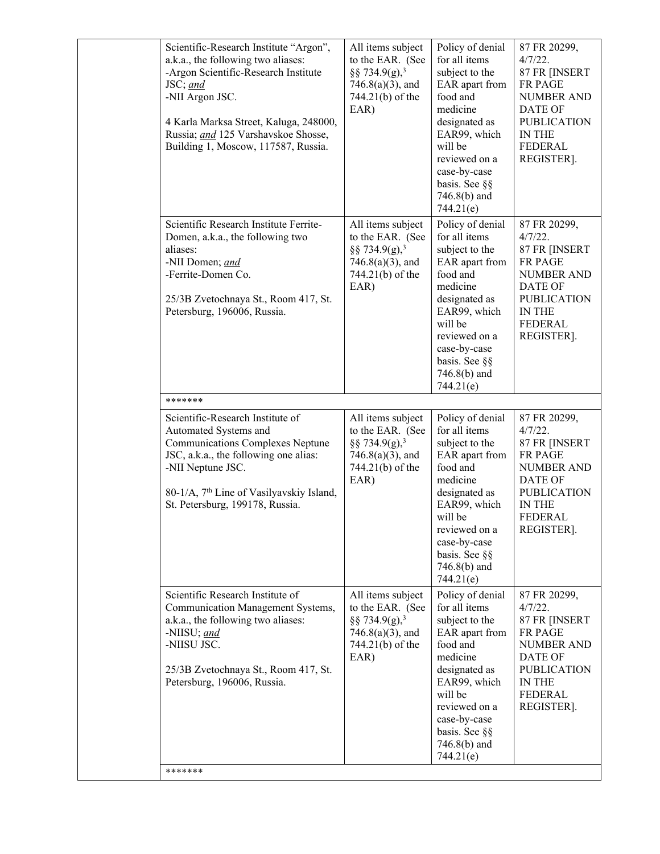| Scientific-Research Institute "Argon",<br>a.k.a., the following two aliases:<br>-Argon Scientific-Research Institute<br>JSC; and<br>-NII Argon JSC.<br>4 Karla Marksa Street, Kaluga, 248000,<br>Russia; and 125 Varshavskoe Shosse,<br>Building 1, Moscow, 117587, Russia. | All items subject<br>to the EAR. (See<br>§§ 734.9(g), <sup>3</sup><br>$746.8(a)(3)$ , and<br>744.21(b) of the<br>EAR) | Policy of denial<br>for all items<br>subject to the<br>EAR apart from<br>food and<br>medicine<br>designated as<br>EAR99, which<br>will be<br>reviewed on a<br>case-by-case<br>basis. See §§<br>$746.8(b)$ and<br>744.21(e) | 87 FR 20299,<br>$4/7/22$ .<br>87 FR [INSERT<br><b>FR PAGE</b><br><b>NUMBER AND</b><br>DATE OF<br><b>PUBLICATION</b><br><b>IN THE</b><br><b>FEDERAL</b><br>REGISTER]. |
|-----------------------------------------------------------------------------------------------------------------------------------------------------------------------------------------------------------------------------------------------------------------------------|-----------------------------------------------------------------------------------------------------------------------|----------------------------------------------------------------------------------------------------------------------------------------------------------------------------------------------------------------------------|----------------------------------------------------------------------------------------------------------------------------------------------------------------------|
| Scientific Research Institute Ferrite-<br>Domen, a.k.a., the following two<br>aliases:<br>-NII Domen; and<br>-Ferrite-Domen Co.<br>25/3B Zvetochnaya St., Room 417, St.<br>Petersburg, 196006, Russia.                                                                      | All items subject<br>to the EAR. (See<br>§§ 734.9(g), <sup>3</sup><br>$746.8(a)(3)$ , and<br>744.21(b) of the<br>EAR) | Policy of denial<br>for all items<br>subject to the<br>EAR apart from<br>food and<br>medicine<br>designated as<br>EAR99, which<br>will be<br>reviewed on a<br>case-by-case<br>basis. See §§<br>$746.8(b)$ and<br>744.21(e) | 87 FR 20299,<br>$4/7/22$ .<br>87 FR [INSERT<br>FR PAGE<br><b>NUMBER AND</b><br>DATE OF<br><b>PUBLICATION</b><br>IN THE<br><b>FEDERAL</b><br>REGISTER].               |
| *******                                                                                                                                                                                                                                                                     |                                                                                                                       |                                                                                                                                                                                                                            |                                                                                                                                                                      |
| Scientific-Research Institute of<br>Automated Systems and<br><b>Communications Complexes Neptune</b><br>JSC, a.k.a., the following one alias:<br>-NII Neptune JSC.<br>80-1/A, 7 <sup>th</sup> Line of Vasilyavskiy Island,<br>St. Petersburg, 199178, Russia.               | All items subject<br>to the EAR. (See<br>§§ 734.9(g), <sup>3</sup><br>$746.8(a)(3)$ , and<br>744.21(b) of the<br>EAR) | Policy of denial<br>for all items<br>subject to the<br>EAR apart from<br>food and<br>medicine<br>designated as<br>EAR99, which<br>will be<br>reviewed on a<br>case-by-case<br>basis. See §§<br>$746.8(b)$ and<br>744.21(e) | 87 FR 20299,<br>$4/7/22$ .<br>87 FR [INSERT<br>FR PAGE<br>NUMBER AND<br>DATE OF<br><b>PUBLICATION</b><br><b>IN THE</b><br>FEDERAL<br>REGISTER].                      |
| Scientific Research Institute of<br>Communication Management Systems,<br>a.k.a., the following two aliases:<br>-NIISU; and<br>-NIISU JSC.<br>25/3B Zvetochnaya St., Room 417, St.<br>Petersburg, 196006, Russia.                                                            | All items subject<br>to the EAR. (See<br>§§ 734.9(g), <sup>3</sup><br>$746.8(a)(3)$ , and<br>744.21(b) of the<br>EAR) | Policy of denial<br>for all items<br>subject to the<br>EAR apart from<br>food and<br>medicine<br>designated as<br>EAR99, which<br>will be<br>reviewed on a<br>case-by-case<br>basis. See §§<br>746.8(b) and<br>744.21(e)   | 87 FR 20299,<br>$4/7/22$ .<br>87 FR [INSERT<br>FR PAGE<br><b>NUMBER AND</b><br><b>DATE OF</b><br><b>PUBLICATION</b><br>IN THE<br><b>FEDERAL</b><br>REGISTER].        |
| *******                                                                                                                                                                                                                                                                     |                                                                                                                       |                                                                                                                                                                                                                            |                                                                                                                                                                      |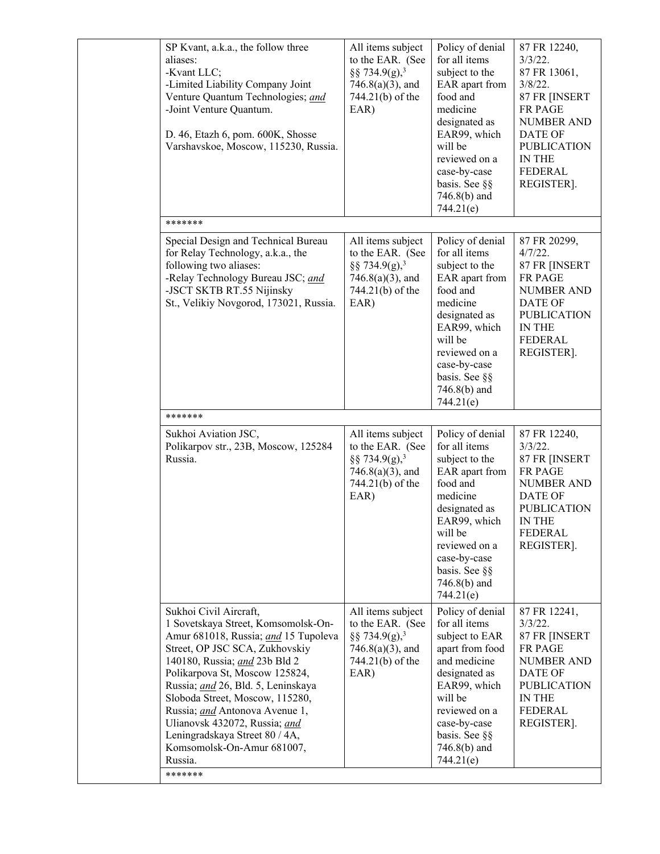| SP Kvant, a.k.a., the follow three<br>aliases:<br>-Kvant LLC;<br>-Limited Liability Company Joint<br>Venture Quantum Technologies; and<br>-Joint Venture Quantum.<br>D. 46, Etazh 6, pom. 600K, Shosse<br>Varshavskoe, Moscow, 115230, Russia.                                                                                                                                                                                               | All items subject<br>to the EAR. (See<br>§§ 734.9(g), <sup>3</sup><br>$746.8(a)(3)$ , and<br>744.21(b) of the<br>EAR) | Policy of denial<br>for all items<br>subject to the<br>EAR apart from<br>food and<br>medicine<br>designated as<br>EAR99, which<br>will be<br>reviewed on a<br>case-by-case<br>basis. See §§<br>$746.8(b)$ and<br>744.21(e) | 87 FR 12240,<br>$3/3/22$ .<br>87 FR 13061,<br>$3/8/22$ .<br>87 FR [INSERT<br>FR PAGE<br>NUMBER AND<br><b>DATE OF</b><br><b>PUBLICATION</b><br>IN THE<br><b>FEDERAL</b><br>REGISTER]. |
|----------------------------------------------------------------------------------------------------------------------------------------------------------------------------------------------------------------------------------------------------------------------------------------------------------------------------------------------------------------------------------------------------------------------------------------------|-----------------------------------------------------------------------------------------------------------------------|----------------------------------------------------------------------------------------------------------------------------------------------------------------------------------------------------------------------------|--------------------------------------------------------------------------------------------------------------------------------------------------------------------------------------|
| *******                                                                                                                                                                                                                                                                                                                                                                                                                                      |                                                                                                                       |                                                                                                                                                                                                                            |                                                                                                                                                                                      |
| Special Design and Technical Bureau<br>for Relay Technology, a.k.a., the<br>following two aliases:<br>-Relay Technology Bureau JSC; and<br>-JSCT SKTB RT.55 Nijinsky<br>St., Velikiy Novgorod, 173021, Russia.                                                                                                                                                                                                                               | All items subject<br>to the EAR. (See<br>§§ 734.9(g), <sup>3</sup><br>$746.8(a)(3)$ , and<br>744.21(b) of the<br>EAR) | Policy of denial<br>for all items<br>subject to the<br>EAR apart from<br>food and<br>medicine<br>designated as<br>EAR99, which<br>will be<br>reviewed on a<br>case-by-case<br>basis. See §§<br>746.8(b) and<br>744.21(e)   | 87 FR 20299,<br>$4/7/22$ .<br>87 FR [INSERT<br>FR PAGE<br><b>NUMBER AND</b><br><b>DATE OF</b><br><b>PUBLICATION</b><br>IN THE<br><b>FEDERAL</b><br>REGISTER].                        |
| *******                                                                                                                                                                                                                                                                                                                                                                                                                                      |                                                                                                                       |                                                                                                                                                                                                                            |                                                                                                                                                                                      |
| Sukhoi Aviation JSC,<br>Polikarpov str., 23B, Moscow, 125284<br>Russia.                                                                                                                                                                                                                                                                                                                                                                      | All items subject<br>to the EAR. (See<br>§§ 734.9(g), <sup>3</sup><br>$746.8(a)(3)$ , and<br>744.21(b) of the<br>EAR) | Policy of denial<br>for all items<br>subject to the<br>EAR apart from<br>food and<br>medicine<br>designated as<br>EAR99, which<br>will be<br>reviewed on a<br>case-by-case<br>basis. See §§<br>$746.8(b)$ and<br>744.21(e) | 87 FR 12240,<br>$3/3/22$ .<br>87 FR [INSERT<br>FR PAGE<br><b>NUMBER AND</b><br><b>DATE OF</b><br><b>PUBLICATION</b><br><b>IN THE</b><br>FEDERAL<br>REGISTER].                        |
| Sukhoi Civil Aircraft,<br>1 Sovetskaya Street, Komsomolsk-On-<br>Amur 681018, Russia; and 15 Tupoleva<br>Street, OP JSC SCA, Zukhovskiy<br>140180, Russia; and 23b Bld 2<br>Polikarpova St, Moscow 125824,<br>Russia; and 26, Bld. 5, Leninskaya<br>Sloboda Street, Moscow, 115280,<br>Russia; and Antonova Avenue 1,<br>Ulianovsk 432072, Russia; and<br>Leningradskaya Street 80 / 4A,<br>Komsomolsk-On-Amur 681007,<br>Russia.<br>******* | All items subject<br>to the EAR. (See<br>§§ 734.9(g), <sup>3</sup><br>$746.8(a)(3)$ , and<br>744.21(b) of the<br>EAR) | Policy of denial<br>for all items<br>subject to EAR<br>apart from food<br>and medicine<br>designated as<br>EAR99, which<br>will be<br>reviewed on a<br>case-by-case<br>basis. See §§<br>746.8(b) and<br>744.21(e)          | 87 FR 12241,<br>$3/3/22$ .<br>87 FR [INSERT<br>FR PAGE<br><b>NUMBER AND</b><br><b>DATE OF</b><br><b>PUBLICATION</b><br>IN THE<br><b>FEDERAL</b><br>REGISTER].                        |
|                                                                                                                                                                                                                                                                                                                                                                                                                                              |                                                                                                                       |                                                                                                                                                                                                                            |                                                                                                                                                                                      |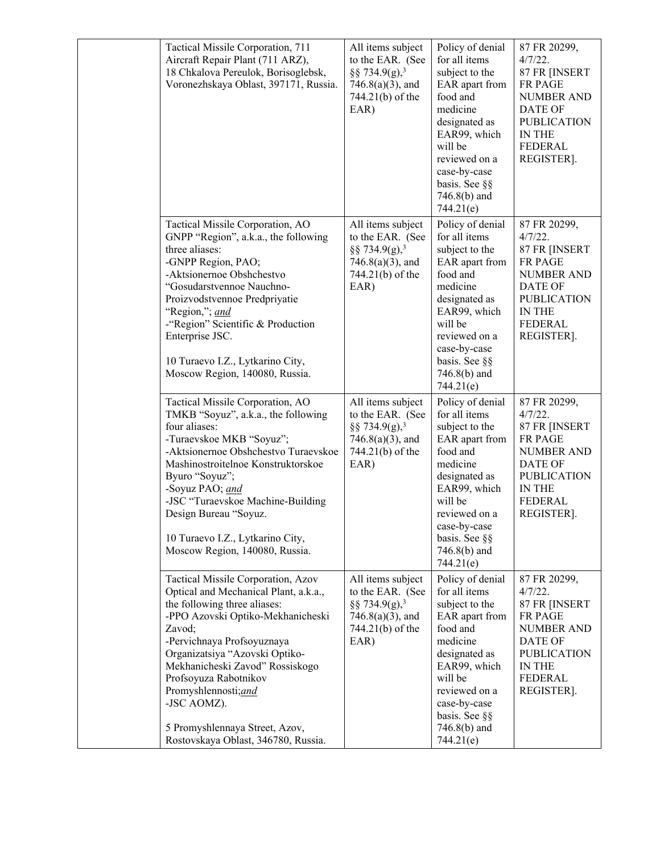| Tactical Missile Corporation, 711<br>Aircraft Repair Plant (711 ARZ),<br>18 Chkalova Pereulok, Borisoglebsk,<br>Voronezhskaya Oblast, 397171, Russia.                                                                                                                                                                                                                                                 | All items subject<br>to the EAR. (See<br>§§ 734.9(g), <sup>3</sup><br>$746.8(a)(3)$ , and<br>744.21(b) of the<br>EAR) | Policy of denial<br>for all items<br>subject to the<br>EAR apart from<br>food and<br>medicine<br>designated as<br>EAR99, which<br>will be<br>reviewed on a<br>case-by-case<br>basis. See §§<br>$746.8(b)$ and<br>744.21(e) | 87 FR 20299,<br>$4/7/22$ .<br>87 FR [INSERT<br>FR PAGE<br><b>NUMBER AND</b><br><b>DATE OF</b><br><b>PUBLICATION</b><br>IN THE<br><b>FEDERAL</b><br>REGISTER].        |
|-------------------------------------------------------------------------------------------------------------------------------------------------------------------------------------------------------------------------------------------------------------------------------------------------------------------------------------------------------------------------------------------------------|-----------------------------------------------------------------------------------------------------------------------|----------------------------------------------------------------------------------------------------------------------------------------------------------------------------------------------------------------------------|----------------------------------------------------------------------------------------------------------------------------------------------------------------------|
| Tactical Missile Corporation, AO<br>GNPP "Region", a.k.a., the following<br>three aliases:<br>-GNPP Region, PAO;<br>-Aktsionernoe Obshchestvo<br>"Gosudarstvennoe Nauchno-<br>Proizvodstvennoe Predpriyatie<br>"Region,"; and<br>-"Region" Scientific & Production<br>Enterprise JSC.<br>10 Turaevo I.Z., Lytkarino City,<br>Moscow Region, 140080, Russia.                                           | All items subject<br>to the EAR. (See<br>§§ 734.9(g), <sup>3</sup><br>$746.8(a)(3)$ , and<br>744.21(b) of the<br>EAR) | Policy of denial<br>for all items<br>subject to the<br>EAR apart from<br>food and<br>medicine<br>designated as<br>EAR99, which<br>will be<br>reviewed on a<br>case-by-case<br>basis. See §§<br>746.8(b) and<br>744.21(e)   | 87 FR 20299,<br>$4/7/22$ .<br>87 FR [INSERT<br><b>FR PAGE</b><br><b>NUMBER AND</b><br>DATE OF<br><b>PUBLICATION</b><br>IN THE<br><b>FEDERAL</b><br>REGISTER].        |
| Tactical Missile Corporation, AO<br>TMKB "Soyuz", a.k.a., the following<br>four aliases:<br>-Turaevskoe MKB "Soyuz";<br>-Aktsionernoe Obshchestvo Turaevskoe<br>Mashinostroitelnoe Konstruktorskoe<br>Byuro "Soyuz";<br>-Soyuz PAO; and<br>-JSC "Turaevskoe Machine-Building<br>Design Bureau "Soyuz.<br>10 Turaevo I.Z., Lytkarino City,<br>Moscow Region, 140080, Russia.                           | All items subject<br>to the EAR. (See<br>§§ 734.9(g), <sup>3</sup><br>$746.8(a)(3)$ , and<br>744.21(b) of the<br>EAR) | Policy of denial<br>for all items<br>subject to the<br>EAR apart from<br>food and<br>medicine<br>designated as<br>EAR99, which<br>will be<br>reviewed on a<br>case-by-case<br>basis. See §§<br>$746.8(b)$ and<br>744.21(e) | 87 FR 20299,<br>$4/7/22$ .<br>87 FR [INSERT<br><b>FR PAGE</b><br><b>NUMBER AND</b><br><b>DATE OF</b><br><b>PUBLICATION</b><br>IN THE<br><b>FEDERAL</b><br>REGISTER]. |
| Tactical Missile Corporation, Azov<br>Optical and Mechanical Plant, a.k.a.,<br>the following three aliases:<br>-PPO Azovski Optiko-Mekhanicheski<br>Zavod;<br>-Pervichnaya Profsoyuznaya<br>Organizatsiya "Azovski Optiko-<br>Mekhanicheski Zavod" Rossiskogo<br>Profsoyuza Rabotnikov<br>Promyshlennosti;and<br>-JSC AOMZ).<br>5 Promyshlennaya Street, Azov,<br>Rostovskaya Oblast, 346780, Russia. | All items subject<br>to the EAR. (See<br>§§ 734.9(g), <sup>3</sup><br>$746.8(a)(3)$ , and<br>744.21(b) of the<br>EAR) | Policy of denial<br>for all items<br>subject to the<br>EAR apart from<br>food and<br>medicine<br>designated as<br>EAR99, which<br>will be<br>reviewed on a<br>case-by-case<br>basis. See §§<br>746.8(b) and<br>744.21(e)   | 87 FR 20299,<br>4/7/22.<br>87 FR [INSERT<br><b>FR PAGE</b><br><b>NUMBER AND</b><br>DATE OF<br><b>PUBLICATION</b><br>IN THE<br>FEDERAL<br>REGISTER].                  |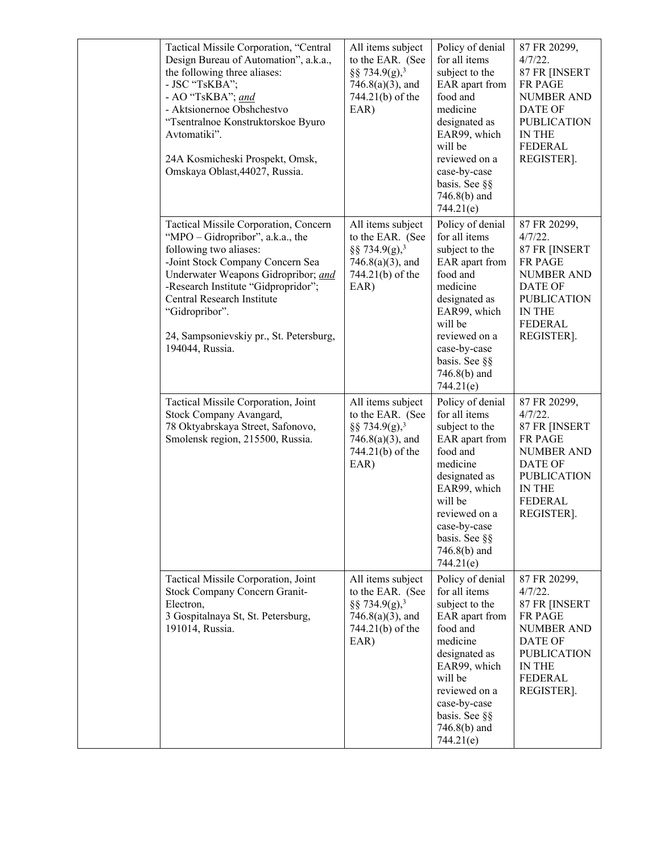| Tactical Missile Corporation, "Central<br>Design Bureau of Automation", a.k.a.,<br>the following three aliases:<br>- JSC "TsKBA";<br>- AO "TsKBA"; and<br>- Aktsionernoe Obshchestvo<br>"Tsentralnoe Konstruktorskoe Byuro<br>Avtomatiki".<br>24A Kosmicheski Prospekt, Omsk,<br>Omskaya Oblast, 44027, Russia.                     | All items subject<br>to the EAR. (See<br>§§ 734.9(g), <sup>3</sup><br>$746.8(a)(3)$ , and<br>744.21(b) of the<br>EAR) | Policy of denial<br>for all items<br>subject to the<br>EAR apart from<br>food and<br>medicine<br>designated as<br>EAR99, which<br>will be<br>reviewed on a<br>case-by-case<br>basis. See §§<br>$746.8(b)$ and<br>744.21(e) | 87 FR 20299,<br>4/7/22.<br>87 FR [INSERT<br>FR PAGE<br><b>NUMBER AND</b><br><b>DATE OF</b><br><b>PUBLICATION</b><br>IN THE<br><b>FEDERAL</b><br>REGISTER].    |
|-------------------------------------------------------------------------------------------------------------------------------------------------------------------------------------------------------------------------------------------------------------------------------------------------------------------------------------|-----------------------------------------------------------------------------------------------------------------------|----------------------------------------------------------------------------------------------------------------------------------------------------------------------------------------------------------------------------|---------------------------------------------------------------------------------------------------------------------------------------------------------------|
| Tactical Missile Corporation, Concern<br>"MPO - Gidropribor", a.k.a., the<br>following two aliases:<br>-Joint Stock Company Concern Sea<br>Underwater Weapons Gidropribor; and<br>-Research Institute "Gidpropridor";<br>Central Research Institute<br>"Gidropribor".<br>24, Sampsonievskiy pr., St. Petersburg,<br>194044, Russia. | All items subject<br>to the EAR. (See<br>§§ 734.9(g), <sup>3</sup><br>$746.8(a)(3)$ , and<br>744.21(b) of the<br>EAR) | Policy of denial<br>for all items<br>subject to the<br>EAR apart from<br>food and<br>medicine<br>designated as<br>EAR99, which<br>will be<br>reviewed on a<br>case-by-case<br>basis. See §§<br>746.8(b) and<br>744.21(e)   | 87 FR 20299,<br>4/7/22.<br>87 FR [INSERT<br>FR PAGE<br><b>NUMBER AND</b><br>DATE OF<br><b>PUBLICATION</b><br>IN THE<br><b>FEDERAL</b><br>REGISTER].           |
| Tactical Missile Corporation, Joint<br>Stock Company Avangard,<br>78 Oktyabrskaya Street, Safonovo,<br>Smolensk region, 215500, Russia.                                                                                                                                                                                             | All items subject<br>to the EAR. (See<br>§§ 734.9(g), <sup>3</sup><br>$746.8(a)(3)$ , and<br>744.21(b) of the<br>EAR) | Policy of denial<br>for all items<br>subject to the<br>EAR apart from<br>food and<br>medicine<br>designated as<br>EAR99, which<br>will be<br>reviewed on a<br>case-by-case<br>basis. See §§<br>746.8(b) and<br>744.21(e)   | 87 FR 20299,<br>$4/7/22$ .<br>87 FR [INSERT<br><b>FR PAGE</b><br><b>NUMBER AND</b><br><b>DATE OF</b><br><b>PUBLICATION</b><br>IN THE<br>FEDERAL<br>REGISTER]. |
| Tactical Missile Corporation, Joint<br>Stock Company Concern Granit-<br>Electron,<br>3 Gospitalnaya St, St. Petersburg,<br>191014, Russia.                                                                                                                                                                                          | All items subject<br>to the EAR. (See<br>§§ 734.9(g), <sup>3</sup><br>$746.8(a)(3)$ , and<br>744.21(b) of the<br>EAR) | Policy of denial<br>for all items<br>subject to the<br>EAR apart from<br>food and<br>medicine<br>designated as<br>EAR99, which<br>will be<br>reviewed on a<br>case-by-case<br>basis. See §§<br>$746.8(b)$ and<br>744.21(e) | 87 FR 20299,<br>4/7/22.<br>87 FR [INSERT<br>FR PAGE<br><b>NUMBER AND</b><br>DATE OF<br><b>PUBLICATION</b><br>IN THE<br><b>FEDERAL</b><br>REGISTER].           |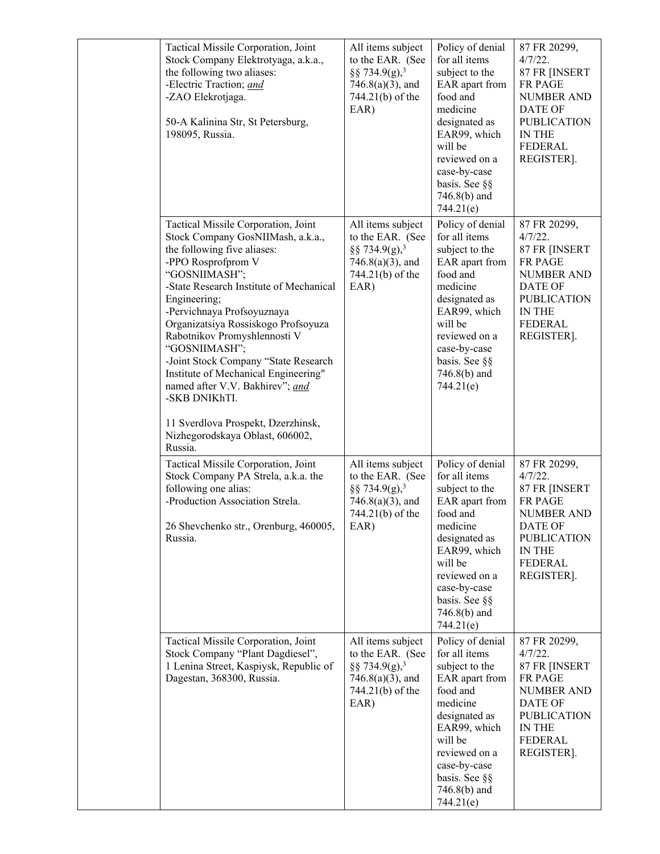| Tactical Missile Corporation, Joint<br>Stock Company Elektrotyaga, a.k.a.,<br>the following two aliases:<br>-Electric Traction; and<br>-ZAO Elekrotjaga.<br>50-A Kalinina Str, St Petersburg,<br>198095, Russia.                                                                                                                                                                                                                                                                                                                                        | All items subject<br>to the EAR. (See<br>§§ 734.9(g), <sup>3</sup><br>$746.8(a)(3)$ , and<br>744.21(b) of the<br>EAR)     | Policy of denial<br>for all items<br>subject to the<br>EAR apart from<br>food and<br>medicine<br>designated as<br>EAR99, which<br>will be<br>reviewed on a<br>case-by-case<br>basis. See §§<br>$746.8(b)$ and<br>744.21(e) | 87 FR 20299,<br>$4/7/22$ .<br>87 FR [INSERT<br>FR PAGE<br><b>NUMBER AND</b><br>DATE OF<br><b>PUBLICATION</b><br><b>IN THE</b><br><b>FEDERAL</b><br>REGISTER].               |
|---------------------------------------------------------------------------------------------------------------------------------------------------------------------------------------------------------------------------------------------------------------------------------------------------------------------------------------------------------------------------------------------------------------------------------------------------------------------------------------------------------------------------------------------------------|---------------------------------------------------------------------------------------------------------------------------|----------------------------------------------------------------------------------------------------------------------------------------------------------------------------------------------------------------------------|-----------------------------------------------------------------------------------------------------------------------------------------------------------------------------|
| Tactical Missile Corporation, Joint<br>Stock Company GosNIIMash, a.k.a.,<br>the following five aliases:<br>-PPO Rosprofprom V<br>"GOSNIIMASH";<br>-State Research Institute of Mechanical<br>Engineering;<br>-Pervichnaya Profsoyuznaya<br>Organizatsiya Rossiskogo Profsoyuza<br>Rabotnikov Promyshlennosti V<br>"GOSNIIMASH";<br>-Joint Stock Company "State Research<br>Institute of Mechanical Engineering"<br>named after V.V. Bakhirev"; and<br>-SKB DNIKhTI.<br>11 Sverdlova Prospekt, Dzerzhinsk,<br>Nizhegorodskaya Oblast, 606002,<br>Russia. | All items subject<br>to the EAR. (See<br>§§ 734.9(g), <sup>3</sup><br>$746.8(a)(3)$ , and<br>744.21(b) of the<br>EAR)     | Policy of denial<br>for all items<br>subject to the<br>EAR apart from<br>food and<br>medicine<br>designated as<br>EAR99, which<br>will be<br>reviewed on a<br>case-by-case<br>basis. See §§<br>746.8(b) and<br>744.21(e)   | 87 FR 20299,<br>4/7/22.<br>87 FR [INSERT<br><b>FR PAGE</b><br><b>NUMBER AND</b><br>DATE OF<br><b>PUBLICATION</b><br><b>IN THE</b><br><b>FEDERAL</b><br>REGISTER].           |
| Tactical Missile Corporation, Joint<br>Stock Company PA Strela, a.k.a. the<br>following one alias:<br>-Production Association Strela.<br>26 Shevchenko str., Orenburg, 460005,<br>Russia.                                                                                                                                                                                                                                                                                                                                                               | All items subject<br>to the EAR. (See<br>$\S$ § 734.9(g), <sup>3</sup><br>$746.8(a)(3)$ , and<br>744.21(b) of the<br>EAR) | Policy of denial<br>for all items<br>subject to the<br>EAR apart from<br>food and<br>medicine<br>designated as<br>EAR99, which<br>will be<br>reviewed on a<br>case-by-case<br>basis. See §§<br>746.8(b) and<br>744.21(e)   | 87 FR 20299,<br>4/7/22.<br>87 FR [INSERT<br><b>FR PAGE</b><br><b>NUMBER AND</b><br>DATE OF<br><b>PUBLICATION</b><br><b>IN THE</b><br><b>FEDERAL</b><br>REGISTER].           |
| Tactical Missile Corporation, Joint<br>Stock Company "Plant Dagdiesel",<br>1 Lenina Street, Kaspiysk, Republic of<br>Dagestan, 368300, Russia.                                                                                                                                                                                                                                                                                                                                                                                                          | All items subject<br>to the EAR. (See<br>§§ 734.9(g), <sup>3</sup><br>$746.8(a)(3)$ , and<br>744.21(b) of the<br>EAR)     | Policy of denial<br>for all items<br>subject to the<br>EAR apart from<br>food and<br>medicine<br>designated as<br>EAR99, which<br>will be<br>reviewed on a<br>case-by-case<br>basis. See §§<br>746.8(b) and<br>744.21(e)   | 87 FR 20299,<br>$4/7/22$ .<br>87 FR [INSERT<br><b>FR PAGE</b><br><b>NUMBER AND</b><br><b>DATE OF</b><br><b>PUBLICATION</b><br><b>IN THE</b><br><b>FEDERAL</b><br>REGISTER]. |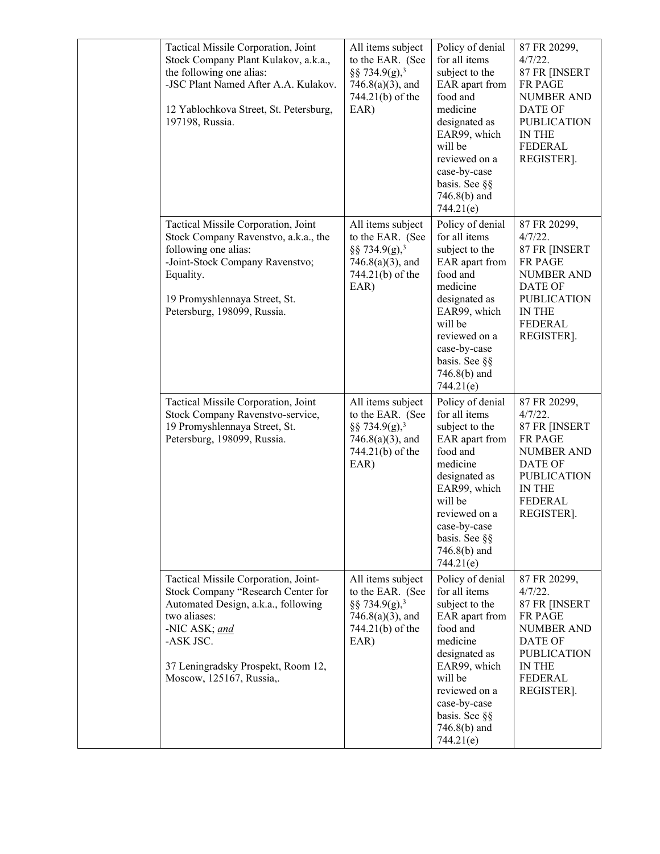| Tactical Missile Corporation, Joint<br>Stock Company Plant Kulakov, a.k.a.,<br>the following one alias:<br>-JSC Plant Named After A.A. Kulakov.<br>12 Yablochkova Street, St. Petersburg,<br>197198, Russia.                      | All items subject<br>to the EAR. (See<br>§§ 734.9(g), <sup>3</sup><br>$746.8(a)(3)$ , and<br>744.21(b) of the<br>EAR) | Policy of denial<br>for all items<br>subject to the<br>EAR apart from<br>food and<br>medicine<br>designated as<br>EAR99, which<br>will be<br>reviewed on a<br>case-by-case<br>basis. See §§<br>$746.8(b)$ and<br>744.21(e) | 87 FR 20299,<br>$4/7/22$ .<br>87 FR [INSERT<br>FR PAGE<br><b>NUMBER AND</b><br><b>DATE OF</b><br><b>PUBLICATION</b><br><b>IN THE</b><br><b>FEDERAL</b><br>REGISTER].     |
|-----------------------------------------------------------------------------------------------------------------------------------------------------------------------------------------------------------------------------------|-----------------------------------------------------------------------------------------------------------------------|----------------------------------------------------------------------------------------------------------------------------------------------------------------------------------------------------------------------------|--------------------------------------------------------------------------------------------------------------------------------------------------------------------------|
| Tactical Missile Corporation, Joint<br>Stock Company Ravenstvo, a.k.a., the<br>following one alias:<br>-Joint-Stock Company Ravenstvo;<br>Equality.<br>19 Promyshlennaya Street, St.<br>Petersburg, 198099, Russia.               | All items subject<br>to the EAR. (See<br>§§ 734.9(g), <sup>3</sup><br>$746.8(a)(3)$ , and<br>744.21(b) of the<br>EAR) | Policy of denial<br>for all items<br>subject to the<br>EAR apart from<br>food and<br>medicine<br>designated as<br>EAR99, which<br>will be<br>reviewed on a<br>case-by-case<br>basis. See §§<br>746.8(b) and<br>744.21(e)   | 87 FR 20299,<br>4/7/22.<br>87 FR [INSERT<br>FR PAGE<br><b>NUMBER AND</b><br><b>DATE OF</b><br><b>PUBLICATION</b><br>IN THE<br><b>FEDERAL</b><br>REGISTER].               |
| Tactical Missile Corporation, Joint<br>Stock Company Ravenstvo-service,<br>19 Promyshlennaya Street, St.<br>Petersburg, 198099, Russia.                                                                                           | All items subject<br>to the EAR. (See<br>§§ 734.9(g), <sup>3</sup><br>$746.8(a)(3)$ , and<br>744.21(b) of the<br>EAR) | Policy of denial<br>for all items<br>subject to the<br>EAR apart from<br>food and<br>medicine<br>designated as<br>EAR99, which<br>will be<br>reviewed on a<br>case-by-case<br>basis. See §§<br>$746.8(b)$ and<br>744.21(e) | 87 FR 20299,<br>$4/7/22$ .<br>87 FR [INSERT<br>FR PAGE<br><b>NUMBER AND</b><br><b>DATE OF</b><br><b>PUBLICATION</b><br>IN THE<br>FEDERAL<br>REGISTER].                   |
| Tactical Missile Corporation, Joint-<br>Stock Company "Research Center for<br>Automated Design, a.k.a., following<br>two aliases:<br>-NIC ASK; and<br>-ASK JSC.<br>37 Leningradsky Prospekt, Room 12,<br>Moscow, 125167, Russia,. | All items subject<br>to the EAR. (See<br>§§ 734.9(g), <sup>3</sup><br>$746.8(a)(3)$ , and<br>744.21(b) of the<br>EAR) | Policy of denial<br>for all items<br>subject to the<br>EAR apart from<br>food and<br>medicine<br>designated as<br>EAR99, which<br>will be<br>reviewed on a<br>case-by-case<br>basis. See §§<br>$746.8(b)$ and<br>744.21(e) | 87 FR 20299,<br>4/7/22.<br>87 FR [INSERT<br><b>FR PAGE</b><br><b>NUMBER AND</b><br><b>DATE OF</b><br><b>PUBLICATION</b><br><b>IN THE</b><br><b>FEDERAL</b><br>REGISTER]. |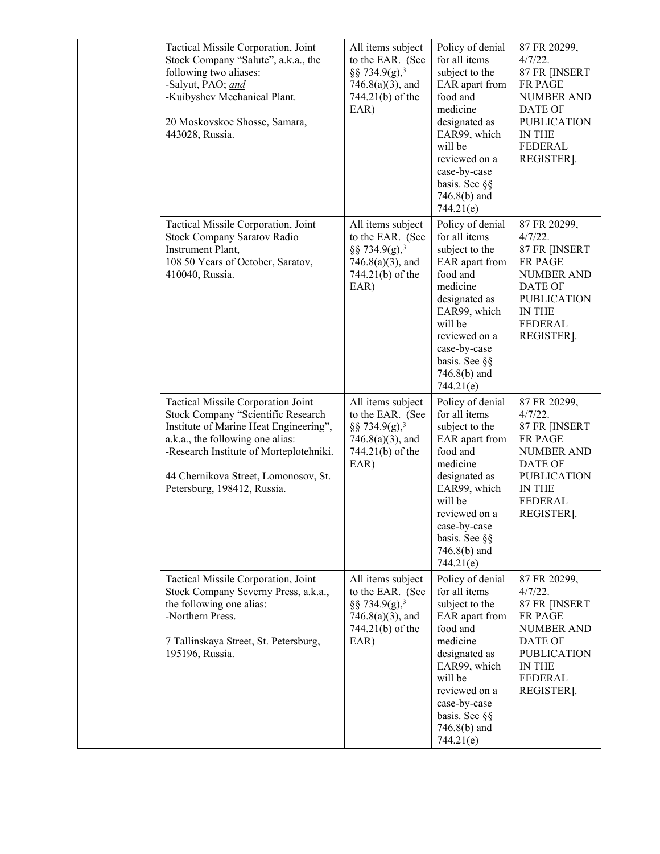| Tactical Missile Corporation, Joint<br>Stock Company "Salute", a.k.a., the<br>following two aliases:<br>-Salyut, PAO; and<br>-Kuibyshev Mechanical Plant.<br>20 Moskovskoe Shosse, Samara,<br>443028, Russia.                                                            | All items subject<br>to the EAR. (See<br>§§ 734.9(g), <sup>3</sup><br>$746.8(a)(3)$ , and<br>744.21(b) of the<br>EAR) | Policy of denial<br>for all items<br>subject to the<br>EAR apart from<br>food and<br>medicine<br>designated as<br>EAR99, which<br>will be<br>reviewed on a<br>case-by-case<br>basis. See §§<br>746.8(b) and<br>744.21(e)   | 87 FR 20299,<br>$4/7/22$ .<br>87 FR [INSERT<br>FR PAGE<br><b>NUMBER AND</b><br><b>DATE OF</b><br><b>PUBLICATION</b><br><b>IN THE</b><br><b>FEDERAL</b><br>REGISTER]. |
|--------------------------------------------------------------------------------------------------------------------------------------------------------------------------------------------------------------------------------------------------------------------------|-----------------------------------------------------------------------------------------------------------------------|----------------------------------------------------------------------------------------------------------------------------------------------------------------------------------------------------------------------------|----------------------------------------------------------------------------------------------------------------------------------------------------------------------|
| Tactical Missile Corporation, Joint<br>Stock Company Saratov Radio<br>Instrument Plant,<br>108 50 Years of October, Saratov,<br>410040, Russia.                                                                                                                          | All items subject<br>to the EAR. (See<br>§§ 734.9(g), <sup>3</sup><br>$746.8(a)(3)$ , and<br>744.21(b) of the<br>EAR) | Policy of denial<br>for all items<br>subject to the<br>EAR apart from<br>food and<br>medicine<br>designated as<br>EAR99, which<br>will be<br>reviewed on a<br>case-by-case<br>basis. See §§<br>746.8(b) and<br>744.21(e)   | 87 FR 20299,<br>$4/7/22$ .<br>87 FR [INSERT<br><b>FR PAGE</b><br><b>NUMBER AND</b><br><b>DATE OF</b><br><b>PUBLICATION</b><br>IN THE<br><b>FEDERAL</b><br>REGISTER]. |
| Tactical Missile Corporation Joint<br>Stock Company "Scientific Research<br>Institute of Marine Heat Engineering",<br>a.k.a., the following one alias:<br>-Research Institute of Morteplotehniki.<br>44 Chernikova Street, Lomonosov, St.<br>Petersburg, 198412, Russia. | All items subject<br>to the EAR. (See<br>§§ 734.9(g), <sup>3</sup><br>$746.8(a)(3)$ , and<br>744.21(b) of the<br>EAR) | Policy of denial<br>for all items<br>subject to the<br>EAR apart from<br>food and<br>medicine<br>designated as<br>EAR99, which<br>will be<br>reviewed on a<br>case-by-case<br>basis. See §§<br>746.8(b) and<br>744.21(e)   | 87 FR 20299,<br>$4/7/22$ .<br>87 FR [INSERT<br>FR PAGE<br><b>NUMBER AND</b><br>DATE OF<br><b>PUBLICATION</b><br>IN THE<br><b>FEDERAL</b><br>REGISTER].               |
| Tactical Missile Corporation, Joint<br>Stock Company Severny Press, a.k.a.,<br>the following one alias:<br>-Northern Press.<br>7 Tallinskaya Street, St. Petersburg,<br>195196, Russia.                                                                                  | All items subject<br>to the EAR. (See<br>§§ 734.9(g), <sup>3</sup><br>$746.8(a)(3)$ , and<br>744.21(b) of the<br>EAR) | Policy of denial<br>for all items<br>subject to the<br>EAR apart from<br>food and<br>medicine<br>designated as<br>EAR99, which<br>will be<br>reviewed on a<br>case-by-case<br>basis. See §§<br>$746.8(b)$ and<br>744.21(e) | 87 FR 20299,<br>4/7/22.<br>87 FR [INSERT<br><b>FR PAGE</b><br><b>NUMBER AND</b><br>DATE OF<br><b>PUBLICATION</b><br>IN THE<br><b>FEDERAL</b><br>REGISTER].           |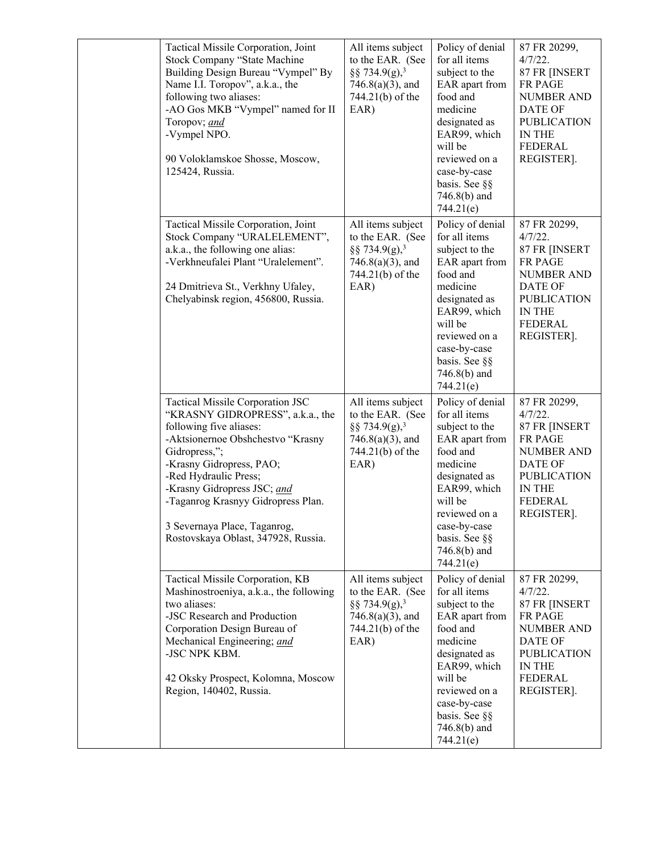| Tactical Missile Corporation, Joint<br>Stock Company "State Machine<br>Building Design Bureau "Vympel" By<br>Name I.I. Toropov", a.k.a., the<br>following two aliases:<br>-AO Gos MKB "Vympel" named for II<br>Toropov; and<br>-Vympel NPO.<br>90 Voloklamskoe Shosse, Moscow,<br>125424, Russia.                                                      | All items subject<br>to the EAR. (See<br>§§ 734.9(g), <sup>3</sup><br>$746.8(a)(3)$ , and<br>744.21(b) of the<br>EAR) | Policy of denial<br>for all items<br>subject to the<br>EAR apart from<br>food and<br>medicine<br>designated as<br>EAR99, which<br>will be<br>reviewed on a<br>case-by-case<br>basis. See §§<br>$746.8(b)$ and<br>744.21(e) | 87 FR 20299,<br>$4/7/22$ .<br>87 FR [INSERT<br>FR PAGE<br><b>NUMBER AND</b><br>DATE OF<br><b>PUBLICATION</b><br>IN THE<br><b>FEDERAL</b><br>REGISTER].               |
|--------------------------------------------------------------------------------------------------------------------------------------------------------------------------------------------------------------------------------------------------------------------------------------------------------------------------------------------------------|-----------------------------------------------------------------------------------------------------------------------|----------------------------------------------------------------------------------------------------------------------------------------------------------------------------------------------------------------------------|----------------------------------------------------------------------------------------------------------------------------------------------------------------------|
| Tactical Missile Corporation, Joint<br>Stock Company "URALELEMENT",<br>a.k.a., the following one alias:<br>-Verkhneufalei Plant "Uralelement".<br>24 Dmitrieva St., Verkhny Ufaley,<br>Chelyabinsk region, 456800, Russia.                                                                                                                             | All items subject<br>to the EAR. (See<br>§§ 734.9(g), <sup>3</sup><br>$746.8(a)(3)$ , and<br>744.21(b) of the<br>EAR) | Policy of denial<br>for all items<br>subject to the<br>EAR apart from<br>food and<br>medicine<br>designated as<br>EAR99, which<br>will be<br>reviewed on a<br>case-by-case<br>basis. See §§<br>$746.8(b)$ and<br>744.21(e) | 87 FR 20299,<br>4/7/22.<br>87 FR [INSERT<br><b>FR PAGE</b><br><b>NUMBER AND</b><br>DATE OF<br><b>PUBLICATION</b><br>IN THE<br><b>FEDERAL</b><br>REGISTER].           |
| Tactical Missile Corporation JSC<br>"KRASNY GIDROPRESS", a.k.a., the<br>following five aliases:<br>-Aktsionernoe Obshchestvo "Krasny<br>Gidropress,";<br>-Krasny Gidropress, PAO;<br>-Red Hydraulic Press;<br>-Krasny Gidropress JSC; and<br>-Taganrog Krasnyy Gidropress Plan.<br>3 Severnaya Place, Taganrog,<br>Rostovskaya Oblast, 347928, Russia. | All items subject<br>to the EAR. (See<br>§§ 734.9(g), <sup>3</sup><br>$746.8(a)(3)$ , and<br>744.21(b) of the<br>EAR) | Policy of denial<br>for all items<br>subject to the<br>EAR apart from<br>food and<br>medicine<br>designated as<br>EAR99, which<br>will be<br>reviewed on a<br>case-by-case<br>basis. See §§<br>$746.8(b)$ and<br>744.21(e) | 87 FR 20299,<br>$4/7/22$ .<br>87 FR [INSERT<br><b>FR PAGE</b><br><b>NUMBER AND</b><br><b>DATE OF</b><br><b>PUBLICATION</b><br>IN THE<br><b>FEDERAL</b><br>REGISTER]. |
| Tactical Missile Corporation, KB<br>Mashinostroeniya, a.k.a., the following<br>two aliases:<br>-JSC Research and Production<br>Corporation Design Bureau of<br>Mechanical Engineering; and<br>-JSC NPK KBM.<br>42 Oksky Prospect, Kolomna, Moscow<br>Region, 140402, Russia.                                                                           | All items subject<br>to the EAR. (See<br>§§ 734.9(g), <sup>3</sup><br>$746.8(a)(3)$ , and<br>744.21(b) of the<br>EAR) | Policy of denial<br>for all items<br>subject to the<br>EAR apart from<br>food and<br>medicine<br>designated as<br>EAR99, which<br>will be<br>reviewed on a<br>case-by-case<br>basis. See §§<br>$746.8(b)$ and<br>744.21(e) | 87 FR 20299,<br>$4/7/22$ .<br>87 FR [INSERT<br>FR PAGE<br><b>NUMBER AND</b><br><b>DATE OF</b><br><b>PUBLICATION</b><br>IN THE<br>FEDERAL<br>REGISTER].               |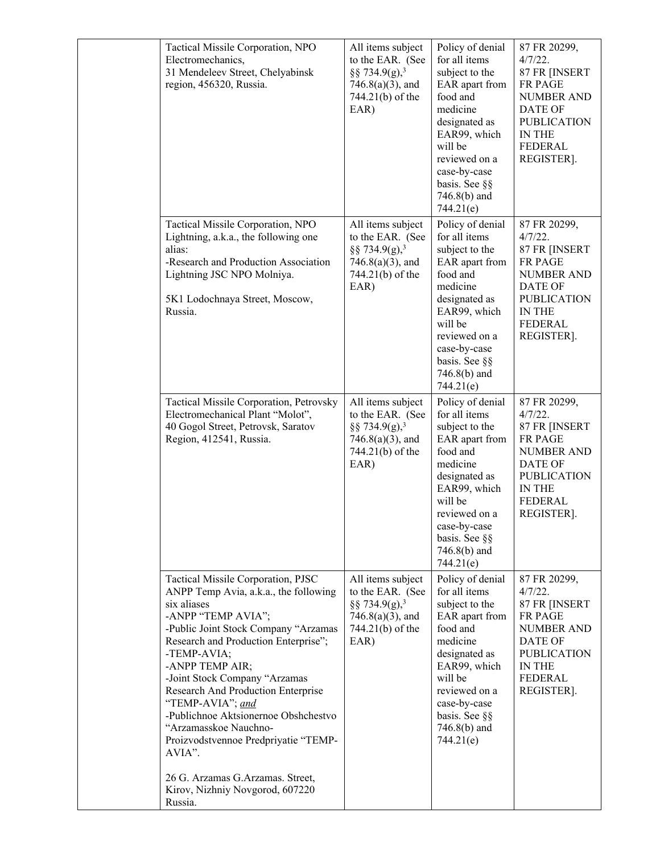| Tactical Missile Corporation, NPO<br>Electromechanics,<br>31 Mendeleev Street, Chelyabinsk<br>region, 456320, Russia.                                                                                                                                                                                                                                                                                                                                                                                                               | All items subject<br>to the EAR. (See<br>§§ 734.9(g), <sup>3</sup><br>$746.8(a)(3)$ , and<br>744.21(b) of the<br>EAR) | Policy of denial<br>for all items<br>subject to the<br>EAR apart from<br>food and<br>medicine<br>designated as<br>EAR99, which<br>will be<br>reviewed on a<br>case-by-case<br>basis. See §§<br>746.8(b) and<br>744.21(e)   | 87 FR 20299,<br>4/7/22.<br>87 FR [INSERT<br>FR PAGE<br><b>NUMBER AND</b><br><b>DATE OF</b><br><b>PUBLICATION</b><br><b>IN THE</b><br><b>FEDERAL</b><br>REGISTER]. |
|-------------------------------------------------------------------------------------------------------------------------------------------------------------------------------------------------------------------------------------------------------------------------------------------------------------------------------------------------------------------------------------------------------------------------------------------------------------------------------------------------------------------------------------|-----------------------------------------------------------------------------------------------------------------------|----------------------------------------------------------------------------------------------------------------------------------------------------------------------------------------------------------------------------|-------------------------------------------------------------------------------------------------------------------------------------------------------------------|
| Tactical Missile Corporation, NPO<br>Lightning, a.k.a., the following one<br>alias:<br>-Research and Production Association<br>Lightning JSC NPO Molniya.<br>5K1 Lodochnaya Street, Moscow,<br>Russia.                                                                                                                                                                                                                                                                                                                              | All items subject<br>to the EAR. (See<br>§§ 734.9(g), <sup>3</sup><br>$746.8(a)(3)$ , and<br>744.21(b) of the<br>EAR) | Policy of denial<br>for all items<br>subject to the<br>EAR apart from<br>food and<br>medicine<br>designated as<br>EAR99, which<br>will be<br>reviewed on a<br>case-by-case<br>basis. See §§<br>$746.8(b)$ and<br>744.21(e) | 87 FR 20299,<br>$4/7/22$ .<br>87 FR [INSERT<br>FR PAGE<br><b>NUMBER AND</b><br>DATE OF<br><b>PUBLICATION</b><br><b>IN THE</b><br><b>FEDERAL</b><br>REGISTER].     |
| Tactical Missile Corporation, Petrovsky<br>Electromechanical Plant "Molot",<br>40 Gogol Street, Petrovsk, Saratov<br>Region, 412541, Russia.                                                                                                                                                                                                                                                                                                                                                                                        | All items subject<br>to the EAR. (See<br>§§ 734.9(g), <sup>3</sup><br>$746.8(a)(3)$ , and<br>744.21(b) of the<br>EAR) | Policy of denial<br>for all items<br>subject to the<br>EAR apart from<br>food and<br>medicine<br>designated as<br>EAR99, which<br>will be<br>reviewed on a<br>case-by-case<br>basis. See §§<br>$746.8(b)$ and<br>744.21(e) | 87 FR 20299,<br>4/7/22.<br>87 FR [INSERT<br><b>FR PAGE</b><br><b>NUMBER AND</b><br>DATE OF<br><b>PUBLICATION</b><br>IN THE<br><b>FEDERAL</b><br>REGISTER].        |
| Tactical Missile Corporation, PJSC<br>ANPP Temp Avia, a.k.a., the following<br>six aliases<br>-ANPP "TEMP AVIA";<br>-Public Joint Stock Company "Arzamas<br>Research and Production Enterprise";<br>-TEMP-AVIA;<br>-ANPP TEMP AIR;<br>-Joint Stock Company "Arzamas<br>Research And Production Enterprise<br>"TEMP-AVIA"; and<br>-Publichnoe Aktsionernoe Obshchestvo<br>"Arzamasskoe Nauchno-<br>Proizvodstvennoe Predpriyatie "TEMP-<br>AVIA".<br>26 G. Arzamas G. Arzamas. Street,<br>Kirov, Nizhniy Novgorod, 607220<br>Russia. | All items subject<br>to the EAR. (See<br>§§ 734.9(g), <sup>3</sup><br>$746.8(a)(3)$ , and<br>744.21(b) of the<br>EAR) | Policy of denial<br>for all items<br>subject to the<br>EAR apart from<br>food and<br>medicine<br>designated as<br>EAR99, which<br>will be<br>reviewed on a<br>case-by-case<br>basis. See §§<br>$746.8(b)$ and<br>744.21(e) | 87 FR 20299,<br>4/7/22.<br>87 FR [INSERT<br>FR PAGE<br><b>NUMBER AND</b><br>DATE OF<br><b>PUBLICATION</b><br><b>IN THE</b><br>FEDERAL<br>REGISTER].               |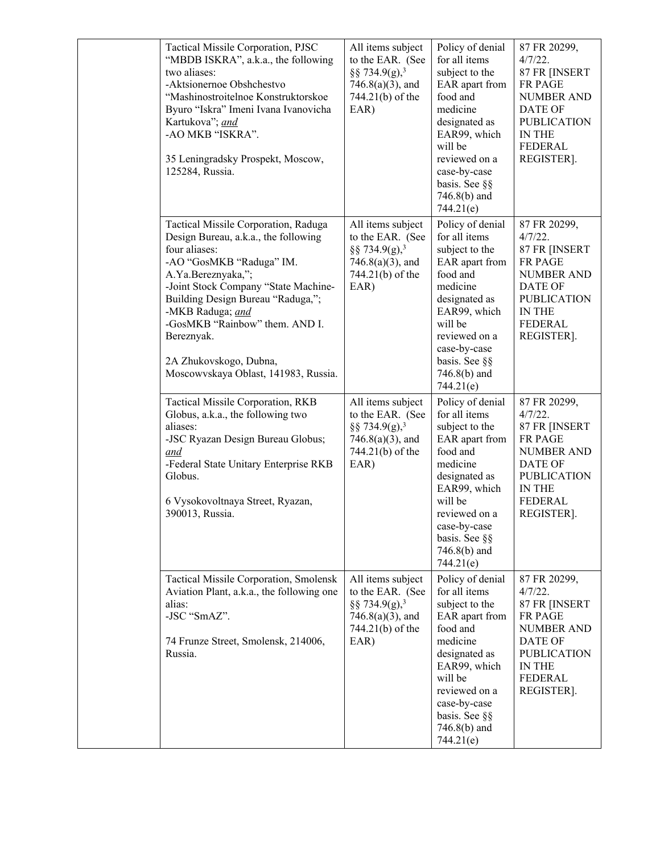| Tactical Missile Corporation, PJSC<br>"MBDB ISKRA", a.k.a., the following<br>two aliases:<br>-Aktsionernoe Obshchestvo<br>"Mashinostroitelnoe Konstruktorskoe<br>Byuro "Iskra" Imeni Ivana Ivanovicha<br>Kartukova"; and<br>-AO MKB "ISKRA".<br>35 Leningradsky Prospekt, Moscow,<br>125284, Russia.                                                               | All items subject<br>to the EAR. (See<br>§§ 734.9(g), <sup>3</sup><br>$746.8(a)(3)$ , and<br>744.21(b) of the<br>EAR) | Policy of denial<br>for all items<br>subject to the<br>EAR apart from<br>food and<br>medicine<br>designated as<br>EAR99, which<br>will be<br>reviewed on a<br>case-by-case<br>basis. See §§<br>$746.8(b)$ and<br>744.21(e) | 87 FR 20299,<br>$4/7/22$ .<br>87 FR [INSERT<br><b>FR PAGE</b><br><b>NUMBER AND</b><br><b>DATE OF</b><br><b>PUBLICATION</b><br>IN THE<br><b>FEDERAL</b><br>REGISTER]. |
|--------------------------------------------------------------------------------------------------------------------------------------------------------------------------------------------------------------------------------------------------------------------------------------------------------------------------------------------------------------------|-----------------------------------------------------------------------------------------------------------------------|----------------------------------------------------------------------------------------------------------------------------------------------------------------------------------------------------------------------------|----------------------------------------------------------------------------------------------------------------------------------------------------------------------|
| Tactical Missile Corporation, Raduga<br>Design Bureau, a.k.a., the following<br>four aliases:<br>-AO "GosMKB "Raduga" IM.<br>A.Ya.Bereznyaka,";<br>-Joint Stock Company "State Machine-<br>Building Design Bureau "Raduga,";<br>-MKB Raduga; and<br>-GosMKB "Rainbow" them. AND I.<br>Bereznyak.<br>2A Zhukovskogo, Dubna,<br>Moscowyskaya Oblast, 141983, Russia. | All items subject<br>to the EAR. (See<br>§§ 734.9(g), <sup>3</sup><br>$746.8(a)(3)$ , and<br>744.21(b) of the<br>EAR) | Policy of denial<br>for all items<br>subject to the<br>EAR apart from<br>food and<br>medicine<br>designated as<br>EAR99, which<br>will be<br>reviewed on a<br>case-by-case<br>basis. See §§<br>746.8(b) and<br>744.21(e)   | 87 FR 20299,<br>$4/7/22$ .<br>87 FR [INSERT<br><b>FR PAGE</b><br><b>NUMBER AND</b><br>DATE OF<br><b>PUBLICATION</b><br>IN THE<br><b>FEDERAL</b><br>REGISTER].        |
| Tactical Missile Corporation, RKB<br>Globus, a.k.a., the following two<br>aliases:<br>-JSC Ryazan Design Bureau Globus;<br>and<br>-Federal State Unitary Enterprise RKB<br>Globus.<br>6 Vysokovoltnaya Street, Ryazan,<br>390013, Russia.                                                                                                                          | All items subject<br>to the EAR. (See<br>§§ 734.9(g), <sup>3</sup><br>$746.8(a)(3)$ , and<br>744.21(b) of the<br>EAR) | Policy of denial<br>for all items<br>subject to the<br>EAR apart from<br>food and<br>medicine<br>designated as<br>EAR99, which<br>will be<br>reviewed on a<br>case-by-case<br>basis. See §§<br>$746.8(b)$ and<br>744.21(e) | 87 FR 20299,<br>$4/7/22$ .<br>87 FR [INSERT<br>FR PAGE<br><b>NUMBER AND</b><br>DATE OF<br><b>PUBLICATION</b><br>IN THE<br><b>FEDERAL</b><br>REGISTER].               |
| Tactical Missile Corporation, Smolensk<br>Aviation Plant, a.k.a., the following one<br>alias:<br>-JSC "SmAZ".<br>74 Frunze Street, Smolensk, 214006,<br>Russia.                                                                                                                                                                                                    | All items subject<br>to the EAR. (See<br>§§ 734.9(g), <sup>3</sup><br>$746.8(a)(3)$ , and<br>744.21(b) of the<br>EAR) | Policy of denial<br>for all items<br>subject to the<br>EAR apart from<br>food and<br>medicine<br>designated as<br>EAR99, which<br>will be<br>reviewed on a<br>case-by-case<br>basis. See §§<br>$746.8(b)$ and<br>744.21(e) | 87 FR 20299,<br>$4/7/22$ .<br>87 FR [INSERT<br>FR PAGE<br><b>NUMBER AND</b><br><b>DATE OF</b><br><b>PUBLICATION</b><br>IN THE<br><b>FEDERAL</b><br>REGISTER].        |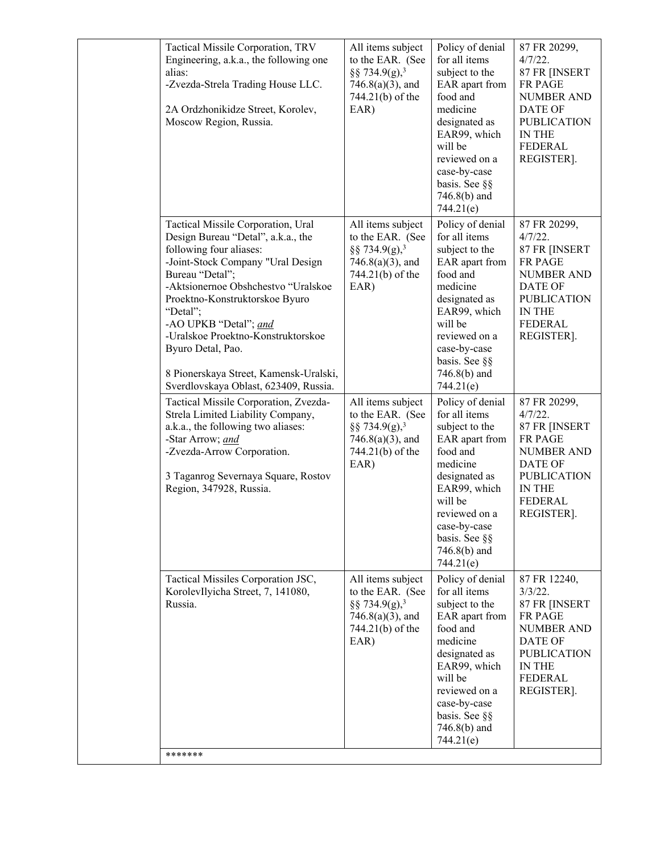| Tactical Missile Corporation, TRV<br>Engineering, a.k.a., the following one<br>alias:<br>-Zvezda-Strela Trading House LLC.<br>2A Ordzhonikidze Street, Korolev,<br>Moscow Region, Russia.                                                                                                                                                                                                                               | All items subject<br>to the EAR. (See<br>§§ 734.9(g), <sup>3</sup><br>$746.8(a)(3)$ , and<br>744.21(b) of the<br>EAR) | Policy of denial<br>for all items<br>subject to the<br>EAR apart from<br>food and<br>medicine<br>designated as<br>EAR99, which<br>will be<br>reviewed on a<br>case-by-case<br>basis. See §§<br>746.8(b) and<br>744.21(e)   | 87 FR 20299,<br>$4/7/22$ .<br>87 FR [INSERT<br><b>FR PAGE</b><br><b>NUMBER AND</b><br>DATE OF<br><b>PUBLICATION</b><br>IN THE<br><b>FEDERAL</b><br>REGISTER].        |
|-------------------------------------------------------------------------------------------------------------------------------------------------------------------------------------------------------------------------------------------------------------------------------------------------------------------------------------------------------------------------------------------------------------------------|-----------------------------------------------------------------------------------------------------------------------|----------------------------------------------------------------------------------------------------------------------------------------------------------------------------------------------------------------------------|----------------------------------------------------------------------------------------------------------------------------------------------------------------------|
| Tactical Missile Corporation, Ural<br>Design Bureau "Detal", a.k.a., the<br>following four aliases:<br>-Joint-Stock Company "Ural Design<br>Bureau "Detal";<br>-Aktsionernoe Obshchestvo "Uralskoe<br>Proektno-Konstruktorskoe Byuro<br>"Detal";<br>-AO UPKB "Detal"; and<br>-Uralskoe Proektno-Konstruktorskoe<br>Byuro Detal, Pao.<br>8 Pionerskaya Street, Kamensk-Uralski,<br>Sverdlovskaya Oblast, 623409, Russia. | All items subject<br>to the EAR. (See<br>§§ 734.9(g), <sup>3</sup><br>$746.8(a)(3)$ , and<br>744.21(b) of the<br>EAR) | Policy of denial<br>for all items<br>subject to the<br>EAR apart from<br>food and<br>medicine<br>designated as<br>EAR99, which<br>will be<br>reviewed on a<br>case-by-case<br>basis. See §§<br>$746.8(b)$ and<br>744.21(e) | 87 FR 20299,<br>$4/7/22$ .<br>87 FR [INSERT<br><b>FR PAGE</b><br><b>NUMBER AND</b><br>DATE OF<br><b>PUBLICATION</b><br>IN THE<br><b>FEDERAL</b><br>REGISTER].        |
| Tactical Missile Corporation, Zvezda-<br>Strela Limited Liability Company,<br>a.k.a., the following two aliases:<br>-Star Arrow; and<br>-Zvezda-Arrow Corporation.<br>3 Taganrog Severnaya Square, Rostov<br>Region, 347928, Russia.                                                                                                                                                                                    | All items subject<br>to the EAR. (See<br>§§ 734.9(g), <sup>3</sup><br>$746.8(a)(3)$ , and<br>744.21(b) of the<br>EAR) | Policy of denial<br>for all items<br>subject to the<br>EAR apart from<br>food and<br>medicine<br>designated as<br>EAR99, which<br>will be<br>reviewed on a<br>case-by-case<br>basis. See §§<br>$746.8(b)$ and<br>744.21(e) | 87 FR 20299,<br>$4/7/22$ .<br>87 FR [INSERT<br><b>FR PAGE</b><br><b>NUMBER AND</b><br><b>DATE OF</b><br><b>PUBLICATION</b><br>IN THE<br><b>FEDERAL</b><br>REGISTER]. |
| Tactical Missiles Corporation JSC,<br>KorolevIlyicha Street, 7, 141080,<br>Russia.<br>*******                                                                                                                                                                                                                                                                                                                           | All items subject<br>to the EAR. (See<br>§§ 734.9(g), <sup>3</sup><br>$746.8(a)(3)$ , and<br>744.21(b) of the<br>EAR) | Policy of denial<br>for all items<br>subject to the<br>EAR apart from<br>food and<br>medicine<br>designated as<br>EAR99, which<br>will be<br>reviewed on a<br>case-by-case<br>basis. See §§<br>746.8(b) and<br>744.21(e)   | 87 FR 12240,<br>$3/3/22$ .<br>87 FR [INSERT<br><b>FR PAGE</b><br><b>NUMBER AND</b><br>DATE OF<br><b>PUBLICATION</b><br>IN THE<br><b>FEDERAL</b><br>REGISTER].        |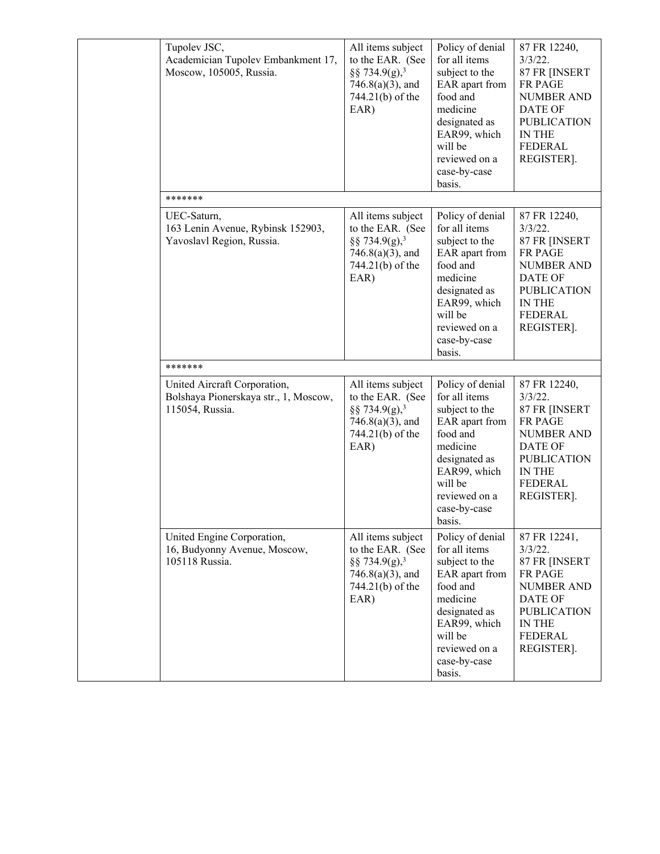| Tupolev JSC,<br>Academician Tupolev Embankment 17,<br>Moscow, 105005, Russia.            | All items subject<br>to the EAR. (See<br>§§ 734.9(g), <sup>3</sup><br>$746.8(a)(3)$ , and<br>744.21(b) of the<br>EAR) | Policy of denial<br>for all items<br>subject to the<br>EAR apart from<br>food and<br>medicine<br>designated as<br>EAR99, which<br>will be<br>reviewed on a<br>case-by-case<br>basis. | 87 FR 12240,<br>$3/3/22$ .<br>87 FR [INSERT<br><b>FR PAGE</b><br><b>NUMBER AND</b><br>DATE OF<br><b>PUBLICATION</b><br><b>IN THE</b><br><b>FEDERAL</b><br>REGISTER]. |
|------------------------------------------------------------------------------------------|-----------------------------------------------------------------------------------------------------------------------|--------------------------------------------------------------------------------------------------------------------------------------------------------------------------------------|----------------------------------------------------------------------------------------------------------------------------------------------------------------------|
| *******                                                                                  |                                                                                                                       |                                                                                                                                                                                      |                                                                                                                                                                      |
| UEC-Saturn,<br>163 Lenin Avenue, Rybinsk 152903,<br>Yavoslavl Region, Russia.            | All items subject<br>to the EAR. (See<br>§§ 734.9(g), <sup>3</sup><br>$746.8(a)(3)$ , and<br>744.21(b) of the<br>EAR) | Policy of denial<br>for all items<br>subject to the<br>EAR apart from<br>food and<br>medicine<br>designated as<br>EAR99, which<br>will be<br>reviewed on a<br>case-by-case<br>basis. | 87 FR 12240,<br>$3/3/22$ .<br>87 FR [INSERT<br>FR PAGE<br><b>NUMBER AND</b><br>DATE OF<br><b>PUBLICATION</b><br><b>IN THE</b><br><b>FEDERAL</b><br>REGISTER].        |
| *******                                                                                  |                                                                                                                       |                                                                                                                                                                                      |                                                                                                                                                                      |
| United Aircraft Corporation,<br>Bolshaya Pionerskaya str., 1, Moscow,<br>115054, Russia. | All items subject<br>to the EAR. (See<br>§§ 734.9(g), <sup>3</sup><br>$746.8(a)(3)$ , and<br>744.21(b) of the<br>EAR) | Policy of denial<br>for all items<br>subject to the<br>EAR apart from<br>food and<br>medicine<br>designated as<br>EAR99, which<br>will be<br>reviewed on a<br>case-by-case<br>basis. | 87 FR 12240,<br>$3/3/22$ .<br>87 FR [INSERT<br><b>FR PAGE</b><br><b>NUMBER AND</b><br><b>DATE OF</b><br><b>PUBLICATION</b><br>IN THE<br><b>FEDERAL</b><br>REGISTER]. |
| United Engine Corporation,<br>16, Budyonny Avenue, Moscow,<br>105118 Russia.             | All items subject<br>to the EAR. (See<br>§§ 734.9(g), <sup>3</sup><br>$746.8(a)(3)$ , and<br>744.21(b) of the<br>EAR) | Policy of denial<br>for all items<br>subject to the<br>EAR apart from<br>food and<br>medicine<br>designated as<br>EAR99, which<br>will be<br>reviewed on a<br>case-by-case<br>basis. | 87 FR 12241,<br>$3/3/22$ .<br>87 FR [INSERT<br>FR PAGE<br><b>NUMBER AND</b><br><b>DATE OF</b><br><b>PUBLICATION</b><br>IN THE<br><b>FEDERAL</b><br>REGISTER].        |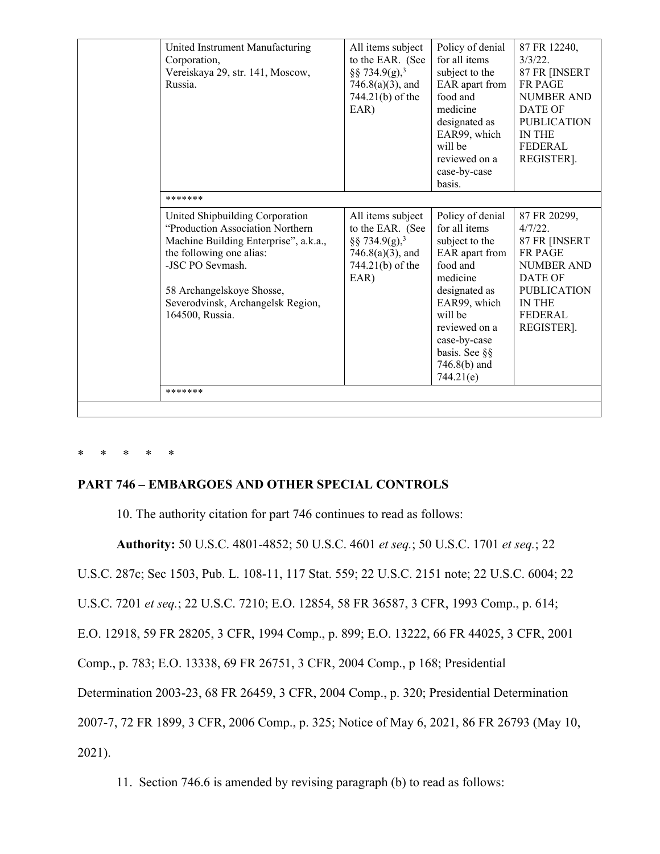|                                                                                                                                                                                                                                                   |                                                                                                                       | designated as<br>EAR99, which<br>will be<br>reviewed on a<br>case-by-case<br>basis.                                                                                                                                        | <b>DATE OF</b><br><b>PUBLICATION</b><br><b>IN THE</b><br><b>FEDERAL</b><br>REGISTER].                                                                                       |
|---------------------------------------------------------------------------------------------------------------------------------------------------------------------------------------------------------------------------------------------------|-----------------------------------------------------------------------------------------------------------------------|----------------------------------------------------------------------------------------------------------------------------------------------------------------------------------------------------------------------------|-----------------------------------------------------------------------------------------------------------------------------------------------------------------------------|
| *******                                                                                                                                                                                                                                           |                                                                                                                       |                                                                                                                                                                                                                            |                                                                                                                                                                             |
| United Shipbuilding Corporation<br>"Production Association Northern<br>Machine Building Enterprise", a.k.a.,<br>the following one alias:<br>-JSC PO Sevmash.<br>58 Archangelskoye Shosse,<br>Severodvinsk, Archangelsk Region,<br>164500, Russia. | All items subject<br>to the EAR. (See<br>§§ 734.9(g), <sup>3</sup><br>$746.8(a)(3)$ , and<br>744.21(b) of the<br>EAR) | Policy of denial<br>for all items<br>subject to the<br>EAR apart from<br>food and<br>medicine<br>designated as<br>EAR99, which<br>will be<br>reviewed on a<br>case-by-case<br>basis. See §§<br>$746.8(b)$ and<br>744.21(e) | 87 FR 20299,<br>$4/7/22$ .<br>87 FR [INSERT<br><b>FR PAGE</b><br><b>NUMBER AND</b><br><b>DATE OF</b><br><b>PUBLICATION</b><br><b>IN THE</b><br><b>FEDERAL</b><br>REGISTER]. |
| *******                                                                                                                                                                                                                                           |                                                                                                                       |                                                                                                                                                                                                                            |                                                                                                                                                                             |

# \* \* \* \* \*

# **PART 746 – EMBARGOES AND OTHER SPECIAL CONTROLS**

10. The authority citation for part 746 continues to read as follows:

**Authority:** 50 U.S.C. 4801-4852; 50 U.S.C. 4601 *et seq.*; 50 U.S.C. 1701 *et seq.*; 22

U.S.C. 287c; Sec 1503, Pub. L. 108-11, 117 Stat. 559; 22 U.S.C. 2151 note; 22 U.S.C. 6004; 22

U.S.C. 7201 *et seq.*; 22 U.S.C. 7210; E.O. 12854, 58 FR 36587, 3 CFR, 1993 Comp., p. 614;

E.O. 12918, 59 FR 28205, 3 CFR, 1994 Comp., p. 899; E.O. 13222, 66 FR 44025, 3 CFR, 2001

Comp., p. 783; E.O. 13338, 69 FR 26751, 3 CFR, 2004 Comp., p 168; Presidential

Determination 2003-23, 68 FR 26459, 3 CFR, 2004 Comp., p. 320; Presidential Determination

2007-7, 72 FR 1899, 3 CFR, 2006 Comp., p. 325; Notice of May 6, 2021, 86 FR 26793 (May 10,

2021).

11. Section 746.6 is amended by revising paragraph (b) to read as follows: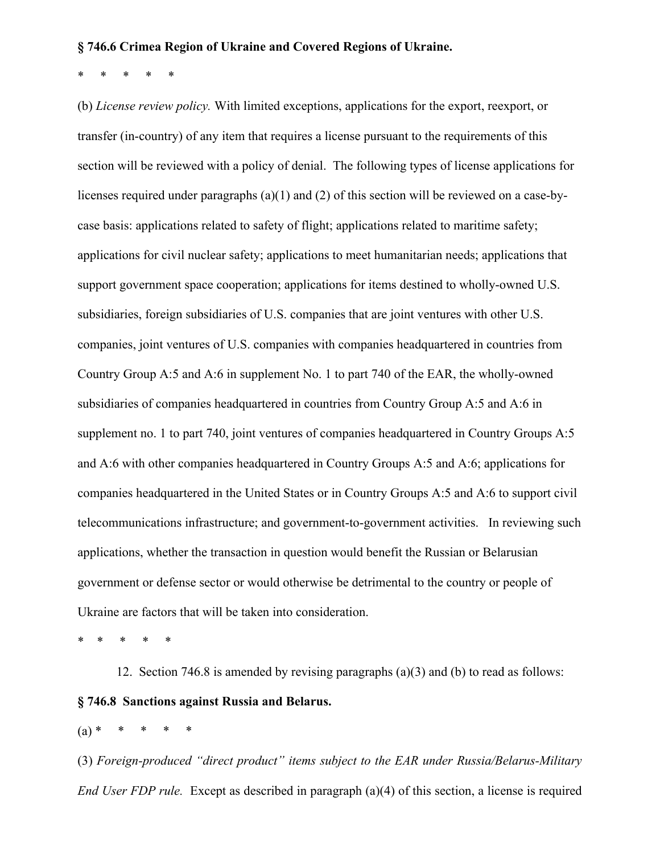#### **§ 746.6 Crimea Region of Ukraine and Covered Regions of Ukraine.**

\* \* \* \* \*

(b) *License review policy.* With limited exceptions, applications for the export, reexport, or transfer (in-country) of any item that requires a license pursuant to the requirements of this section will be reviewed with a policy of denial. The following types of license applications for licenses required under paragraphs (a)(1) and (2) of this section will be reviewed on a case-bycase basis: applications related to safety of flight; applications related to maritime safety; applications for civil nuclear safety; applications to meet humanitarian needs; applications that support government space cooperation; applications for items destined to wholly-owned U.S. subsidiaries, foreign subsidiaries of U.S. companies that are joint ventures with other U.S. companies, joint ventures of U.S. companies with companies headquartered in countries from Country Group A:5 and A:6 in supplement No. 1 to part 740 of the EAR, the wholly-owned subsidiaries of companies headquartered in countries from Country Group A:5 and A:6 in supplement no. 1 to part 740, joint ventures of companies headquartered in Country Groups A:5 and A:6 with other companies headquartered in Country Groups A:5 and A:6; applications for companies headquartered in the United States or in Country Groups A:5 and A:6 to support civil telecommunications infrastructure; and government-to-government activities. In reviewing such applications, whether the transaction in question would benefit the Russian or Belarusian government or defense sector or would otherwise be detrimental to the country or people of Ukraine are factors that will be taken into consideration.

\* \* \* \* \*

12. Section 746.8 is amended by revising paragraphs (a)(3) and (b) to read as follows: **§ 746.8 Sanctions against Russia and Belarus.**

 $(a) *$ 

(3) *Foreign-produced "direct product" items subject to the EAR under Russia/Belarus-Military End User FDP rule.* Except as described in paragraph (a)(4) of this section, a license is required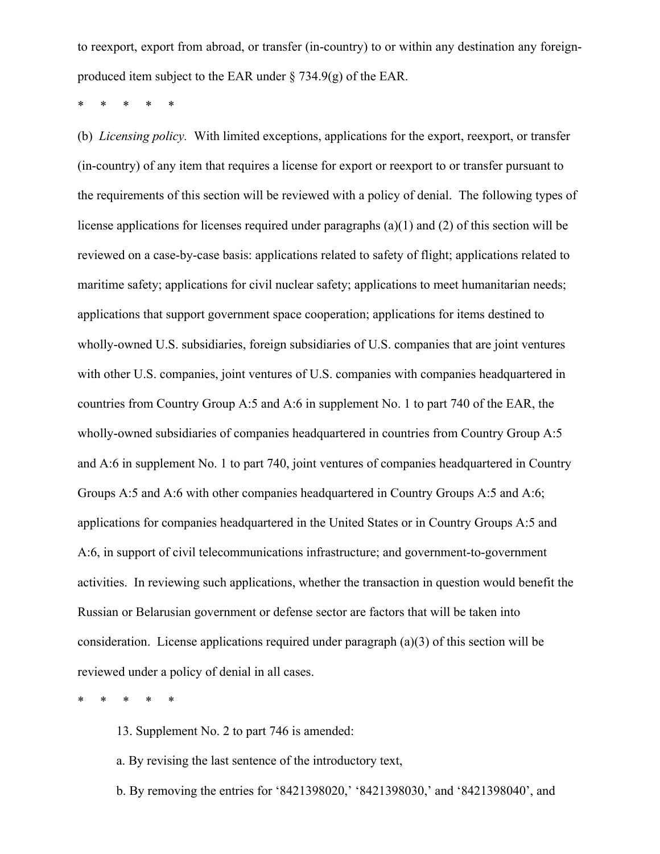to reexport, export from abroad, or transfer (in-country) to or within any destination any foreignproduced item subject to the EAR under § 734.9(g) of the EAR.

\* \* \* \* \*

(b) *Licensing policy.* With limited exceptions, applications for the export, reexport, or transfer (in-country) of any item that requires a license for export or reexport to or transfer pursuant to the requirements of this section will be reviewed with a policy of denial. The following types of license applications for licenses required under paragraphs (a)(1) and (2) of this section will be reviewed on a case-by-case basis: applications related to safety of flight; applications related to maritime safety; applications for civil nuclear safety; applications to meet humanitarian needs; applications that support government space cooperation; applications for items destined to wholly-owned U.S. subsidiaries, foreign subsidiaries of U.S. companies that are joint ventures with other U.S. companies, joint ventures of U.S. companies with companies headquartered in countries from Country Group A:5 and A:6 in supplement No. 1 to part 740 of the EAR, the wholly-owned subsidiaries of companies headquartered in countries from Country Group A:5 and A:6 in supplement No. 1 to part 740, joint ventures of companies headquartered in Country Groups A:5 and A:6 with other companies headquartered in Country Groups A:5 and A:6; applications for companies headquartered in the United States or in Country Groups A:5 and A:6, in support of civil telecommunications infrastructure; and government-to-government activities. In reviewing such applications, whether the transaction in question would benefit the Russian or Belarusian government or defense sector are factors that will be taken into consideration. License applications required under paragraph (a)(3) of this section will be reviewed under a policy of denial in all cases.

\* \* \* \* \*

13. Supplement No. 2 to part 746 is amended:

- a. By revising the last sentence of the introductory text,
- b. By removing the entries for '8421398020,' '8421398030,' and '8421398040', and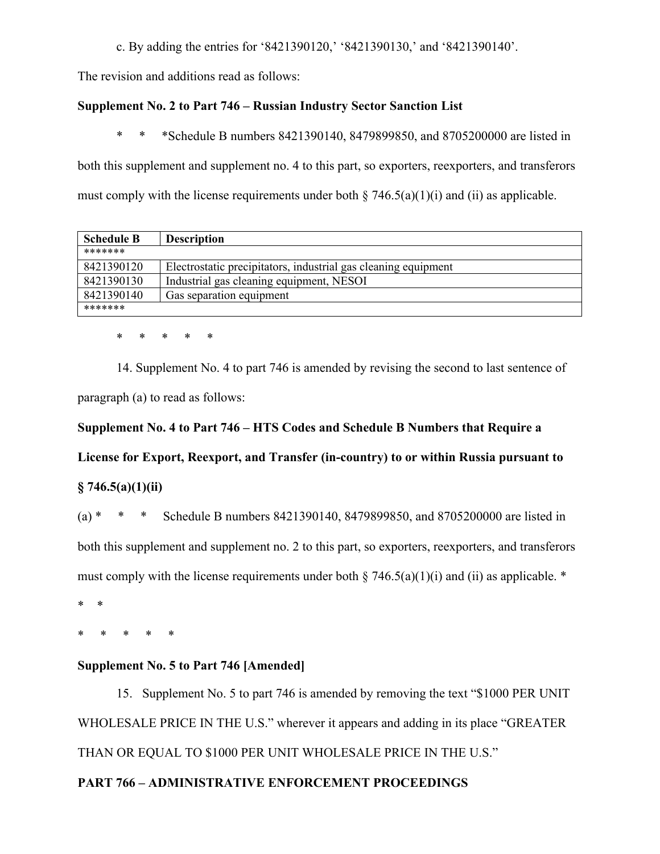c. By adding the entries for '8421390120,' '8421390130,' and '8421390140'.

The revision and additions read as follows:

# **Supplement No. 2 to Part 746 – Russian Industry Sector Sanction List**

\* \* \*Schedule B numbers 8421390140, 8479899850, and 8705200000 are listed in

both this supplement and supplement no. 4 to this part, so exporters, reexporters, and transferors must comply with the license requirements under both  $\S 746.5(a)(1)(i)$  and (ii) as applicable.

| <b>Schedule B</b> | <b>Description</b>                                             |  |
|-------------------|----------------------------------------------------------------|--|
| *******           |                                                                |  |
| 8421390120        | Electrostatic precipitators, industrial gas cleaning equipment |  |
| 8421390130        | Industrial gas cleaning equipment, NESOI                       |  |
| 8421390140        | Gas separation equipment                                       |  |
| *******           |                                                                |  |

\* \* \* \* \*

14. Supplement No. 4 to part 746 is amended by revising the second to last sentence of paragraph (a) to read as follows:

# **Supplement No. 4 to Part 746 – HTS Codes and Schedule B Numbers that Require a**

**License for Export, Reexport, and Transfer (in-country) to or within Russia pursuant to** 

# **§ 746.5(a)(1)(ii)**

(a) \* \* \* Schedule B numbers 8421390140, 8479899850, and 8705200000 are listed in both this supplement and supplement no. 2 to this part, so exporters, reexporters, and transferors must comply with the license requirements under both  $\S 746.5(a)(1)(i)$  and (ii) as applicable. \*

\* \*

\* \* \* \* \*

# **Supplement No. 5 to Part 746 [Amended]**

15. Supplement No. 5 to part 746 is amended by removing the text "\$1000 PER UNIT WHOLESALE PRICE IN THE U.S." wherever it appears and adding in its place "GREATER THAN OR EQUAL TO \$1000 PER UNIT WHOLESALE PRICE IN THE U.S."

# **PART 766 – ADMINISTRATIVE ENFORCEMENT PROCEEDINGS**